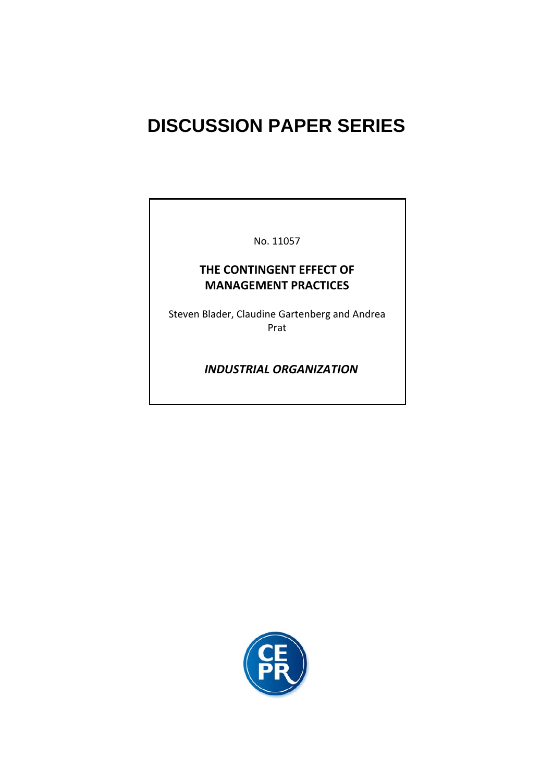# **DISCUSSION PAPER SERIES**

No. 11057

# **THE CONTINGENT EFFECT OF MANAGEMENT PRACTICES**

Steven Blader, Claudine Gartenberg and Andrea Prat

 *INDUSTRIAL ORGANIZATION*

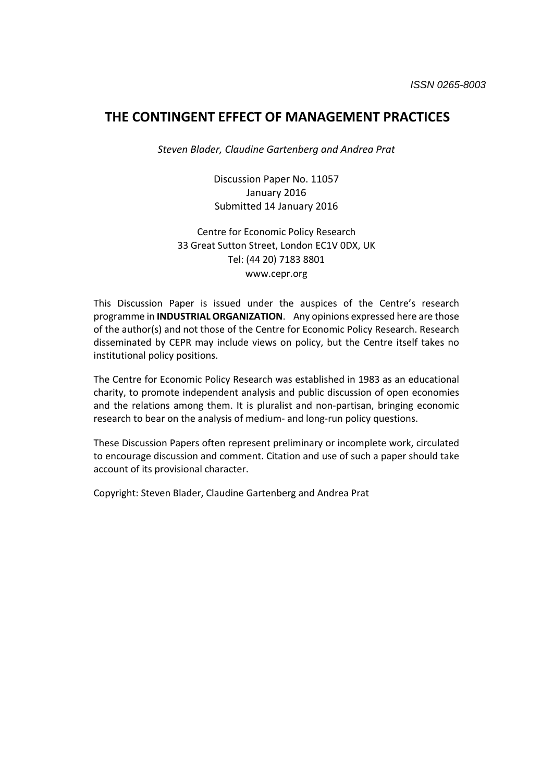# **THE CONTINGENT EFFECT OF MANAGEMENT PRACTICES**

*Steven Blader, Claudine Gartenberg and Andrea Prat*

Discussion Paper No. 11057 January 2016 Submitted 14 January 2016

Centre for Economic Policy Research 33 Great Sutton Street, London EC1V 0DX, UK Tel: (44 20) 7183 8801 www.cepr.org

This Discussion Paper is issued under the auspices of the Centre's research programme in **INDUSTRIAL ORGANIZATION**. Any opinions expressed here are those of the author(s) and not those of the Centre for Economic Policy Research. Research disseminated by CEPR may include views on policy, but the Centre itself takes no institutional policy positions.

The Centre for Economic Policy Research was established in 1983 as an educational charity, to promote independent analysis and public discussion of open economies and the relations among them. It is pluralist and non-partisan, bringing economic research to bear on the analysis of medium‐ and long‐run policy questions.

These Discussion Papers often represent preliminary or incomplete work, circulated to encourage discussion and comment. Citation and use of such a paper should take account of its provisional character.

Copyright: Steven Blader, Claudine Gartenberg and Andrea Prat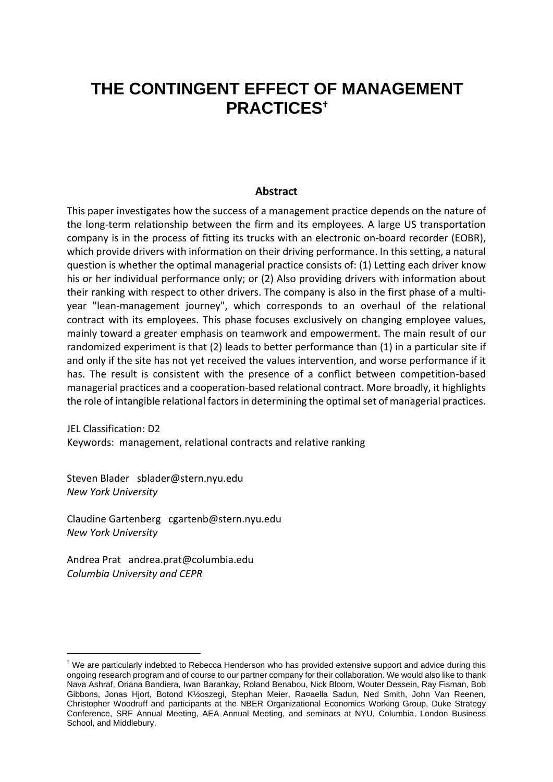# **THE CONTINGENT EFFECT OF MANAGEMENT PRACTICES†**

# **Abstract**

This paper investigates how the success of a management practice depends on the nature of the long‐term relationship between the firm and its employees. A large US transportation company is in the process of fitting its trucks with an electronic on‐board recorder (EOBR), which provide drivers with information on their driving performance. In this setting, a natural question is whether the optimal managerial practice consists of: (1) Letting each driver know his or her individual performance only; or (2) Also providing drivers with information about their ranking with respect to other drivers. The company is also in the first phase of a multi‐ year "lean‐management journey", which corresponds to an overhaul of the relational contract with its employees. This phase focuses exclusively on changing employee values, mainly toward a greater emphasis on teamwork and empowerment. The main result of our randomized experiment is that (2) leads to better performance than (1) in a particular site if and only if the site has not yet received the values intervention, and worse performance if it has. The result is consistent with the presence of a conflict between competition-based managerial practices and a cooperation‐based relational contract. More broadly, it highlights the role of intangible relational factors in determining the optimal set of managerial practices.

JEL Classification: D2 Keywords: management, relational contracts and relative ranking

Steven Blader sblader@stern.nyu.edu *New York University*

Claudine Gartenberg cgartenb@stern.nyu.edu *New York University*

Andrea Prat andrea.prat@columbia.edu *Columbia University and CEPR*

-

<sup>&</sup>lt;sup>†</sup> We are particularly indebted to Rebecca Henderson who has provided extensive support and advice during this ongoing research program and of course to our partner company for their collaboration. We would also like to thank Nava Ashraf, Oriana Bandiera, Iwan Barankay, Roland Benabou, Nick Bloom, Wouter Dessein, Ray Fisman, Bob Gibbons, Jonas Hjort, Botond K½oszegi, Stephan Meier, Ra¤aella Sadun, Ned Smith, John Van Reenen, Christopher Woodruff and participants at the NBER Organizational Economics Working Group, Duke Strategy Conference, SRF Annual Meeting, AEA Annual Meeting, and seminars at NYU, Columbia, London Business School, and Middlebury.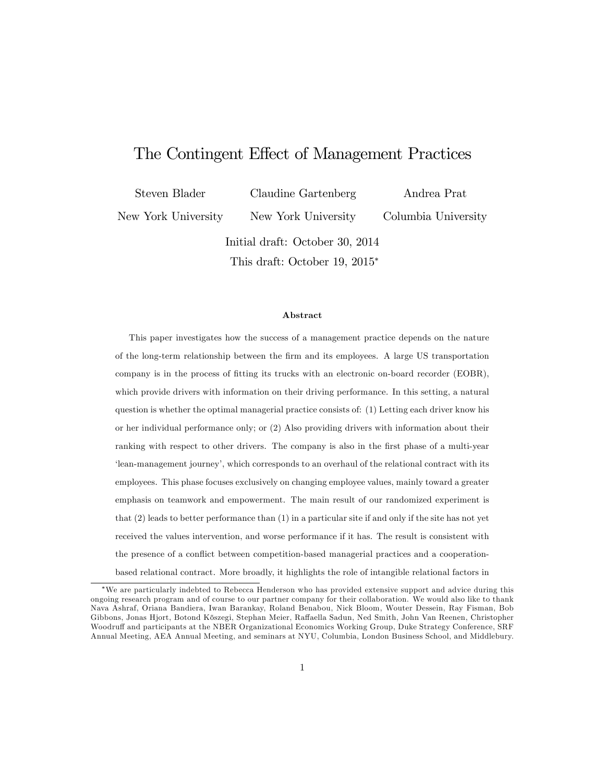# The Contingent Effect of Management Practices

Steven Blader

Claudine Gartenberg

New York University

Andrea Prat Columbia University

Initial draft: October 30, 2014

New York University

This draft: October 19, 2015

#### Abstract

This paper investigates how the success of a management practice depends on the nature of the long-term relationship between the Örm and its employees. A large US transportation company is in the process of fitting its trucks with an electronic on-board recorder (EOBR), which provide drivers with information on their driving performance. In this setting, a natural question is whether the optimal managerial practice consists of: (1) Letting each driver know his or her individual performance only; or (2) Also providing drivers with information about their ranking with respect to other drivers. The company is also in the first phase of a multi-year ëlean-management journeyí, which corresponds to an overhaul of the relational contract with its employees. This phase focuses exclusively on changing employee values, mainly toward a greater emphasis on teamwork and empowerment. The main result of our randomized experiment is that (2) leads to better performance than (1) in a particular site if and only if the site has not yet received the values intervention, and worse performance if it has. The result is consistent with the presence of a conflict between competition-based managerial practices and a cooperationbased relational contract. More broadly, it highlights the role of intangible relational factors in

We are particularly indebted to Rebecca Henderson who has provided extensive support and advice during this ongoing research program and of course to our partner company for their collaboration. We would also like to thank Nava Ashraf, Oriana Bandiera, Iwan Barankay, Roland Benabou, Nick Bloom, Wouter Dessein, Ray Fisman, Bob Gibbons, Jonas Hjort, Botond Kőszegi, Stephan Meier, Raffaella Sadun, Ned Smith, John Van Reenen, Christopher Woodruff and participants at the NBER Organizational Economics Working Group, Duke Strategy Conference, SRF Annual Meeting, AEA Annual Meeting, and seminars at NYU, Columbia, London Business School, and Middlebury.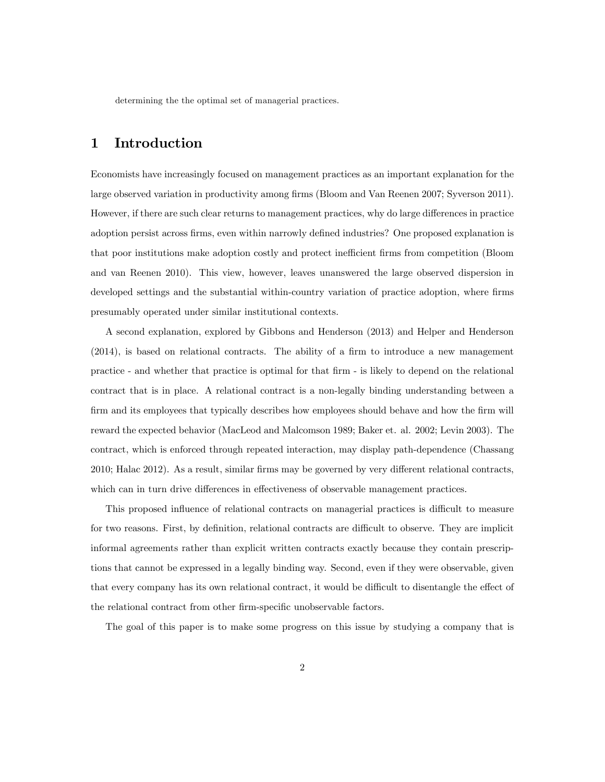determining the the optimal set of managerial practices.

# 1 Introduction

Economists have increasingly focused on management practices as an important explanation for the large observed variation in productivity among firms (Bloom and Van Reenen 2007; Syverson 2011). However, if there are such clear returns to management practices, why do large differences in practice adoption persist across firms, even within narrowly defined industries? One proposed explanation is that poor institutions make adoption costly and protect inefficient firms from competition (Bloom and van Reenen 2010). This view, however, leaves unanswered the large observed dispersion in developed settings and the substantial within-country variation of practice adoption, where firms presumably operated under similar institutional contexts.

A second explanation, explored by Gibbons and Henderson (2013) and Helper and Henderson  $(2014)$ , is based on relational contracts. The ability of a firm to introduce a new management practice - and whether that practice is optimal for that Örm - is likely to depend on the relational contract that is in place. A relational contract is a non-legally binding understanding between a firm and its employees that typically describes how employees should behave and how the firm will reward the expected behavior (MacLeod and Malcomson 1989; Baker et. al. 2002; Levin 2003). The contract, which is enforced through repeated interaction, may display path-dependence (Chassang 2010; Halac 2012). As a result, similar firms may be governed by very different relational contracts, which can in turn drive differences in effectiveness of observable management practices.

This proposed influence of relational contracts on managerial practices is difficult to measure for two reasons. First, by definition, relational contracts are difficult to observe. They are implicit informal agreements rather than explicit written contracts exactly because they contain prescriptions that cannot be expressed in a legally binding way. Second, even if they were observable, given that every company has its own relational contract, it would be difficult to disentangle the effect of the relational contract from other firm-specific unobservable factors.

The goal of this paper is to make some progress on this issue by studying a company that is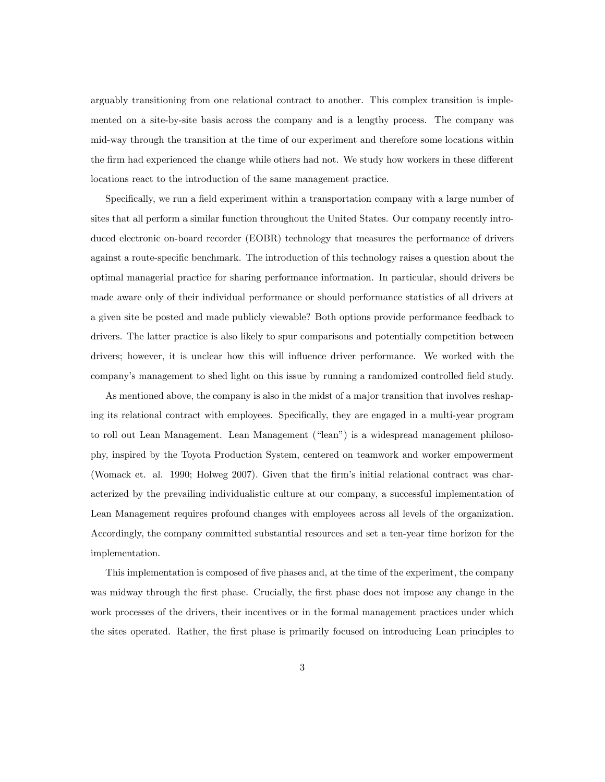arguably transitioning from one relational contract to another. This complex transition is implemented on a site-by-site basis across the company and is a lengthy process. The company was mid-way through the transition at the time of our experiment and therefore some locations within the firm had experienced the change while others had not. We study how workers in these different locations react to the introduction of the same management practice.

Specifically, we run a field experiment within a transportation company with a large number of sites that all perform a similar function throughout the United States. Our company recently introduced electronic on-board recorder (EOBR) technology that measures the performance of drivers against a route-specific benchmark. The introduction of this technology raises a question about the optimal managerial practice for sharing performance information. In particular, should drivers be made aware only of their individual performance or should performance statistics of all drivers at a given site be posted and made publicly viewable? Both options provide performance feedback to drivers. The latter practice is also likely to spur comparisons and potentially competition between drivers; however, it is unclear how this will ináuence driver performance. We worked with the company's management to shed light on this issue by running a randomized controlled field study.

As mentioned above, the company is also in the midst of a major transition that involves reshaping its relational contract with employees. Specifically, they are engaged in a multi-year program to roll out Lean Management. Lean Management ("lean") is a widespread management philosophy, inspired by the Toyota Production System, centered on teamwork and worker empowerment (Womack et. al. 1990; Holweg 2007). Given that the firm's initial relational contract was characterized by the prevailing individualistic culture at our company, a successful implementation of Lean Management requires profound changes with employees across all levels of the organization. Accordingly, the company committed substantial resources and set a ten-year time horizon for the implementation.

This implementation is composed of five phases and, at the time of the experiment, the company was midway through the first phase. Crucially, the first phase does not impose any change in the work processes of the drivers, their incentives or in the formal management practices under which the sites operated. Rather, the first phase is primarily focused on introducing Lean principles to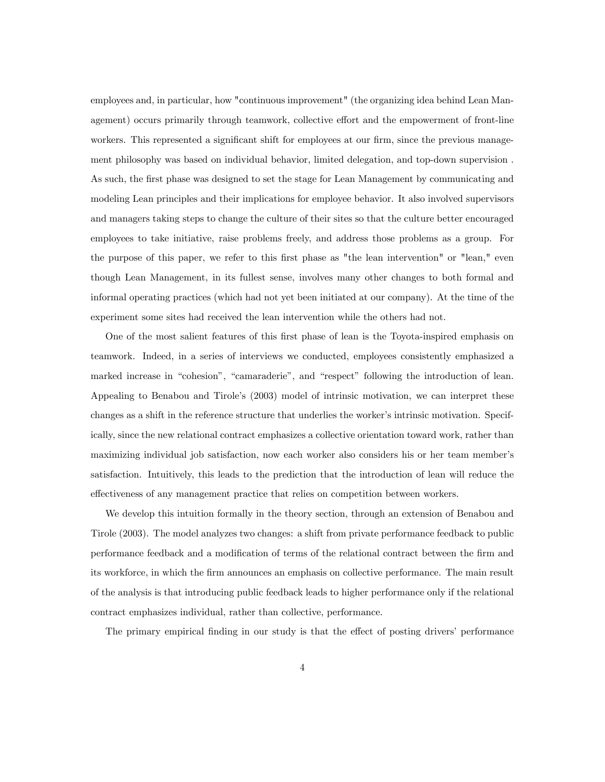employees and, in particular, how "continuous improvement" (the organizing idea behind Lean Management) occurs primarily through teamwork, collective effort and the empowerment of front-line workers. This represented a significant shift for employees at our firm, since the previous management philosophy was based on individual behavior, limited delegation, and top-down supervision . As such, the first phase was designed to set the stage for Lean Management by communicating and modeling Lean principles and their implications for employee behavior. It also involved supervisors and managers taking steps to change the culture of their sites so that the culture better encouraged employees to take initiative, raise problems freely, and address those problems as a group. For the purpose of this paper, we refer to this first phase as "the lean intervention" or "lean," even though Lean Management, in its fullest sense, involves many other changes to both formal and informal operating practices (which had not yet been initiated at our company). At the time of the experiment some sites had received the lean intervention while the others had not.

One of the most salient features of this first phase of lean is the Toyota-inspired emphasis on teamwork. Indeed, in a series of interviews we conducted, employees consistently emphasized a marked increase in "cohesion", "camaraderie", and "respect" following the introduction of lean. Appealing to Benabou and Tirole's (2003) model of intrinsic motivation, we can interpret these changes as a shift in the reference structure that underlies the worker's intrinsic motivation. Specifically, since the new relational contract emphasizes a collective orientation toward work, rather than maximizing individual job satisfaction, now each worker also considers his or her team memberís satisfaction. Intuitively, this leads to the prediction that the introduction of lean will reduce the effectiveness of any management practice that relies on competition between workers.

We develop this intuition formally in the theory section, through an extension of Benabou and Tirole (2003). The model analyzes two changes: a shift from private performance feedback to public performance feedback and a modification of terms of the relational contract between the firm and its workforce, in which the Örm announces an emphasis on collective performance. The main result of the analysis is that introducing public feedback leads to higher performance only if the relational contract emphasizes individual, rather than collective, performance.

The primary empirical finding in our study is that the effect of posting drivers' performance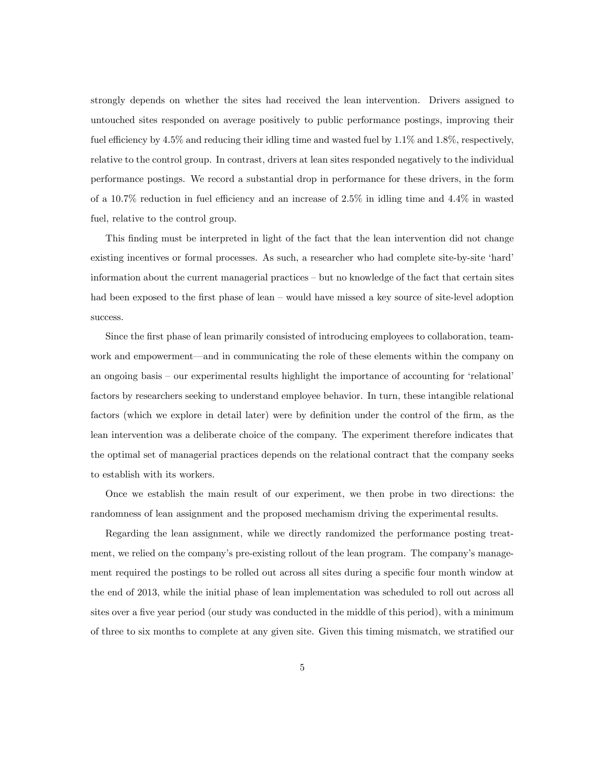strongly depends on whether the sites had received the lean intervention. Drivers assigned to untouched sites responded on average positively to public performance postings, improving their fuel efficiency by  $4.5\%$  and reducing their idling time and wasted fuel by  $1.1\%$  and  $1.8\%$ , respectively, relative to the control group. In contrast, drivers at lean sites responded negatively to the individual performance postings. We record a substantial drop in performance for these drivers, in the form of a 10.7% reduction in fuel efficiency and an increase of  $2.5\%$  in idling time and  $4.4\%$  in wasted fuel, relative to the control group.

This finding must be interpreted in light of the fact that the lean intervention did not change existing incentives or formal processes. As such, a researcher who had complete site-by-site 'hard' information about the current managerial practices – but no knowledge of the fact that certain sites had been exposed to the first phase of lean – would have missed a key source of site-level adoption success.

Since the first phase of lean primarily consisted of introducing employees to collaboration, teamwork and empowerment—and in communicating the role of these elements within the company on an ongoing basis – our experimental results highlight the importance of accounting for 'relational' factors by researchers seeking to understand employee behavior. In turn, these intangible relational factors (which we explore in detail later) were by definition under the control of the firm, as the lean intervention was a deliberate choice of the company. The experiment therefore indicates that the optimal set of managerial practices depends on the relational contract that the company seeks to establish with its workers.

Once we establish the main result of our experiment, we then probe in two directions: the randomness of lean assignment and the proposed mechamism driving the experimental results.

Regarding the lean assignment, while we directly randomized the performance posting treatment, we relied on the company's pre-existing rollout of the lean program. The company's management required the postings to be rolled out across all sites during a specific four month window at the end of 2013, while the initial phase of lean implementation was scheduled to roll out across all sites over a five year period (our study was conducted in the middle of this period), with a minimum of three to six months to complete at any given site. Given this timing mismatch, we stratified our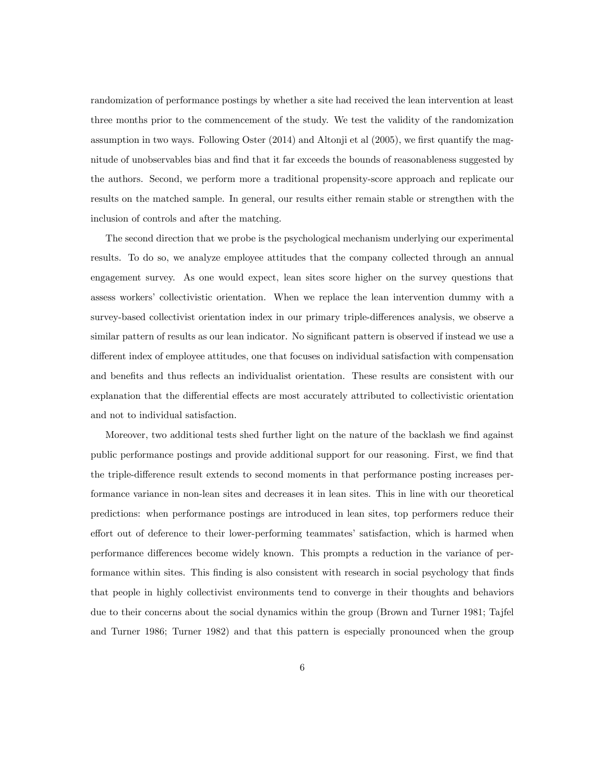randomization of performance postings by whether a site had received the lean intervention at least three months prior to the commencement of the study. We test the validity of the randomization assumption in two ways. Following Oster (2014) and Altonji et al (2005), we first quantify the magnitude of unobservables bias and find that it far exceeds the bounds of reasonableness suggested by the authors. Second, we perform more a traditional propensity-score approach and replicate our results on the matched sample. In general, our results either remain stable or strengthen with the inclusion of controls and after the matching.

The second direction that we probe is the psychological mechanism underlying our experimental results. To do so, we analyze employee attitudes that the company collected through an annual engagement survey. As one would expect, lean sites score higher on the survey questions that assess workers' collectivistic orientation. When we replace the lean intervention dummy with a survey-based collectivist orientation index in our primary triple-differences analysis, we observe a similar pattern of results as our lean indicator. No significant pattern is observed if instead we use a different index of employee attitudes, one that focuses on individual satisfaction with compensation and benefits and thus reflects an individualist orientation. These results are consistent with our explanation that the differential effects are most accurately attributed to collectivistic orientation and not to individual satisfaction.

Moreover, two additional tests shed further light on the nature of the backlash we find against public performance postings and provide additional support for our reasoning. First, we find that the triple-difference result extends to second moments in that performance posting increases performance variance in non-lean sites and decreases it in lean sites. This in line with our theoretical predictions: when performance postings are introduced in lean sites, top performers reduce their effort out of deference to their lower-performing teammates' satisfaction, which is harmed when performance differences become widely known. This prompts a reduction in the variance of performance within sites. This finding is also consistent with research in social psychology that finds that people in highly collectivist environments tend to converge in their thoughts and behaviors due to their concerns about the social dynamics within the group (Brown and Turner 1981; Tajfel and Turner 1986; Turner 1982) and that this pattern is especially pronounced when the group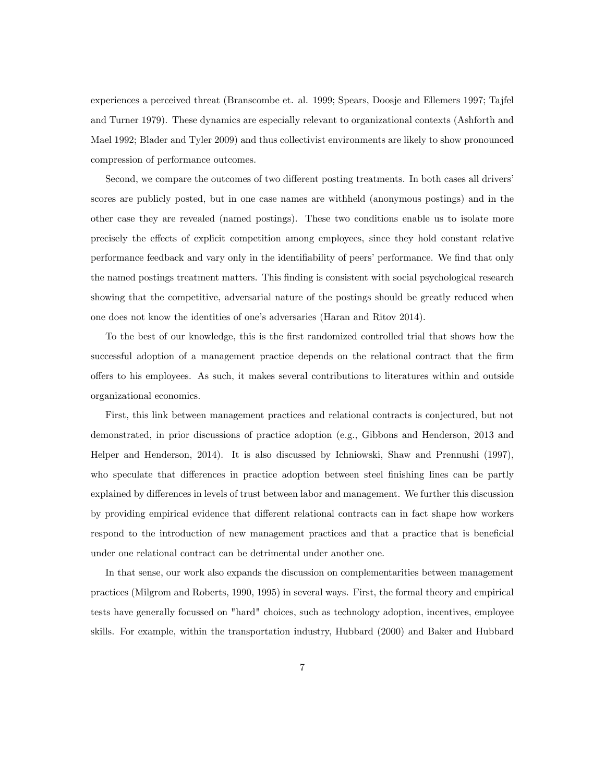experiences a perceived threat (Branscombe et. al. 1999; Spears, Doosje and Ellemers 1997; Tajfel and Turner 1979). These dynamics are especially relevant to organizational contexts (Ashforth and Mael 1992; Blader and Tyler 2009) and thus collectivist environments are likely to show pronounced compression of performance outcomes.

Second, we compare the outcomes of two different posting treatments. In both cases all drivers scores are publicly posted, but in one case names are withheld (anonymous postings) and in the other case they are revealed (named postings). These two conditions enable us to isolate more precisely the effects of explicit competition among employees, since they hold constant relative performance feedback and vary only in the identifiability of peers' performance. We find that only the named postings treatment matters. This Önding is consistent with social psychological research showing that the competitive, adversarial nature of the postings should be greatly reduced when one does not know the identities of one's adversaries (Haran and Ritov 2014).

To the best of our knowledge, this is the first randomized controlled trial that shows how the successful adoption of a management practice depends on the relational contract that the firm o§ers to his employees. As such, it makes several contributions to literatures within and outside organizational economics.

First, this link between management practices and relational contracts is conjectured, but not demonstrated, in prior discussions of practice adoption (e.g., Gibbons and Henderson, 2013 and Helper and Henderson, 2014). It is also discussed by Ichniowski, Shaw and Prennushi (1997), who speculate that differences in practice adoption between steel finishing lines can be partly explained by differences in levels of trust between labor and management. We further this discussion by providing empirical evidence that different relational contracts can in fact shape how workers respond to the introduction of new management practices and that a practice that is beneficial under one relational contract can be detrimental under another one.

In that sense, our work also expands the discussion on complementarities between management practices (Milgrom and Roberts, 1990, 1995) in several ways. First, the formal theory and empirical tests have generally focussed on "hard" choices, such as technology adoption, incentives, employee skills. For example, within the transportation industry, Hubbard (2000) and Baker and Hubbard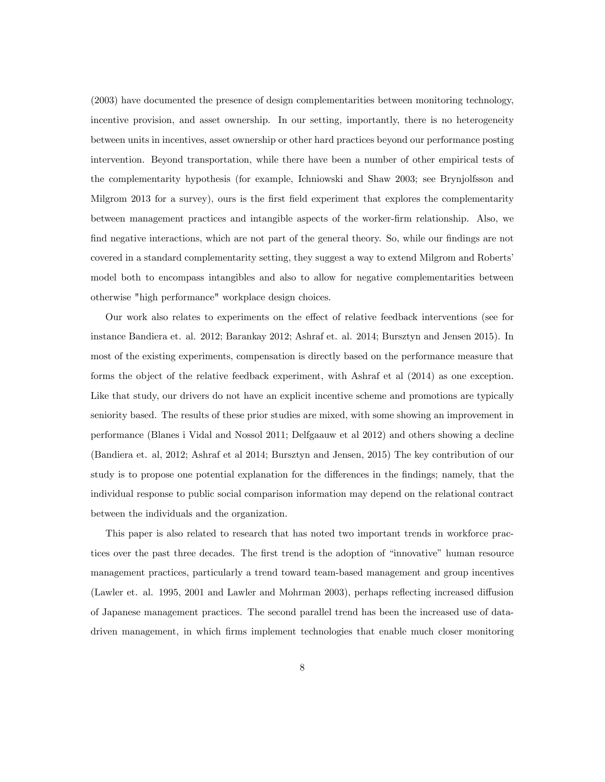(2003) have documented the presence of design complementarities between monitoring technology, incentive provision, and asset ownership. In our setting, importantly, there is no heterogeneity between units in incentives, asset ownership or other hard practices beyond our performance posting intervention. Beyond transportation, while there have been a number of other empirical tests of the complementarity hypothesis (for example, Ichniowski and Shaw 2003; see Brynjolfsson and Milgrom 2013 for a survey), ours is the first field experiment that explores the complementarity between management practices and intangible aspects of the worker-Örm relationship. Also, we find negative interactions, which are not part of the general theory. So, while our findings are not covered in a standard complementarity setting, they suggest a way to extend Milgrom and Roberts<sup>†</sup> model both to encompass intangibles and also to allow for negative complementarities between otherwise "high performance" workplace design choices.

Our work also relates to experiments on the effect of relative feedback interventions (see for instance Bandiera et. al. 2012; Barankay 2012; Ashraf et. al. 2014; Bursztyn and Jensen 2015). In most of the existing experiments, compensation is directly based on the performance measure that forms the object of the relative feedback experiment, with Ashraf et al (2014) as one exception. Like that study, our drivers do not have an explicit incentive scheme and promotions are typically seniority based. The results of these prior studies are mixed, with some showing an improvement in performance (Blanes i Vidal and Nossol 2011; Delfgaauw et al 2012) and others showing a decline (Bandiera et. al, 2012; Ashraf et al 2014; Bursztyn and Jensen, 2015) The key contribution of our study is to propose one potential explanation for the differences in the findings; namely, that the individual response to public social comparison information may depend on the relational contract between the individuals and the organization.

This paper is also related to research that has noted two important trends in workforce practices over the past three decades. The first trend is the adoption of "innovative" human resource management practices, particularly a trend toward team-based management and group incentives (Lawler et. al. 1995, 2001 and Lawler and Mohrman 2003), perhaps reflecting increased diffusion of Japanese management practices. The second parallel trend has been the increased use of datadriven management, in which Örms implement technologies that enable much closer monitoring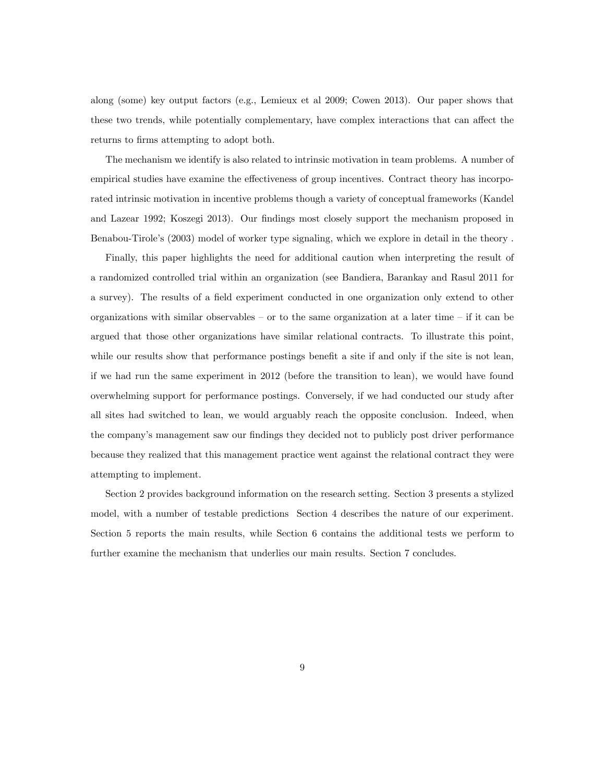along (some) key output factors (e.g., Lemieux et al 2009; Cowen 2013). Our paper shows that these two trends, while potentially complementary, have complex interactions that can affect the returns to firms attempting to adopt both.

The mechanism we identify is also related to intrinsic motivation in team problems. A number of empirical studies have examine the effectiveness of group incentives. Contract theory has incorporated intrinsic motivation in incentive problems though a variety of conceptual frameworks (Kandel and Lazear 1992; Koszegi 2013). Our findings most closely support the mechanism proposed in Benabou-Tirole's (2003) model of worker type signaling, which we explore in detail in the theory.

Finally, this paper highlights the need for additional caution when interpreting the result of a randomized controlled trial within an organization (see Bandiera, Barankay and Rasul 2011 for a survey). The results of a field experiment conducted in one organization only extend to other organizations with similar observables  $-$  or to the same organization at a later time  $-$  if it can be argued that those other organizations have similar relational contracts. To illustrate this point, while our results show that performance postings benefit a site if and only if the site is not lean, if we had run the same experiment in 2012 (before the transition to lean), we would have found overwhelming support for performance postings. Conversely, if we had conducted our study after all sites had switched to lean, we would arguably reach the opposite conclusion. Indeed, when the company's management saw our findings they decided not to publicly post driver performance because they realized that this management practice went against the relational contract they were attempting to implement.

Section 2 provides background information on the research setting. Section 3 presents a stylized model, with a number of testable predictions Section 4 describes the nature of our experiment. Section 5 reports the main results, while Section 6 contains the additional tests we perform to further examine the mechanism that underlies our main results. Section 7 concludes.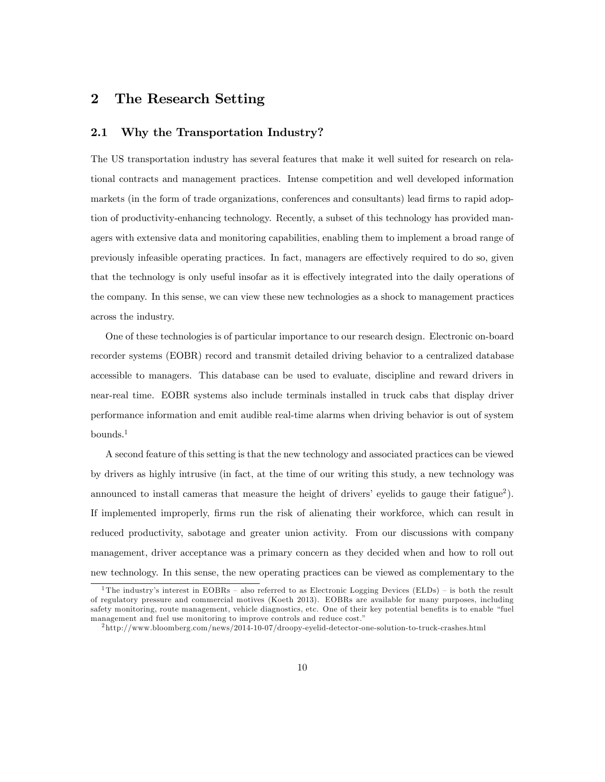# 2 The Research Setting

## 2.1 Why the Transportation Industry?

The US transportation industry has several features that make it well suited for research on relational contracts and management practices. Intense competition and well developed information markets (in the form of trade organizations, conferences and consultants) lead firms to rapid adoption of productivity-enhancing technology. Recently, a subset of this technology has provided managers with extensive data and monitoring capabilities, enabling them to implement a broad range of previously infeasible operating practices. In fact, managers are effectively required to do so, given that the technology is only useful insofar as it is effectively integrated into the daily operations of the company. In this sense, we can view these new technologies as a shock to management practices across the industry.

One of these technologies is of particular importance to our research design. Electronic on-board recorder systems (EOBR) record and transmit detailed driving behavior to a centralized database accessible to managers. This database can be used to evaluate, discipline and reward drivers in near-real time. EOBR systems also include terminals installed in truck cabs that display driver performance information and emit audible real-time alarms when driving behavior is out of system bounds.<sup>1</sup>

A second feature of this setting is that the new technology and associated practices can be viewed by drivers as highly intrusive (in fact, at the time of our writing this study, a new technology was announced to install cameras that measure the height of drivers' eyelids to gauge their fatigue<sup>2</sup>). If implemented improperly, firms run the risk of alienating their workforce, which can result in reduced productivity, sabotage and greater union activity. From our discussions with company management, driver acceptance was a primary concern as they decided when and how to roll out new technology. In this sense, the new operating practices can be viewed as complementary to the

<sup>&</sup>lt;sup>1</sup>The industry's interest in EOBRs – also referred to as Electronic Logging Devices (ELDs) – is both the result of regulatory pressure and commercial motives (Koeth 2013). EOBRs are available for many purposes, including safety monitoring, route management, vehicle diagnostics, etc. One of their key potential benefits is to enable "fuel management and fuel use monitoring to improve controls and reduce cost."

<sup>&</sup>lt;sup>2</sup>http://www.bloomberg.com/news/2014-10-07/droopy-eyelid-detector-one-solution-to-truck-crashes.html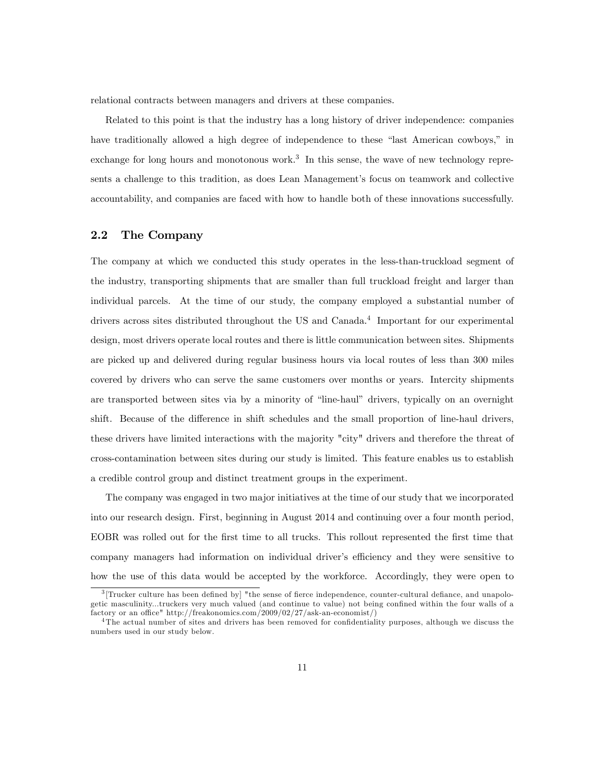relational contracts between managers and drivers at these companies.

Related to this point is that the industry has a long history of driver independence: companies have traditionally allowed a high degree of independence to these "last American cowboys," in exchange for long hours and monotonous work.<sup>3</sup> In this sense, the wave of new technology represents a challenge to this tradition, as does Lean Management's focus on teamwork and collective accountability, and companies are faced with how to handle both of these innovations successfully.

## 2.2 The Company

The company at which we conducted this study operates in the less-than-truckload segment of the industry, transporting shipments that are smaller than full truckload freight and larger than individual parcels. At the time of our study, the company employed a substantial number of drivers across sites distributed throughout the US and Canada.<sup>4</sup> Important for our experimental design, most drivers operate local routes and there is little communication between sites. Shipments are picked up and delivered during regular business hours via local routes of less than 300 miles covered by drivers who can serve the same customers over months or years. Intercity shipments are transported between sites via by a minority of "line-haul" drivers, typically on an overnight shift. Because of the difference in shift schedules and the small proportion of line-haul drivers, these drivers have limited interactions with the majority "city" drivers and therefore the threat of cross-contamination between sites during our study is limited. This feature enables us to establish a credible control group and distinct treatment groups in the experiment.

The company was engaged in two major initiatives at the time of our study that we incorporated into our research design. First, beginning in August 2014 and continuing over a four month period, EOBR was rolled out for the first time to all trucks. This rollout represented the first time that company managers had information on individual driver's efficiency and they were sensitive to how the use of this data would be accepted by the workforce. Accordingly, they were open to

<sup>&</sup>lt;sup>3</sup>[Trucker culture has been defined by] "the sense of fierce independence, counter-cultural defiance, and unapologetic masculinity...truckers very much valued (and continue to value) not being confined within the four walls of a  $factorv$  or an office" http://freakonomics.com/2009/02/27/ask-an-economist/)

<sup>&</sup>lt;sup>4</sup>The actual number of sites and drivers has been removed for confidentiality purposes, although we discuss the numbers used in our study below.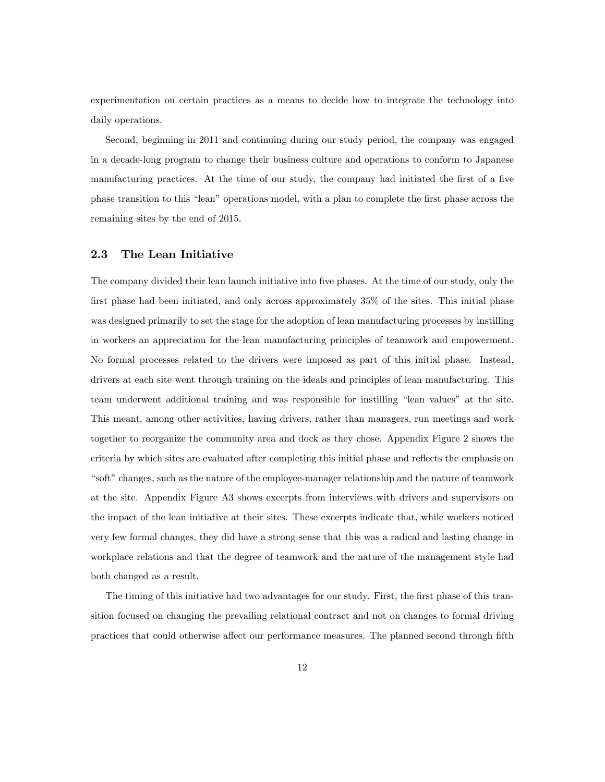experimentation on certain practices as a means to decide how to integrate the technology into daily operations.

Second, beginning in 2011 and continuing during our study period, the company was engaged in a decade-long program to change their business culture and operations to conform to Japanese manufacturing practices. At the time of our study, the company had initiated the first of a five phase transition to this "lean" operations model, with a plan to complete the first phase across the remaining sites by the end of 2015.

## 2.3 The Lean Initiative

The company divided their lean launch initiative into five phases. At the time of our study, only the first phase had been initiated, and only across approximately  $35\%$  of the sites. This initial phase was designed primarily to set the stage for the adoption of lean manufacturing processes by instilling in workers an appreciation for the lean manufacturing principles of teamwork and empowerment. No formal processes related to the drivers were imposed as part of this initial phase. Instead, drivers at each site went through training on the ideals and principles of lean manufacturing. This team underwent additional training and was responsible for instilling "lean values" at the site. This meant, among other activities, having drivers, rather than managers, run meetings and work together to reorganize the community area and dock as they chose. Appendix Figure 2 shows the criteria by which sites are evaluated after completing this initial phase and reflects the emphasis on "soft" changes, such as the nature of the employee-manager relationship and the nature of teamwork at the site. Appendix Figure A3 shows excerpts from interviews with drivers and supervisors on the impact of the lean initiative at their sites. These excerpts indicate that, while workers noticed very few formal changes, they did have a strong sense that this was a radical and lasting change in workplace relations and that the degree of teamwork and the nature of the management style had both changed as a result.

The timing of this initiative had two advantages for our study. First, the first phase of this transition focused on changing the prevailing relational contract and not on changes to formal driving practices that could otherwise affect our performance measures. The planned second through fifth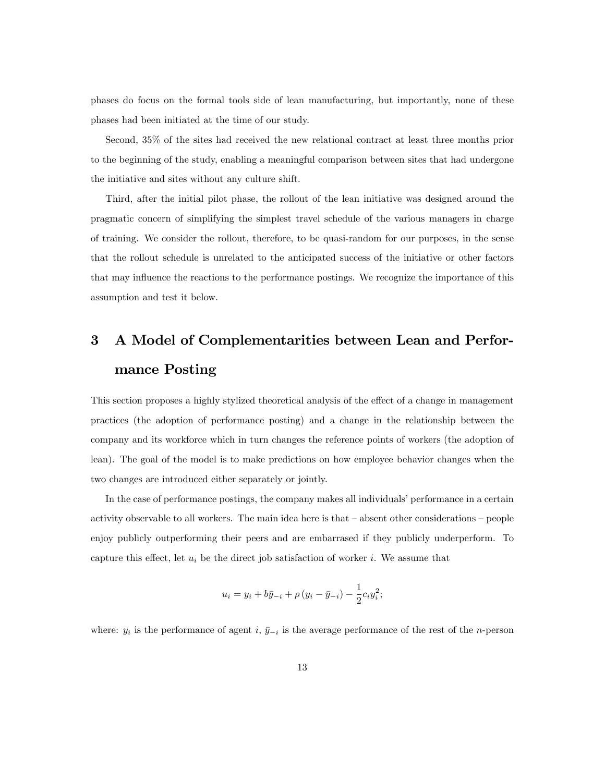phases do focus on the formal tools side of lean manufacturing, but importantly, none of these phases had been initiated at the time of our study.

Second, 35% of the sites had received the new relational contract at least three months prior to the beginning of the study, enabling a meaningful comparison between sites that had undergone the initiative and sites without any culture shift.

Third, after the initial pilot phase, the rollout of the lean initiative was designed around the pragmatic concern of simplifying the simplest travel schedule of the various managers in charge of training. We consider the rollout, therefore, to be quasi-random for our purposes, in the sense that the rollout schedule is unrelated to the anticipated success of the initiative or other factors that may influence the reactions to the performance postings. We recognize the importance of this assumption and test it below.

# 3 A Model of Complementarities between Lean and Performance Posting

This section proposes a highly stylized theoretical analysis of the effect of a change in management practices (the adoption of performance posting) and a change in the relationship between the company and its workforce which in turn changes the reference points of workers (the adoption of lean). The goal of the model is to make predictions on how employee behavior changes when the two changes are introduced either separately or jointly.

In the case of performance postings, the company makes all individuals' performance in a certain activity observable to all workers. The main idea here is that  $-\text{ absent}$  other considerations  $-\text{ people}$ enjoy publicly outperforming their peers and are embarrased if they publicly underperform. To capture this effect, let  $u_i$  be the direct job satisfaction of worker i. We assume that

$$
u_i = y_i + b\bar{y}_{-i} + \rho (y_i - \bar{y}_{-i}) - \frac{1}{2}c_i y_i^2;
$$

where:  $y_i$  is the performance of agent i,  $\bar{y}_{-i}$  is the average performance of the rest of the n-person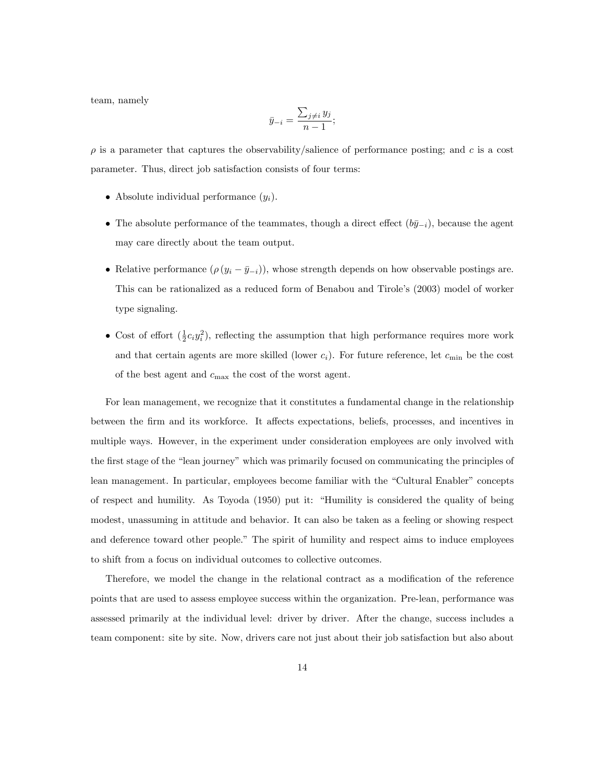team, namely

$$
\bar{y}_{-i} = \frac{\sum_{j \neq i} y_j}{n-1};
$$

 $\rho$  is a parameter that captures the observability/salience of performance posting; and c is a cost parameter. Thus, direct job satisfaction consists of four terms:

- Absolute individual performance  $(y_i)$ .
- The absolute performance of the teammates, though a direct effect  $(b\bar{y}_{-i})$ , because the agent may care directly about the team output.
- Relative performance  $(\rho (y_i \bar{y}_{-i}))$ , whose strength depends on how observable postings are. This can be rationalized as a reduced form of Benabou and Tirole's (2003) model of worker type signaling.
- Cost of effort  $(\frac{1}{2}c_iy_i^2)$ , reflecting the assumption that high performance requires more work and that certain agents are more skilled (lower  $c_i$ ). For future reference, let  $c_{\min}$  be the cost of the best agent and  $c_{\text{max}}$  the cost of the worst agent.

For lean management, we recognize that it constitutes a fundamental change in the relationship between the firm and its workforce. It affects expectations, beliefs, processes, and incentives in multiple ways. However, in the experiment under consideration employees are only involved with the first stage of the "lean journey" which was primarily focused on communicating the principles of lean management. In particular, employees become familiar with the "Cultural Enabler" concepts of respect and humility. As Toyoda (1950) put it: "Humility is considered the quality of being modest, unassuming in attitude and behavior. It can also be taken as a feeling or showing respect and deference toward other people." The spirit of humility and respect aims to induce employees to shift from a focus on individual outcomes to collective outcomes.

Therefore, we model the change in the relational contract as a modification of the reference points that are used to assess employee success within the organization. Pre-lean, performance was assessed primarily at the individual level: driver by driver. After the change, success includes a team component: site by site. Now, drivers care not just about their job satisfaction but also about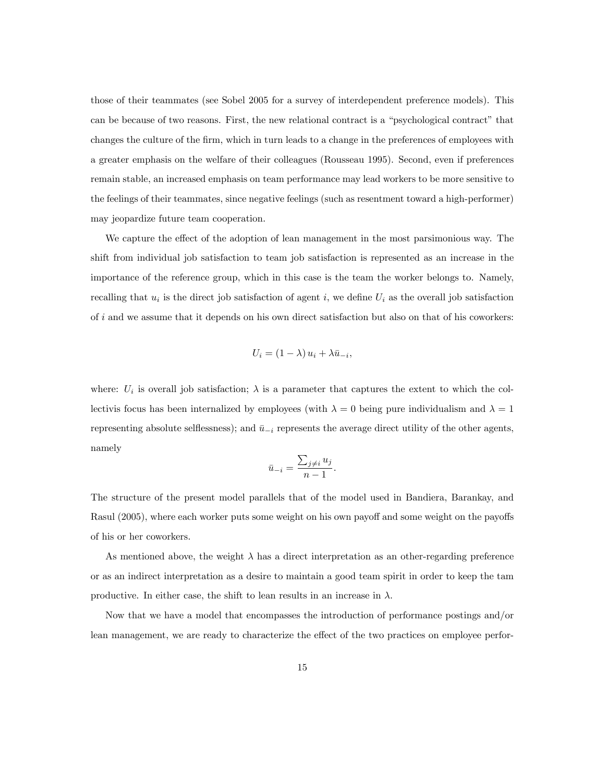those of their teammates (see Sobel 2005 for a survey of interdependent preference models). This can be because of two reasons. First, the new relational contract is a "psychological contract" that changes the culture of the Örm, which in turn leads to a change in the preferences of employees with a greater emphasis on the welfare of their colleagues (Rousseau 1995). Second, even if preferences remain stable, an increased emphasis on team performance may lead workers to be more sensitive to the feelings of their teammates, since negative feelings (such as resentment toward a high-performer) may jeopardize future team cooperation.

We capture the effect of the adoption of lean management in the most parsimonious way. The shift from individual job satisfaction to team job satisfaction is represented as an increase in the importance of the reference group, which in this case is the team the worker belongs to. Namely, recalling that  $u_i$  is the direct job satisfaction of agent i, we define  $U_i$  as the overall job satisfaction of  $i$  and we assume that it depends on his own direct satisfaction but also on that of his coworkers:

$$
U_i = (1 - \lambda) u_i + \lambda \bar{u}_{-i},
$$

where:  $U_i$  is overall job satisfaction;  $\lambda$  is a parameter that captures the extent to which the collectivis focus has been internalized by employees (with  $\lambda = 0$  being pure individualism and  $\lambda = 1$ representing absolute selflessness); and  $\bar{u}_{-i}$  represents the average direct utility of the other agents, namely

$$
\bar{u}_{-i} = \frac{\sum_{j \neq i} u_j}{n-1}.
$$

The structure of the present model parallels that of the model used in Bandiera, Barankay, and Rasul (2005), where each worker puts some weight on his own payoff and some weight on the payoffs of his or her coworkers.

As mentioned above, the weight  $\lambda$  has a direct interpretation as an other-regarding preference or as an indirect interpretation as a desire to maintain a good team spirit in order to keep the tam productive. In either case, the shift to lean results in an increase in  $\lambda$ .

Now that we have a model that encompasses the introduction of performance postings and/or lean management, we are ready to characterize the effect of the two practices on employee perfor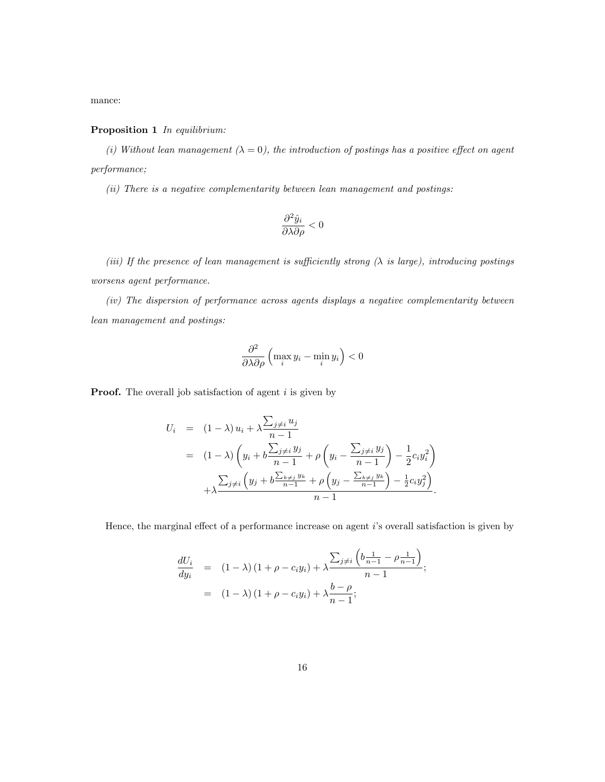mance:

## Proposition 1 In equilibrium:

(i) Without lean management  $(\lambda = 0)$ , the introduction of postings has a positive effect on agent performance;

(ii) There is a negative complementarity between lean management and postings:

$$
\frac{\partial^2 \hat{y}_i}{\partial \lambda \partial \rho} < 0
$$

(iii) If the presence of lean management is sufficiently strong  $(\lambda$  is large), introducing postings worsens agent performance.

(iv) The dispersion of performance across agents displays a negative complementarity between lean management and postings:

$$
\frac{\partial^2}{\partial \lambda \partial \rho} \left( \max_i y_i - \min_i y_i \right) < 0
$$

**Proof.** The overall job satisfaction of agent  $i$  is given by

$$
U_i = (1 - \lambda) u_i + \lambda \frac{\sum_{j \neq i} u_j}{n - 1}
$$
  
=  $(1 - \lambda) \left( y_i + b \frac{\sum_{j \neq i} y_j}{n - 1} + \rho \left( y_i - \frac{\sum_{j \neq i} y_j}{n - 1} \right) - \frac{1}{2} c_i y_i^2 \right)$   
+  $\lambda \frac{\sum_{j \neq i} \left( y_j + b \frac{\sum_{k \neq j} y_k}{n - 1} + \rho \left( y_j - \frac{\sum_{k \neq j} y_k}{n - 1} \right) - \frac{1}{2} c_i y_j^2 \right)}{n - 1}.$ 

Hence, the marginal effect of a performance increase on agent  $i$ 's overall satisfaction is given by

$$
\frac{dU_i}{dy_i} = (1 - \lambda) (1 + \rho - c_i y_i) + \lambda \frac{\sum_{j \neq i} \left( b \frac{1}{n-1} - \rho \frac{1}{n-1} \right)}{n-1};
$$
  
=  $(1 - \lambda) (1 + \rho - c_i y_i) + \lambda \frac{b - \rho}{n-1};$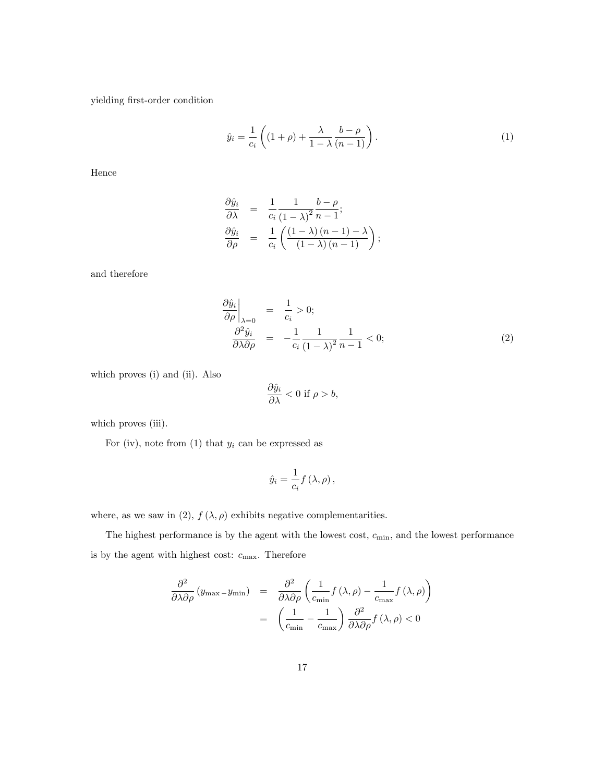yielding Örst-order condition

$$
\hat{y}_i = \frac{1}{c_i} \left( (1+\rho) + \frac{\lambda}{1-\lambda} \frac{b-\rho}{(n-1)} \right). \tag{1}
$$

Hence

$$
\frac{\partial \hat{y}_i}{\partial \lambda} = \frac{1}{c_i} \frac{1}{(1-\lambda)^2} \frac{b-\rho}{n-1};
$$
  

$$
\frac{\partial \hat{y}_i}{\partial \rho} = \frac{1}{c_i} \left( \frac{(1-\lambda)(n-1)-\lambda}{(1-\lambda)(n-1)} \right);
$$

and therefore

$$
\frac{\partial \hat{y}_i}{\partial \rho}\Big|_{\lambda=0} = \frac{1}{c_i} > 0; \n\frac{\partial^2 \hat{y}_i}{\partial \lambda \partial \rho} = -\frac{1}{c_i} \frac{1}{(1-\lambda)^2} \frac{1}{n-1} < 0; \n\tag{2}
$$

which proves (i) and (ii). Also

$$
\frac{\partial \hat{y}_i}{\partial \lambda} < 0 \text{ if } \rho > b,
$$

which proves (iii).

For (iv), note from  $(1)$  that  $y_i$  can be expressed as

$$
\hat{y}_i = \frac{1}{c_i} f\left(\lambda, \rho\right),\,
$$

where, as we saw in (2),  $f(\lambda, \rho)$  exhibits negative complementarities.

The highest performance is by the agent with the lowest cost,  $c_{\min}$ , and the lowest performance is by the agent with highest cost:  $c_{\text{max}}$ . Therefore

$$
\frac{\partial^2}{\partial \lambda \partial \rho} (y_{\text{max}} - y_{\text{min}}) = \frac{\partial^2}{\partial \lambda \partial \rho} \left( \frac{1}{c_{\text{min}}} f(\lambda, \rho) - \frac{1}{c_{\text{max}}} f(\lambda, \rho) \right)
$$

$$
= \left( \frac{1}{c_{\text{min}}} - \frac{1}{c_{\text{max}}} \right) \frac{\partial^2}{\partial \lambda \partial \rho} f(\lambda, \rho) < 0
$$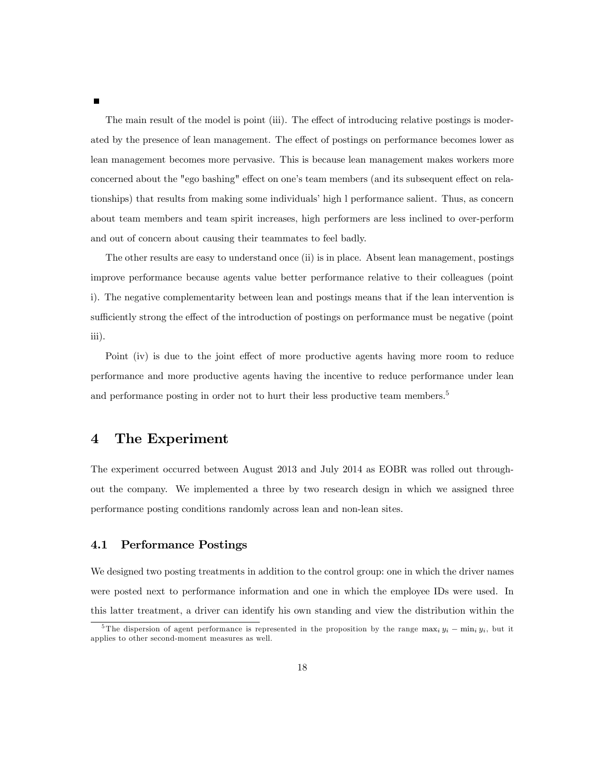The main result of the model is point (iii). The effect of introducing relative postings is moderated by the presence of lean management. The effect of postings on performance becomes lower as lean management becomes more pervasive. This is because lean management makes workers more concerned about the "ego bashing" effect on one's team members (and its subsequent effect on relationships) that results from making some individuals' high l performance salient. Thus, as concern about team members and team spirit increases, high performers are less inclined to over-perform and out of concern about causing their teammates to feel badly.

The other results are easy to understand once (ii) is in place. Absent lean management, postings improve performance because agents value better performance relative to their colleagues (point i). The negative complementarity between lean and postings means that if the lean intervention is sufficiently strong the effect of the introduction of postings on performance must be negative (point iii).

Point (iv) is due to the joint effect of more productive agents having more room to reduce performance and more productive agents having the incentive to reduce performance under lean and performance posting in order not to hurt their less productive team members.<sup>5</sup>

# 4 The Experiment

The experiment occurred between August 2013 and July 2014 as EOBR was rolled out throughout the company. We implemented a three by two research design in which we assigned three performance posting conditions randomly across lean and non-lean sites.

## 4.1 Performance Postings

We designed two posting treatments in addition to the control group: one in which the driver names were posted next to performance information and one in which the employee IDs were used. In this latter treatment, a driver can identify his own standing and view the distribution within the

<sup>&</sup>lt;sup>5</sup>The dispersion of agent performance is represented in the proposition by the range  $\max_i y_i - \min_i y_i$ , but it applies to other second-moment measures as well.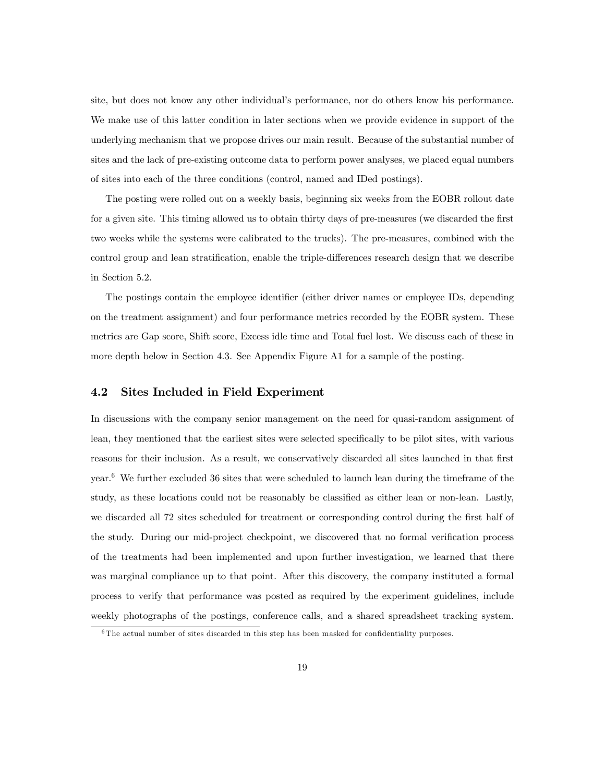site, but does not know any other individualís performance, nor do others know his performance. We make use of this latter condition in later sections when we provide evidence in support of the underlying mechanism that we propose drives our main result. Because of the substantial number of sites and the lack of pre-existing outcome data to perform power analyses, we placed equal numbers of sites into each of the three conditions (control, named and IDed postings).

The posting were rolled out on a weekly basis, beginning six weeks from the EOBR rollout date for a given site. This timing allowed us to obtain thirty days of pre-measures (we discarded the first two weeks while the systems were calibrated to the trucks). The pre-measures, combined with the control group and lean stratification, enable the triple-differences research design that we describe in Section 5.2.

The postings contain the employee identifier (either driver names or employee IDs, depending on the treatment assignment) and four performance metrics recorded by the EOBR system. These metrics are Gap score, Shift score, Excess idle time and Total fuel lost. We discuss each of these in more depth below in Section 4.3. See Appendix Figure A1 for a sample of the posting.

## 4.2 Sites Included in Field Experiment

In discussions with the company senior management on the need for quasi-random assignment of lean, they mentioned that the earliest sites were selected specifically to be pilot sites, with various reasons for their inclusion. As a result, we conservatively discarded all sites launched in that first year.<sup>6</sup> We further excluded 36 sites that were scheduled to launch lean during the timeframe of the study, as these locations could not be reasonably be classified as either lean or non-lean. Lastly, we discarded all 72 sites scheduled for treatment or corresponding control during the first half of the study. During our mid-project checkpoint, we discovered that no formal verification process of the treatments had been implemented and upon further investigation, we learned that there was marginal compliance up to that point. After this discovery, the company instituted a formal process to verify that performance was posted as required by the experiment guidelines, include weekly photographs of the postings, conference calls, and a shared spreadsheet tracking system.

 $6$ The actual number of sites discarded in this step has been masked for confidentiality purposes.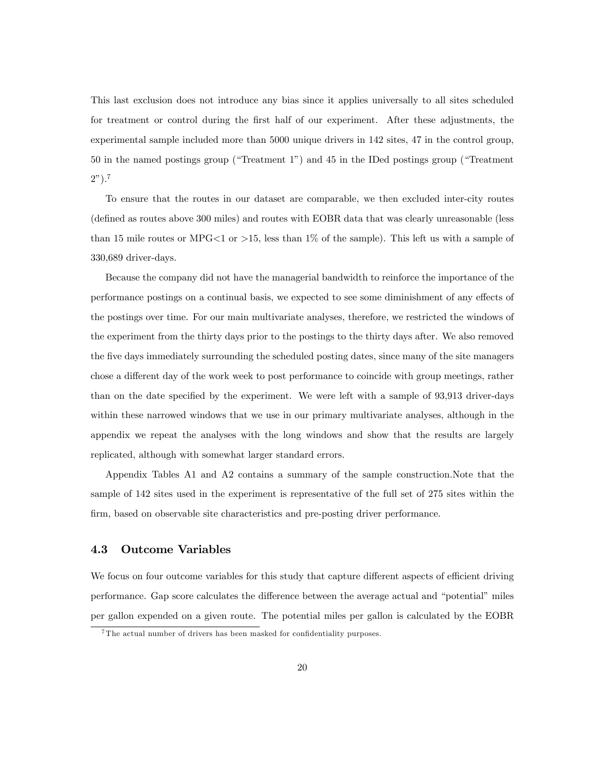This last exclusion does not introduce any bias since it applies universally to all sites scheduled for treatment or control during the first half of our experiment. After these adjustments, the experimental sample included more than 5000 unique drivers in 142 sites, 47 in the control group, 50 in the named postings group ("Treatment 1") and 45 in the IDed postings group ("Treatment  $2^n$ ).<sup>7</sup>

To ensure that the routes in our dataset are comparable, we then excluded inter-city routes (defined as routes above 300 miles) and routes with EOBR data that was clearly unreasonable (less than 15 mile routes or MPG $\lt 1$  or  $>15$ , less than 1% of the sample). This left us with a sample of 330,689 driver-days.

Because the company did not have the managerial bandwidth to reinforce the importance of the performance postings on a continual basis, we expected to see some diminishment of any effects of the postings over time. For our main multivariate analyses, therefore, we restricted the windows of the experiment from the thirty days prior to the postings to the thirty days after. We also removed the Öve days immediately surrounding the scheduled posting dates, since many of the site managers chose a different day of the work week to post performance to coincide with group meetings, rather than on the date specified by the experiment. We were left with a sample of 93,913 driver-days within these narrowed windows that we use in our primary multivariate analyses, although in the appendix we repeat the analyses with the long windows and show that the results are largely replicated, although with somewhat larger standard errors.

Appendix Tables A1 and A2 contains a summary of the sample construction.Note that the sample of 142 sites used in the experiment is representative of the full set of 275 sites within the firm, based on observable site characteristics and pre-posting driver performance.

## 4.3 Outcome Variables

We focus on four outcome variables for this study that capture different aspects of efficient driving performance. Gap score calculates the difference between the average actual and "potential" miles per gallon expended on a given route. The potential miles per gallon is calculated by the EOBR

 $7$ The actual number of drivers has been masked for confidentiality purposes.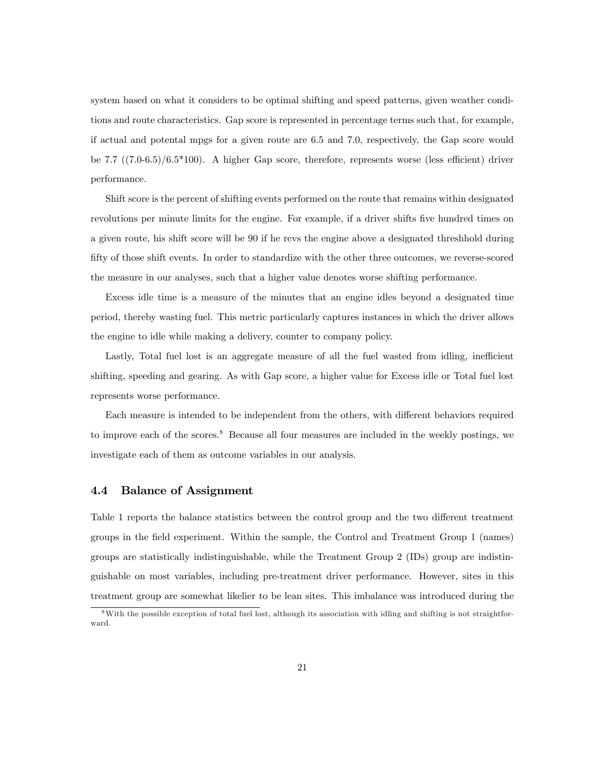system based on what it considers to be optimal shifting and speed patterns, given weather conditions and route characteristics. Gap score is represented in percentage terms such that, for example, if actual and potental mpgs for a given route are 6.5 and 7.0, respectively, the Gap score would be 7.7  $((7.0-6.5)/6.5*100)$ . A higher Gap score, therefore, represents worse (less efficient) driver performance.

Shift score is the percent of shifting events performed on the route that remains within designated revolutions per minute limits for the engine. For example, if a driver shifts five hundred times on a given route, his shift score will be 90 if he revs the engine above a designated threshhold during fifty of those shift events. In order to standardize with the other three outcomes, we reverse-scored the measure in our analyses, such that a higher value denotes worse shifting performance.

Excess idle time is a measure of the minutes that an engine idles beyond a designated time period, thereby wasting fuel. This metric particularly captures instances in which the driver allows the engine to idle while making a delivery, counter to company policy.

Lastly, Total fuel lost is an aggregate measure of all the fuel wasted from idling, inefficient shifting, speeding and gearing. As with Gap score, a higher value for Excess idle or Total fuel lost represents worse performance.

Each measure is intended to be independent from the others, with different behaviors required to improve each of the scores.<sup>8</sup> Because all four measures are included in the weekly postings, we investigate each of them as outcome variables in our analysis.

# 4.4 Balance of Assignment

Table 1 reports the balance statistics between the control group and the two different treatment groups in the Öeld experiment. Within the sample, the Control and Treatment Group 1 (names) groups are statistically indistinguishable, while the Treatment Group 2 (IDs) group are indistinguishable on most variables, including pre-treatment driver performance. However, sites in this treatment group are somewhat likelier to be lean sites. This imbalance was introduced during the

<sup>8</sup>With the possible exception of total fuel lost, although its association with idling and shifting is not straightforward.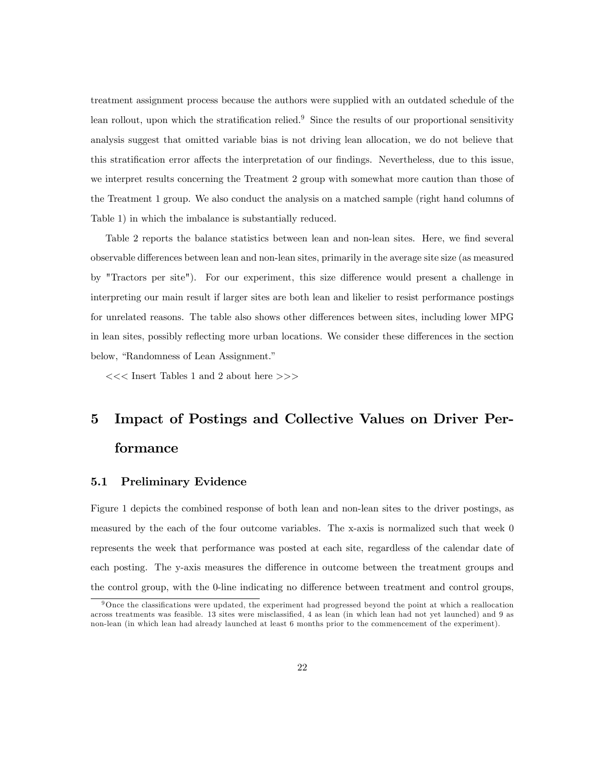treatment assignment process because the authors were supplied with an outdated schedule of the lean rollout, upon which the stratification relied.<sup>9</sup> Since the results of our proportional sensitivity analysis suggest that omitted variable bias is not driving lean allocation, we do not believe that this stratification error affects the interpretation of our findings. Nevertheless, due to this issue, we interpret results concerning the Treatment 2 group with somewhat more caution than those of the Treatment 1 group. We also conduct the analysis on a matched sample (right hand columns of Table 1) in which the imbalance is substantially reduced.

Table 2 reports the balance statistics between lean and non-lean sites. Here, we find several observable differences between lean and non-lean sites, primarily in the average site size (as measured by "Tractors per site"). For our experiment, this size difference would present a challenge in interpreting our main result if larger sites are both lean and likelier to resist performance postings for unrelated reasons. The table also shows other differences between sites, including lower MPG in lean sites, possibly reflecting more urban locations. We consider these differences in the section below, "Randomness of Lean Assignment."

<<< Insert Tables 1 and 2 about here >>>

# 5 Impact of Postings and Collective Values on Driver Performance

### 5.1 Preliminary Evidence

Figure 1 depicts the combined response of both lean and non-lean sites to the driver postings, as measured by the each of the four outcome variables. The x-axis is normalized such that week 0 represents the week that performance was posted at each site, regardless of the calendar date of each posting. The y-axis measures the difference in outcome between the treatment groups and the control group, with the 0-line indicating no difference between treatment and control groups,

<sup>&</sup>lt;sup>9</sup>Once the classifications were updated, the experiment had progressed beyond the point at which a reallocation across treatments was feasible. 13 sites were misclassified, 4 as lean (in which lean had not yet launched) and 9 as non-lean (in which lean had already launched at least 6 months prior to the commencement of the experiment).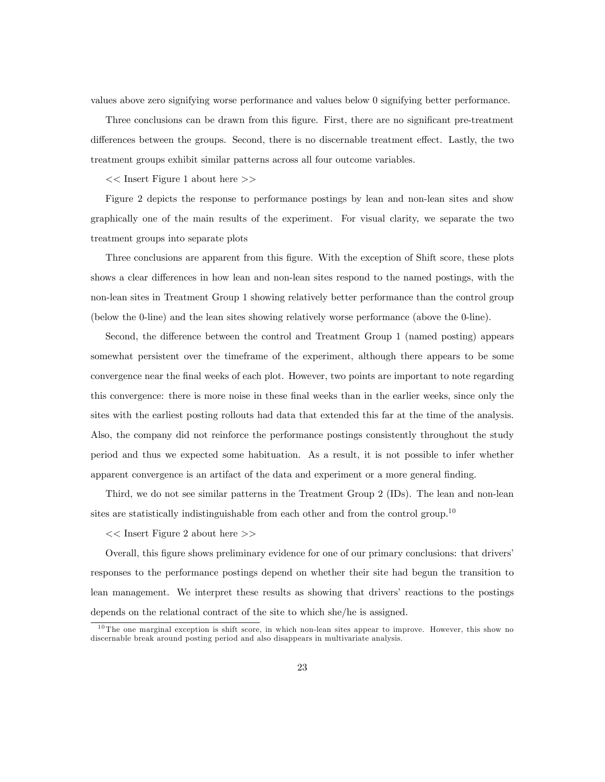values above zero signifying worse performance and values below 0 signifying better performance.

Three conclusions can be drawn from this figure. First, there are no significant pre-treatment differences between the groups. Second, there is no discernable treatment effect. Lastly, the two treatment groups exhibit similar patterns across all four outcome variables.

<< Insert Figure 1 about here >>

Figure 2 depicts the response to performance postings by lean and non-lean sites and show graphically one of the main results of the experiment. For visual clarity, we separate the two treatment groups into separate plots

Three conclusions are apparent from this figure. With the exception of Shift score, these plots shows a clear differences in how lean and non-lean sites respond to the named postings, with the non-lean sites in Treatment Group 1 showing relatively better performance than the control group (below the 0-line) and the lean sites showing relatively worse performance (above the 0-line).

Second, the difference between the control and Treatment Group 1 (named posting) appears somewhat persistent over the timeframe of the experiment, although there appears to be some convergence near the Önal weeks of each plot. However, two points are important to note regarding this convergence: there is more noise in these final weeks than in the earlier weeks, since only the sites with the earliest posting rollouts had data that extended this far at the time of the analysis. Also, the company did not reinforce the performance postings consistently throughout the study period and thus we expected some habituation. As a result, it is not possible to infer whether apparent convergence is an artifact of the data and experiment or a more general finding.

Third, we do not see similar patterns in the Treatment Group 2 (IDs). The lean and non-lean sites are statistically indistinguishable from each other and from the control group.<sup>10</sup>

<< Insert Figure 2 about here >>

Overall, this figure shows preliminary evidence for one of our primary conclusions: that drivers' responses to the performance postings depend on whether their site had begun the transition to lean management. We interpret these results as showing that drivers' reactions to the postings depends on the relational contract of the site to which she/he is assigned.

<sup>&</sup>lt;sup>10</sup> The one marginal exception is shift score, in which non-lean sites appear to improve. However, this show no discernable break around posting period and also disappears in multivariate analysis.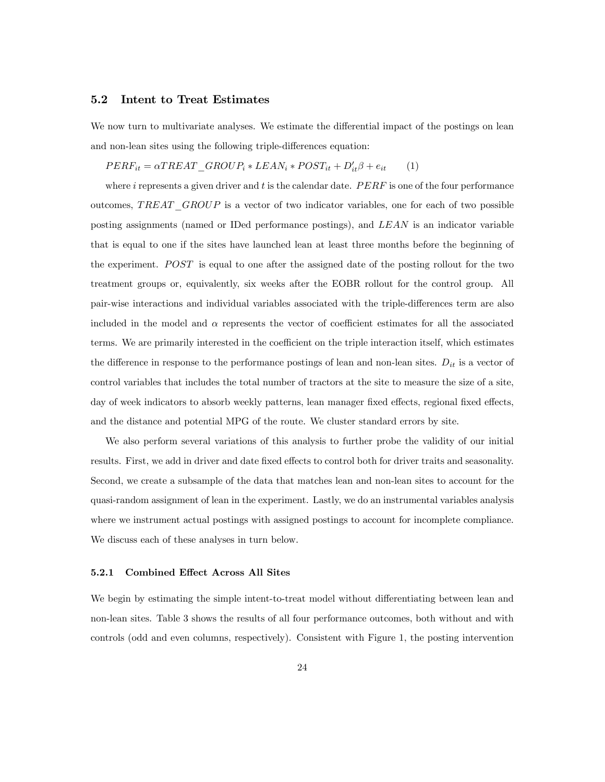### 5.2 Intent to Treat Estimates

We now turn to multivariate analyses. We estimate the differential impact of the postings on lean and non-lean sites using the following triple-differences equation:

# $PERF_{it} = \alpha T REAL\_GROUR_i * LEAN_i * POST_{it} + D'_{it}\beta + e_{it}$  (1)

where  $i$  represents a given driver and  $t$  is the calendar date.  $PERF$  is one of the four performance outcomes,  $TREAT$   $GROUP$  is a vector of two indicator variables, one for each of two possible posting assignments (named or IDed performance postings), and LEAN is an indicator variable that is equal to one if the sites have launched lean at least three months before the beginning of the experiment.  $POST$  is equal to one after the assigned date of the posting rollout for the two treatment groups or, equivalently, six weeks after the EOBR rollout for the control group. All pair-wise interactions and individual variables associated with the triple-differences term are also included in the model and  $\alpha$  represents the vector of coefficient estimates for all the associated terms. We are primarily interested in the coefficient on the triple interaction itself, which estimates the difference in response to the performance postings of lean and non-lean sites.  $D_{it}$  is a vector of control variables that includes the total number of tractors at the site to measure the size of a site, day of week indicators to absorb weekly patterns, lean manager fixed effects, regional fixed effects, and the distance and potential MPG of the route. We cluster standard errors by site.

We also perform several variations of this analysis to further probe the validity of our initial results. First, we add in driver and date fixed effects to control both for driver traits and seasonality. Second, we create a subsample of the data that matches lean and non-lean sites to account for the quasi-random assignment of lean in the experiment. Lastly, we do an instrumental variables analysis where we instrument actual postings with assigned postings to account for incomplete compliance. We discuss each of these analyses in turn below.

#### 5.2.1 Combined Effect Across All Sites

We begin by estimating the simple intent-to-treat model without differentiating between lean and non-lean sites. Table 3 shows the results of all four performance outcomes, both without and with controls (odd and even columns, respectively). Consistent with Figure 1, the posting intervention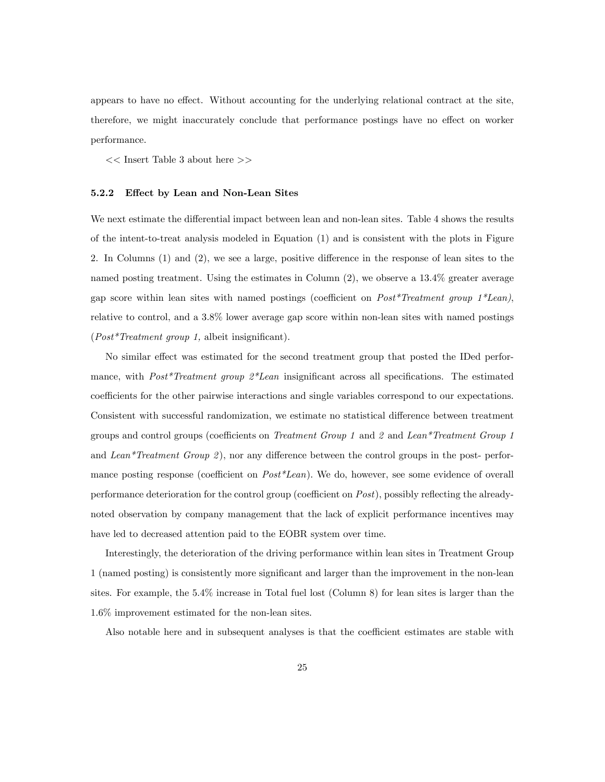appears to have no effect. Without accounting for the underlying relational contract at the site, therefore, we might inaccurately conclude that performance postings have no effect on worker performance.

 $<<$  Insert Table 3 about here  $>>$ 

### 5.2.2 Effect by Lean and Non-Lean Sites

We next estimate the differential impact between lean and non-lean sites. Table 4 shows the results of the intent-to-treat analysis modeled in Equation (1) and is consistent with the plots in Figure 2. In Columns  $(1)$  and  $(2)$ , we see a large, positive difference in the response of lean sites to the named posting treatment. Using the estimates in Column (2), we observe a 13.4% greater average gap score within lean sites with named postings (coefficient on  $Post*Treatment\ group\ 1*Lean$ ), relative to control, and a 3.8% lower average gap score within non-lean sites with named postings  $(Post*Treatment group 1, albeit insignificant).$ 

No similar effect was estimated for the second treatment group that posted the IDed performance, with  $Post*Treatment$  group  $2*Lean$  insignificant across all specifications. The estimated coefficients for the other pairwise interactions and single variables correspond to our expectations. Consistent with successful randomization, we estimate no statistical difference between treatment groups and control groups (coefficients on Treatment Group 1 and  $\ell$  and Lean\*Treatment Group 1 and Lean\*Treatment Group 2), nor any difference between the control groups in the post- performance posting response (coefficient on  $Post*Lean$ ). We do, however, see some evidence of overall performance deterioration for the control group (coefficient on  $Post$ ), possibly reflecting the alreadynoted observation by company management that the lack of explicit performance incentives may have led to decreased attention paid to the EOBR system over time.

Interestingly, the deterioration of the driving performance within lean sites in Treatment Group 1 (named posting) is consistently more significant and larger than the improvement in the non-lean sites. For example, the 5.4% increase in Total fuel lost (Column 8) for lean sites is larger than the 1.6% improvement estimated for the non-lean sites.

Also notable here and in subsequent analyses is that the coefficient estimates are stable with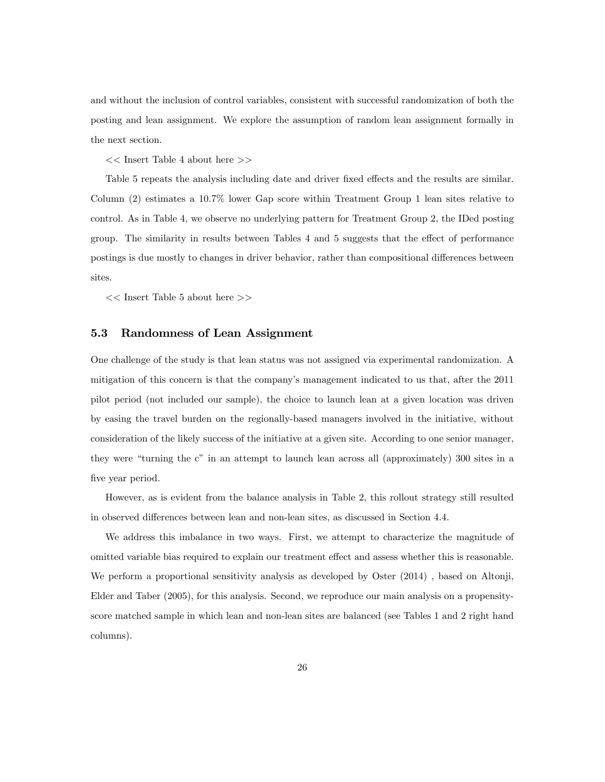and without the inclusion of control variables, consistent with successful randomization of both the posting and lean assignment. We explore the assumption of random lean assignment formally in the next section.

<< Insert Table 4 about here >>

Table 5 repeats the analysis including date and driver fixed effects and the results are similar. Column (2) estimates a 10.7% lower Gap score within Treatment Group 1 lean sites relative to control. As in Table 4, we observe no underlying pattern for Treatment Group 2, the IDed posting group. The similarity in results between Tables 4 and 5 suggests that the effect of performance postings is due mostly to changes in driver behavior, rather than compositional differences between sites.

<< Insert Table 5 about here >>

### 5.3 Randomness of Lean Assignment

One challenge of the study is that lean status was not assigned via experimental randomization. A mitigation of this concern is that the company's management indicated to us that, after the 2011 pilot period (not included our sample), the choice to launch lean at a given location was driven by easing the travel burden on the regionally-based managers involved in the initiative, without consideration of the likely success of the initiative at a given site. According to one senior manager, they were "turning the c" in an attempt to launch lean across all (approximately) 300 sites in a five year period.

However, as is evident from the balance analysis in Table 2, this rollout strategy still resulted in observed differences between lean and non-lean sites, as discussed in Section 4.4.

We address this imbalance in two ways. First, we attempt to characterize the magnitude of omitted variable bias required to explain our treatment effect and assess whether this is reasonable. We perform a proportional sensitivity analysis as developed by Oster (2014) , based on Altonji, Elder and Taber (2005), for this analysis. Second, we reproduce our main analysis on a propensityscore matched sample in which lean and non-lean sites are balanced (see Tables 1 and 2 right hand columns).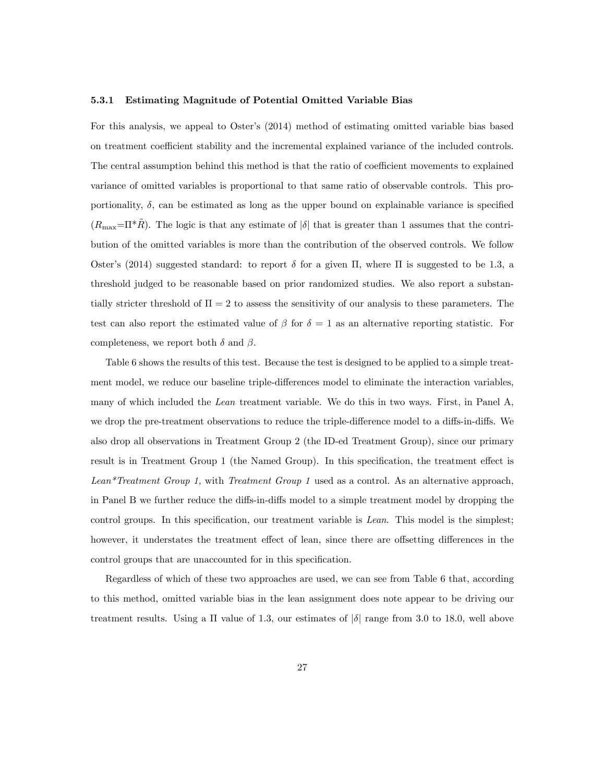#### 5.3.1 Estimating Magnitude of Potential Omitted Variable Bias

For this analysis, we appeal to Oster's  $(2014)$  method of estimating omitted variable bias based on treatment coefficient stability and the incremental explained variance of the included controls. The central assumption behind this method is that the ratio of coefficient movements to explained variance of omitted variables is proportional to that same ratio of observable controls. This proportionality,  $\delta$ , can be estimated as long as the upper bound on explainable variance is specified  $(R_{\text{max}}=\Pi^*R)$ . The logic is that any estimate of  $|\delta|$  that is greater than 1 assumes that the contribution of the omitted variables is more than the contribution of the observed controls. We follow Oster's (2014) suggested standard: to report  $\delta$  for a given  $\Pi$ , where  $\Pi$  is suggested to be 1.3, a threshold judged to be reasonable based on prior randomized studies. We also report a substantially stricter threshold of  $\Pi = 2$  to assess the sensitivity of our analysis to these parameters. The test can also report the estimated value of  $\beta$  for  $\delta = 1$  as an alternative reporting statistic. For completeness, we report both  $\delta$  and  $\beta$ .

Table 6 shows the results of this test. Because the test is designed to be applied to a simple treatment model, we reduce our baseline triple-differences model to eliminate the interaction variables, many of which included the Lean treatment variable. We do this in two ways. First, in Panel A, we drop the pre-treatment observations to reduce the triple-difference model to a diffs-in-diffs. We also drop all observations in Treatment Group 2 (the ID-ed Treatment Group), since our primary result is in Treatment Group 1 (the Named Group). In this specification, the treatment effect is Lean<sup>\*</sup>Treatment Group 1, with Treatment Group 1 used as a control. As an alternative approach, in Panel B we further reduce the diffs-in-diffs model to a simple treatment model by dropping the control groups. In this specification, our treatment variable is Lean. This model is the simplest; however, it understates the treatment effect of lean, since there are offsetting differences in the control groups that are unaccounted for in this specification.

Regardless of which of these two approaches are used, we can see from Table 6 that, according to this method, omitted variable bias in the lean assignment does note appear to be driving our treatment results. Using a  $\Pi$  value of 1.3, our estimates of  $|\delta|$  range from 3.0 to 18.0, well above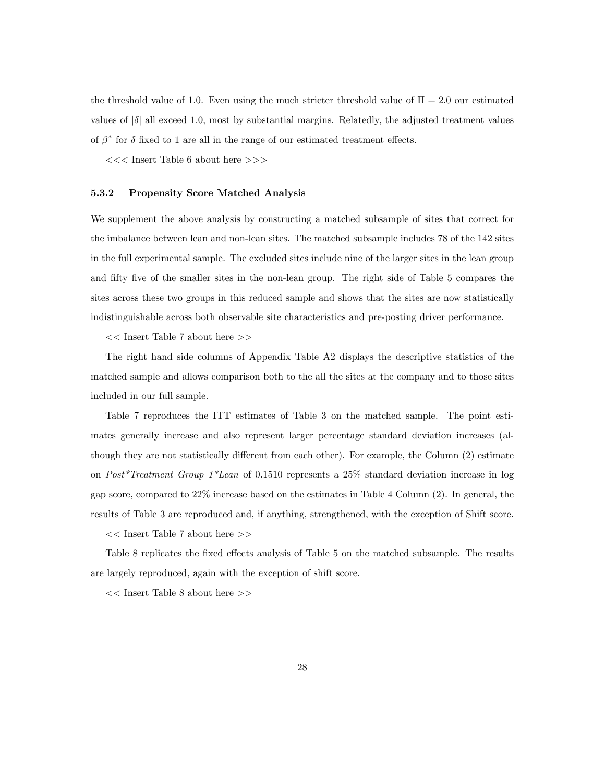the threshold value of 1.0. Even using the much stricter threshold value of  $\Pi = 2.0$  our estimated values of  $|\delta|$  all exceed 1.0, most by substantial margins. Relatedly, the adjusted treatment values of  $\beta^*$  for  $\delta$  fixed to 1 are all in the range of our estimated treatment effects.

<<< Insert Table 6 about here >>>

### 5.3.2 Propensity Score Matched Analysis

We supplement the above analysis by constructing a matched subsample of sites that correct for the imbalance between lean and non-lean sites. The matched subsample includes 78 of the 142 sites in the full experimental sample. The excluded sites include nine of the larger sites in the lean group and fifty five of the smaller sites in the non-lean group. The right side of Table 5 compares the sites across these two groups in this reduced sample and shows that the sites are now statistically indistinguishable across both observable site characteristics and pre-posting driver performance.

 $<<$  Insert Table 7 about here  $>>$ 

The right hand side columns of Appendix Table A2 displays the descriptive statistics of the matched sample and allows comparison both to the all the sites at the company and to those sites included in our full sample.

Table 7 reproduces the ITT estimates of Table 3 on the matched sample. The point estimates generally increase and also represent larger percentage standard deviation increases (although they are not statistically different from each other). For example, the Column (2) estimate on Post<sup>\*</sup>Treatment Group  $1$ <sup>\*</sup>Lean of 0.1510 represents a 25% standard deviation increase in log gap score, compared to 22% increase based on the estimates in Table 4 Column (2). In general, the results of Table 3 are reproduced and, if anything, strengthened, with the exception of Shift score.

<< Insert Table 7 about here >>

Table 8 replicates the fixed effects analysis of Table 5 on the matched subsample. The results are largely reproduced, again with the exception of shift score.

<< Insert Table 8 about here >>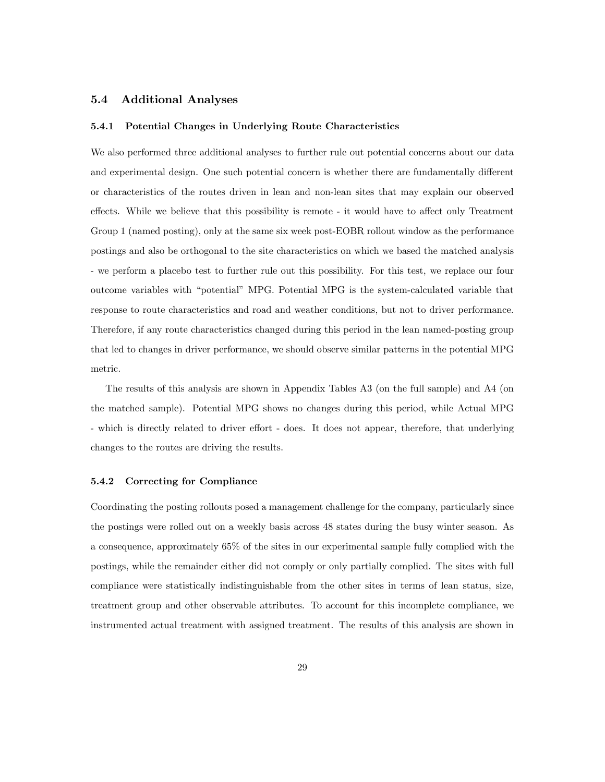# 5.4 Additional Analyses

### 5.4.1 Potential Changes in Underlying Route Characteristics

We also performed three additional analyses to further rule out potential concerns about our data and experimental design. One such potential concern is whether there are fundamentally different or characteristics of the routes driven in lean and non-lean sites that may explain our observed effects. While we believe that this possibility is remote - it would have to affect only Treatment Group 1 (named posting), only at the same six week post-EOBR rollout window as the performance postings and also be orthogonal to the site characteristics on which we based the matched analysis - we perform a placebo test to further rule out this possibility. For this test, we replace our four outcome variables with "potential" MPG. Potential MPG is the system-calculated variable that response to route characteristics and road and weather conditions, but not to driver performance. Therefore, if any route characteristics changed during this period in the lean named-posting group that led to changes in driver performance, we should observe similar patterns in the potential MPG metric.

The results of this analysis are shown in Appendix Tables A3 (on the full sample) and A4 (on the matched sample). Potential MPG shows no changes during this period, while Actual MPG - which is directly related to driver effort - does. It does not appear, therefore, that underlying changes to the routes are driving the results.

#### 5.4.2 Correcting for Compliance

Coordinating the posting rollouts posed a management challenge for the company, particularly since the postings were rolled out on a weekly basis across 48 states during the busy winter season. As a consequence, approximately 65% of the sites in our experimental sample fully complied with the postings, while the remainder either did not comply or only partially complied. The sites with full compliance were statistically indistinguishable from the other sites in terms of lean status, size, treatment group and other observable attributes. To account for this incomplete compliance, we instrumented actual treatment with assigned treatment. The results of this analysis are shown in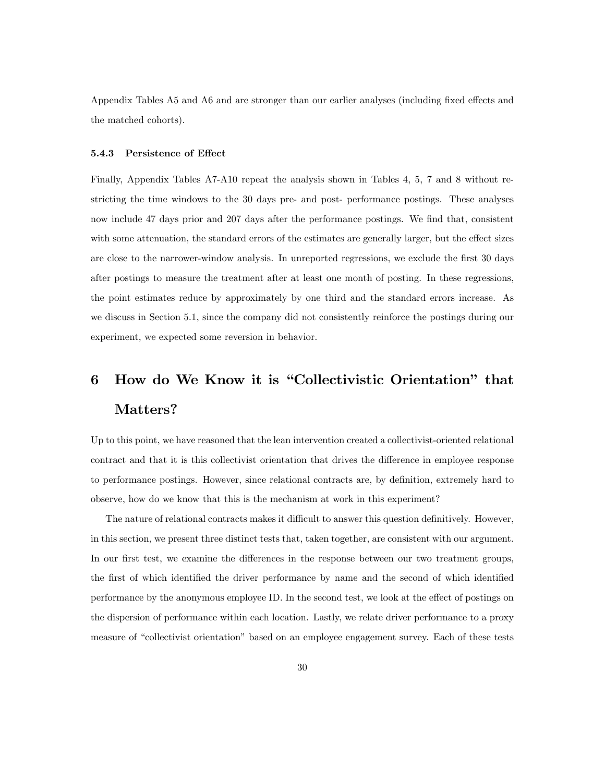Appendix Tables A5 and A6 and are stronger than our earlier analyses (including fixed effects and the matched cohorts).

#### 5.4.3 Persistence of Effect

Finally, Appendix Tables A7-A10 repeat the analysis shown in Tables 4, 5, 7 and 8 without restricting the time windows to the 30 days pre- and post- performance postings. These analyses now include 47 days prior and 207 days after the performance postings. We find that, consistent with some attenuation, the standard errors of the estimates are generally larger, but the effect sizes are close to the narrower-window analysis. In unreported regressions, we exclude the first 30 days after postings to measure the treatment after at least one month of posting. In these regressions, the point estimates reduce by approximately by one third and the standard errors increase. As we discuss in Section 5.1, since the company did not consistently reinforce the postings during our experiment, we expected some reversion in behavior.

# 6 How do We Know it is "Collectivistic Orientation" that Matters?

Up to this point, we have reasoned that the lean intervention created a collectivist-oriented relational contract and that it is this collectivist orientation that drives the difference in employee response to performance postings. However, since relational contracts are, by definition, extremely hard to observe, how do we know that this is the mechanism at work in this experiment?

The nature of relational contracts makes it difficult to answer this question definitively. However, in this section, we present three distinct tests that, taken together, are consistent with our argument. In our first test, we examine the differences in the response between our two treatment groups, the first of which identified the driver performance by name and the second of which identified performance by the anonymous employee ID. In the second test, we look at the effect of postings on the dispersion of performance within each location. Lastly, we relate driver performance to a proxy measure of "collectivist orientation" based on an employee engagement survey. Each of these tests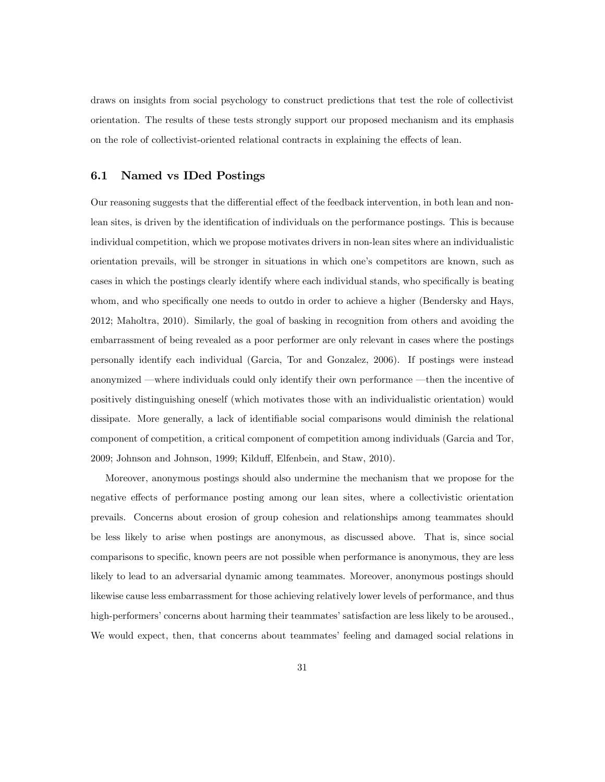draws on insights from social psychology to construct predictions that test the role of collectivist orientation. The results of these tests strongly support our proposed mechanism and its emphasis on the role of collectivist-oriented relational contracts in explaining the effects of lean.

## 6.1 Named vs IDed Postings

Our reasoning suggests that the differential effect of the feedback intervention, in both lean and nonlean sites, is driven by the identification of individuals on the performance postings. This is because individual competition, which we propose motivates drivers in non-lean sites where an individualistic orientation prevails, will be stronger in situations in which oneís competitors are known, such as cases in which the postings clearly identify where each individual stands, who specifically is beating whom, and who specifically one needs to outdo in order to achieve a higher (Bendersky and Hays, 2012; Maholtra, 2010). Similarly, the goal of basking in recognition from others and avoiding the embarrassment of being revealed as a poor performer are only relevant in cases where the postings personally identify each individual (Garcia, Tor and Gonzalez, 2006). If postings were instead anonymized —where individuals could only identify their own performance —then the incentive of positively distinguishing oneself (which motivates those with an individualistic orientation) would dissipate. More generally, a lack of identifiable social comparisons would diminish the relational component of competition, a critical component of competition among individuals (Garcia and Tor, 2009; Johnson and Johnson, 1999; Kilduff, Elfenbein, and Staw, 2010).

Moreover, anonymous postings should also undermine the mechanism that we propose for the negative effects of performance posting among our lean sites, where a collectivistic orientation prevails. Concerns about erosion of group cohesion and relationships among teammates should be less likely to arise when postings are anonymous, as discussed above. That is, since social comparisons to specific, known peers are not possible when performance is anonymous, they are less likely to lead to an adversarial dynamic among teammates. Moreover, anonymous postings should likewise cause less embarrassment for those achieving relatively lower levels of performance, and thus high-performers' concerns about harming their teammates' satisfaction are less likely to be aroused., We would expect, then, that concerns about teammates' feeling and damaged social relations in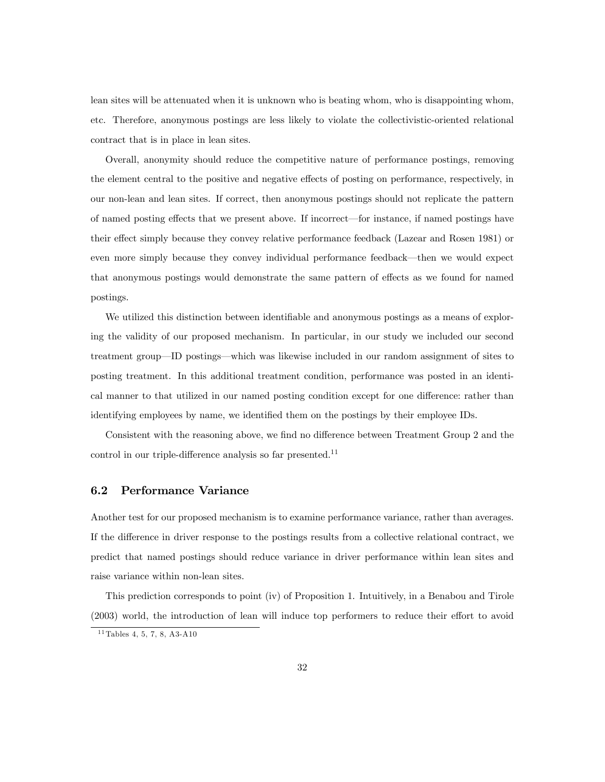lean sites will be attenuated when it is unknown who is beating whom, who is disappointing whom, etc. Therefore, anonymous postings are less likely to violate the collectivistic-oriented relational contract that is in place in lean sites.

Overall, anonymity should reduce the competitive nature of performance postings, removing the element central to the positive and negative effects of posting on performance, respectively, in our non-lean and lean sites. If correct, then anonymous postings should not replicate the pattern of named posting effects that we present above. If incorrect—for instance, if named postings have their effect simply because they convey relative performance feedback (Lazear and Rosen 1981) or even more simply because they convey individual performance feedback—then we would expect that anonymous postings would demonstrate the same pattern of effects as we found for named postings.

We utilized this distinction between identifiable and anonymous postings as a means of exploring the validity of our proposed mechanism. In particular, in our study we included our second treatment group—ID postings—which was likewise included in our random assignment of sites to posting treatment. In this additional treatment condition, performance was posted in an identical manner to that utilized in our named posting condition except for one difference: rather than identifying employees by name, we identified them on the postings by their employee IDs.

Consistent with the reasoning above, we find no difference between Treatment Group 2 and the control in our triple-difference analysis so far presented.<sup>11</sup>

# 6.2 Performance Variance

Another test for our proposed mechanism is to examine performance variance, rather than averages. If the difference in driver response to the postings results from a collective relational contract, we predict that named postings should reduce variance in driver performance within lean sites and raise variance within non-lean sites.

This prediction corresponds to point (iv) of Proposition 1. Intuitively, in a Benabou and Tirole  $(2003)$  world, the introduction of lean will induce top performers to reduce their effort to avoid

 $11$  Tables 4, 5, 7, 8, A3-A10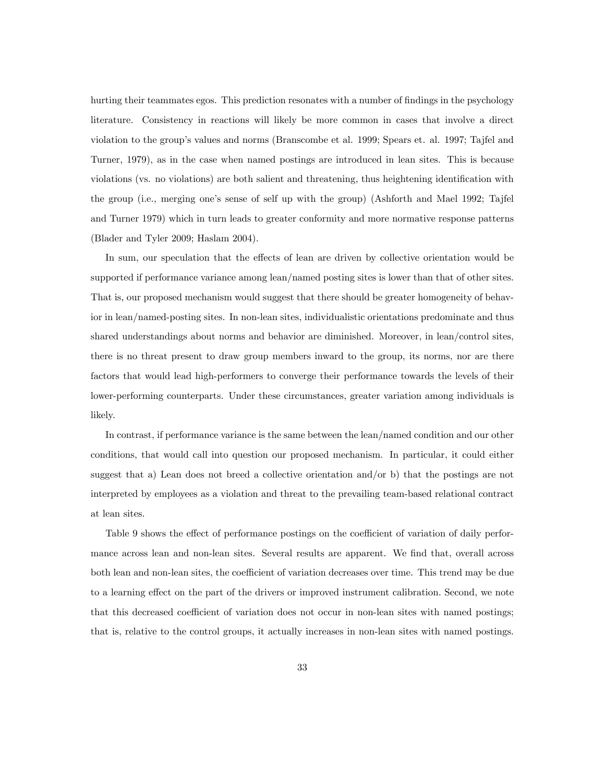hurting their teammates egos. This prediction resonates with a number of findings in the psychology literature. Consistency in reactions will likely be more common in cases that involve a direct violation to the groupís values and norms (Branscombe et al. 1999; Spears et. al. 1997; Tajfel and Turner, 1979), as in the case when named postings are introduced in lean sites. This is because violations (vs. no violations) are both salient and threatening, thus heightening identification with the group (i.e., merging one's sense of self up with the group) (Ashforth and Mael 1992; Tajfel and Turner 1979) which in turn leads to greater conformity and more normative response patterns (Blader and Tyler 2009; Haslam 2004).

In sum, our speculation that the effects of lean are driven by collective orientation would be supported if performance variance among lean/named posting sites is lower than that of other sites. That is, our proposed mechanism would suggest that there should be greater homogeneity of behavior in lean/named-posting sites. In non-lean sites, individualistic orientations predominate and thus shared understandings about norms and behavior are diminished. Moreover, in lean/control sites, there is no threat present to draw group members inward to the group, its norms, nor are there factors that would lead high-performers to converge their performance towards the levels of their lower-performing counterparts. Under these circumstances, greater variation among individuals is likely.

In contrast, if performance variance is the same between the lean/named condition and our other conditions, that would call into question our proposed mechanism. In particular, it could either suggest that a) Lean does not breed a collective orientation and/or b) that the postings are not interpreted by employees as a violation and threat to the prevailing team-based relational contract at lean sites.

Table 9 shows the effect of performance postings on the coefficient of variation of daily performance across lean and non-lean sites. Several results are apparent. We find that, overall across both lean and non-lean sites, the coefficient of variation decreases over time. This trend may be due to a learning effect on the part of the drivers or improved instrument calibration. Second, we note that this decreased coefficient of variation does not occur in non-lean sites with named postings; that is, relative to the control groups, it actually increases in non-lean sites with named postings.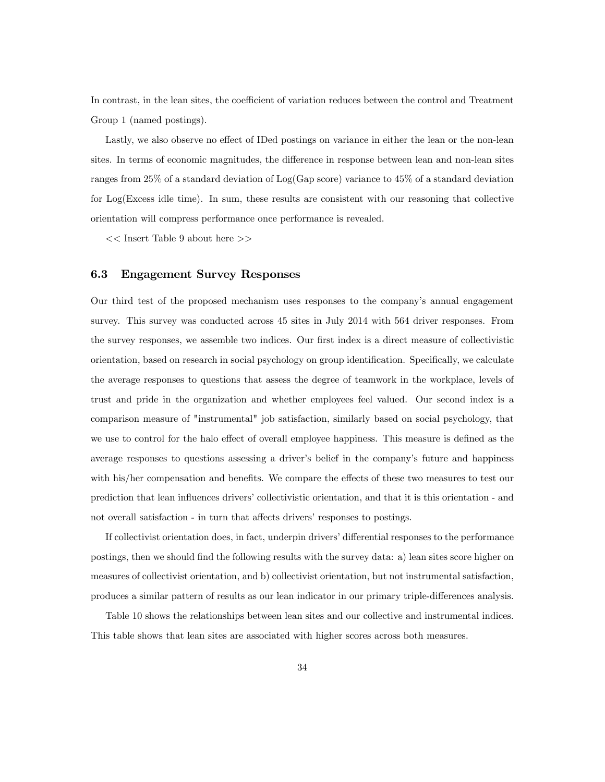In contrast, in the lean sites, the coefficient of variation reduces between the control and Treatment Group 1 (named postings).

Lastly, we also observe no effect of IDed postings on variance in either the lean or the non-lean sites. In terms of economic magnitudes, the difference in response between lean and non-lean sites ranges from 25% of a standard deviation of Log(Gap score) variance to 45% of a standard deviation for Log(Excess idle time). In sum, these results are consistent with our reasoning that collective orientation will compress performance once performance is revealed.

 $<<$  Insert Table 9 about here  $>>$ 

#### 6.3 Engagement Survey Responses

Our third test of the proposed mechanism uses responses to the companyís annual engagement survey. This survey was conducted across 45 sites in July 2014 with 564 driver responses. From the survey responses, we assemble two indices. Our first index is a direct measure of collectivistic orientation, based on research in social psychology on group identification. Specifically, we calculate the average responses to questions that assess the degree of teamwork in the workplace, levels of trust and pride in the organization and whether employees feel valued. Our second index is a comparison measure of "instrumental" job satisfaction, similarly based on social psychology, that we use to control for the halo effect of overall employee happiness. This measure is defined as the average responses to questions assessing a driver's belief in the company's future and happiness with his/her compensation and benefits. We compare the effects of these two measures to test our prediction that lean influences drivers' collectivistic orientation, and that it is this orientation - and not overall satisfaction - in turn that affects drivers' responses to postings.

If collectivist orientation does, in fact, underpin drivers' differential responses to the performance postings, then we should Önd the following results with the survey data: a) lean sites score higher on measures of collectivist orientation, and b) collectivist orientation, but not instrumental satisfaction, produces a similar pattern of results as our lean indicator in our primary triple-differences analysis.

Table 10 shows the relationships between lean sites and our collective and instrumental indices. This table shows that lean sites are associated with higher scores across both measures.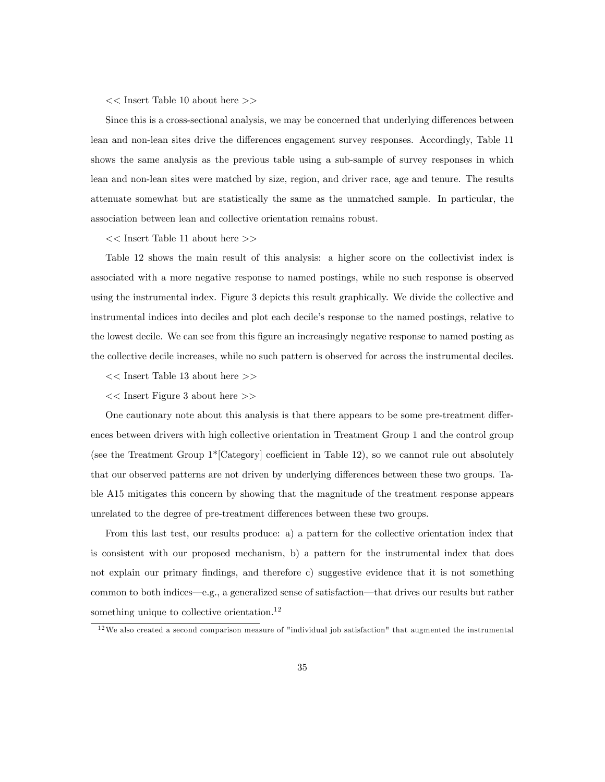#### << Insert Table 10 about here >>

Since this is a cross-sectional analysis, we may be concerned that underlying differences between lean and non-lean sites drive the differences engagement survey responses. Accordingly, Table 11 shows the same analysis as the previous table using a sub-sample of survey responses in which lean and non-lean sites were matched by size, region, and driver race, age and tenure. The results attenuate somewhat but are statistically the same as the unmatched sample. In particular, the association between lean and collective orientation remains robust.

 $<<$  Insert Table 11 about here  $>>$ 

Table 12 shows the main result of this analysis: a higher score on the collectivist index is associated with a more negative response to named postings, while no such response is observed using the instrumental index. Figure 3 depicts this result graphically. We divide the collective and instrumental indices into deciles and plot each decileís response to the named postings, relative to the lowest decile. We can see from this figure an increasingly negative response to named posting as the collective decile increases, while no such pattern is observed for across the instrumental deciles.

- $<<$  Insert Table 13 about here  $>>$
- << Insert Figure 3 about here >>

One cautionary note about this analysis is that there appears to be some pre-treatment differences between drivers with high collective orientation in Treatment Group 1 and the control group (see the Treatment Group  $1^*$ [Category] coefficient in Table 12), so we cannot rule out absolutely that our observed patterns are not driven by underlying differences between these two groups. Table A15 mitigates this concern by showing that the magnitude of the treatment response appears unrelated to the degree of pre-treatment differences between these two groups.

From this last test, our results produce: a) a pattern for the collective orientation index that is consistent with our proposed mechanism, b) a pattern for the instrumental index that does not explain our primary findings, and therefore c) suggestive evidence that it is not something common to both indices—e.g., a generalized sense of satisfaction—that drives our results but rather something unique to collective orientation.<sup>12</sup>

 $12$ We also created a second comparison measure of "individual job satisfaction" that augmented the instrumental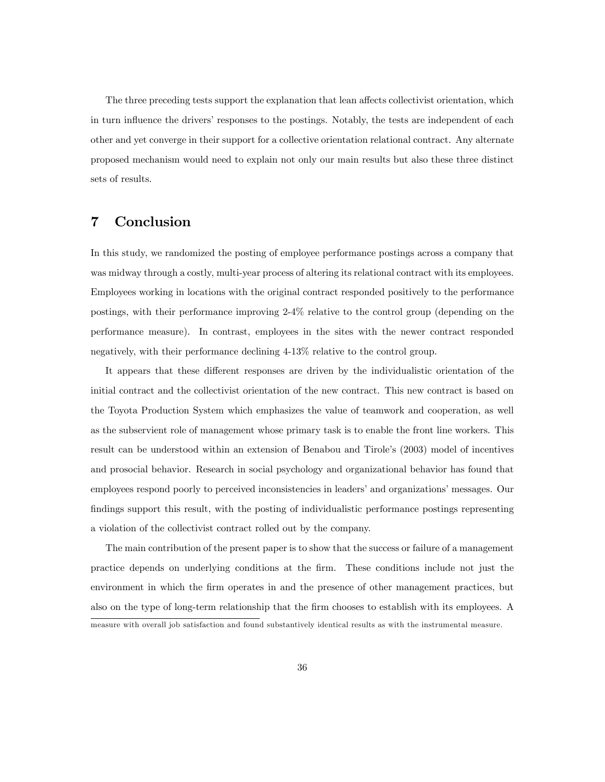The three preceding tests support the explanation that lean affects collectivist orientation, which in turn influence the drivers' responses to the postings. Notably, the tests are independent of each other and yet converge in their support for a collective orientation relational contract. Any alternate proposed mechanism would need to explain not only our main results but also these three distinct sets of results.

## 7 Conclusion

In this study, we randomized the posting of employee performance postings across a company that was midway through a costly, multi-year process of altering its relational contract with its employees. Employees working in locations with the original contract responded positively to the performance postings, with their performance improving 2-4% relative to the control group (depending on the performance measure). In contrast, employees in the sites with the newer contract responded negatively, with their performance declining 4-13% relative to the control group.

It appears that these different responses are driven by the individualistic orientation of the initial contract and the collectivist orientation of the new contract. This new contract is based on the Toyota Production System which emphasizes the value of teamwork and cooperation, as well as the subservient role of management whose primary task is to enable the front line workers. This result can be understood within an extension of Benabou and Tirole's (2003) model of incentives and prosocial behavior. Research in social psychology and organizational behavior has found that employees respond poorly to perceived inconsistencies in leaders' and organizations' messages. Our findings support this result, with the posting of individualistic performance postings representing a violation of the collectivist contract rolled out by the company.

The main contribution of the present paper is to show that the success or failure of a management practice depends on underlying conditions at the Örm. These conditions include not just the environment in which the Örm operates in and the presence of other management practices, but also on the type of long-term relationship that the firm chooses to establish with its employees. A measure with overall job satisfaction and found substantively identical results as with the instrumental measure.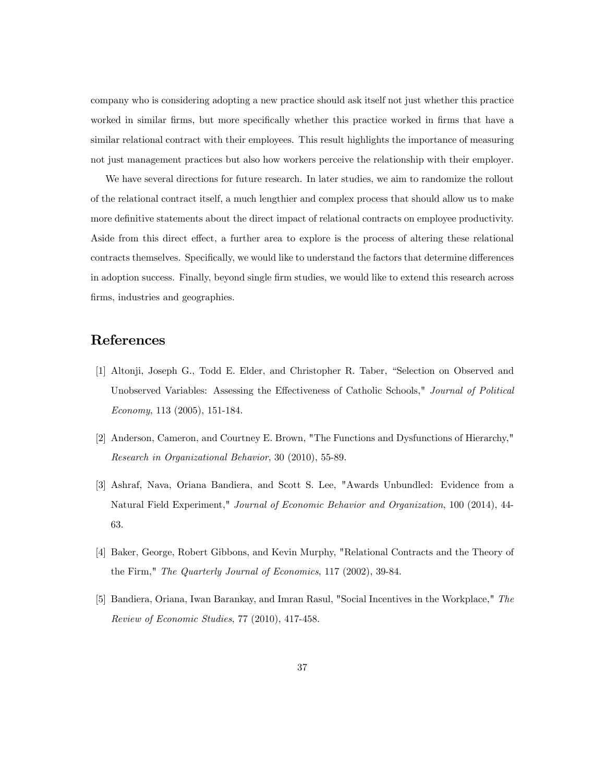company who is considering adopting a new practice should ask itself not just whether this practice worked in similar firms, but more specifically whether this practice worked in firms that have a similar relational contract with their employees. This result highlights the importance of measuring not just management practices but also how workers perceive the relationship with their employer.

We have several directions for future research. In later studies, we aim to randomize the rollout of the relational contract itself, a much lengthier and complex process that should allow us to make more definitive statements about the direct impact of relational contracts on employee productivity. Aside from this direct effect, a further area to explore is the process of altering these relational contracts themselves. Specifically, we would like to understand the factors that determine differences in adoption success. Finally, beyond single Örm studies, we would like to extend this research across firms, industries and geographies.

## References

- [1] Altonji, Joseph G., Todd E. Elder, and Christopher R. Taber, "Selection on Observed and Unobserved Variables: Assessing the Effectiveness of Catholic Schools," Journal of Political Economy, 113 (2005), 151-184.
- [2] Anderson, Cameron, and Courtney E. Brown, "The Functions and Dysfunctions of Hierarchy," Research in Organizational Behavior, 30 (2010), 55-89.
- [3] Ashraf, Nava, Oriana Bandiera, and Scott S. Lee, "Awards Unbundled: Evidence from a Natural Field Experiment," Journal of Economic Behavior and Organization, 100 (2014), 44- 63.
- [4] Baker, George, Robert Gibbons, and Kevin Murphy, "Relational Contracts and the Theory of the Firm," The Quarterly Journal of Economics, 117 (2002), 39-84.
- [5] Bandiera, Oriana, Iwan Barankay, and Imran Rasul, "Social Incentives in the Workplace," The Review of Economic Studies, 77 (2010), 417-458.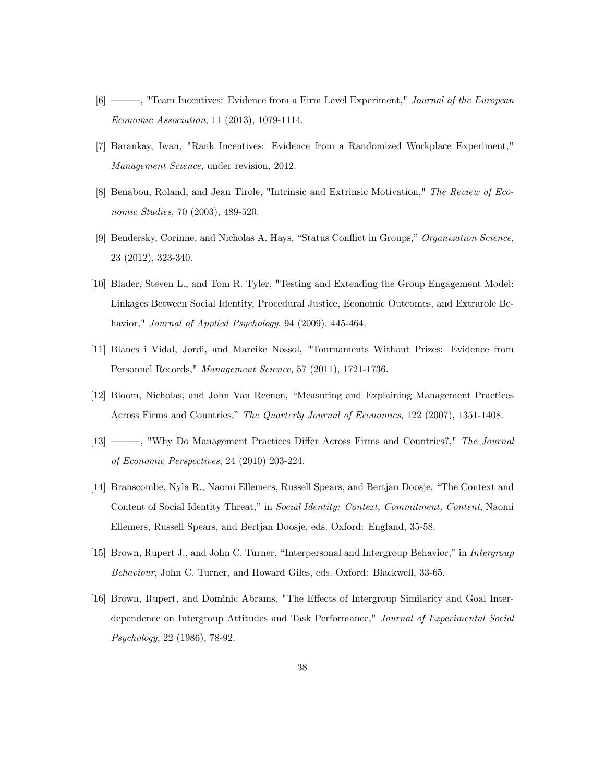- [6] <sup>(6]</sup> <sup>o</sup> Team Incentives: Evidence from a Firm Level Experiment," *Journal of the European* Economic Association, 11 (2013), 1079-1114.
- [7] Barankay, Iwan, "Rank Incentives: Evidence from a Randomized Workplace Experiment," Management Science, under revision, 2012.
- [8] Benabou, Roland, and Jean Tirole, "Intrinsic and Extrinsic Motivation," The Review of Economic Studies, 70 (2003), 489-520.
- [9] Bendersky, Corinne, and Nicholas A. Hays, "Status Conflict in Groups," Organization Science, 23 (2012), 323-340.
- [10] Blader, Steven L., and Tom R. Tyler, "Testing and Extending the Group Engagement Model: Linkages Between Social Identity, Procedural Justice, Economic Outcomes, and Extrarole Behavior," Journal of Applied Psychology, 94 (2009), 445-464.
- [11] Blanes i Vidal, Jordi, and Mareike Nossol, "Tournaments Without Prizes: Evidence from Personnel Records," Management Science, 57 (2011), 1721-1736.
- [12] Bloom, Nicholas, and John Van Reenen, "Measuring and Explaining Management Practices Across Firms and Countries," The Quarterly Journal of Economics, 122 (2007), 1351-1408.
- [13] <sup>13</sup> (13] <sup>or m</sup>, "Why Do Management Practices Differ Across Firms and Countries?," The Journal of Economic Perspectives, 24 (2010) 203-224.
- [14] Branscombe, Nyla R., Naomi Ellemers, Russell Spears, and Bertjan Doosje, "The Context and Content of Social Identity Threat," in Social Identity: Context, Commitment, Content, Naomi Ellemers, Russell Spears, and Bertjan Doosje, eds. Oxford: England, 35-58.
- [15] Brown, Rupert J., and John C. Turner, "Interpersonal and Intergroup Behavior," in Intergroup Behaviour, John C. Turner, and Howard Giles, eds. Oxford: Blackwell, 33-65.
- [16] Brown, Rupert, and Dominic Abrams, "The Effects of Intergroup Similarity and Goal Interdependence on Intergroup Attitudes and Task Performance," Journal of Experimental Social Psychology, 22 (1986), 78-92.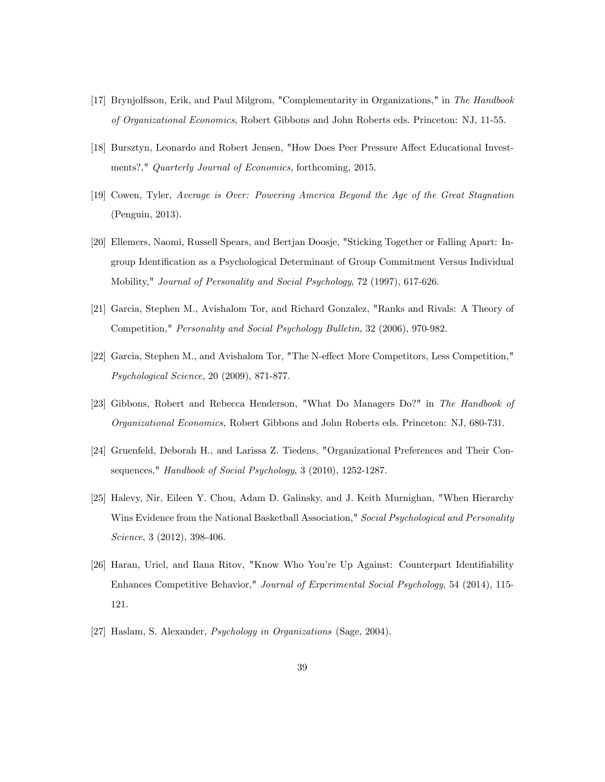- [17] Brynjolfsson, Erik, and Paul Milgrom, "Complementarity in Organizations," in The Handbook of Organizational Economics, Robert Gibbons and John Roberts eds. Princeton: NJ, 11-55.
- [18] Bursztyn, Leonardo and Robert Jensen, "How Does Peer Pressure Affect Educational Investments?," Quarterly Journal of Economics, forthcoming, 2015.
- [19] Cowen, Tyler, Average is Over: Powering America Beyond the Age of the Great Stagnation (Penguin, 2013).
- [20] Ellemers, Naomi, Russell Spears, and Bertjan Doosje, "Sticking Together or Falling Apart: Ingroup Identification as a Psychological Determinant of Group Commitment Versus Individual Mobility," Journal of Personality and Social Psychology, 72 (1997), 617-626.
- [21] Garcia, Stephen M., Avishalom Tor, and Richard Gonzalez, "Ranks and Rivals: A Theory of Competition," Personality and Social Psychology Bulletin, 32 (2006), 970-982.
- [22] Garcia, Stephen M., and Avishalom Tor, "The N-effect More Competitors, Less Competition." Psychological Science, 20 (2009), 871-877.
- [23] Gibbons, Robert and Rebecca Henderson, "What Do Managers Do?" in The Handbook of Organizational Economics, Robert Gibbons and John Roberts eds. Princeton: NJ, 680-731.
- [24] Gruenfeld, Deborah H., and Larissa Z. Tiedens, "Organizational Preferences and Their Consequences," Handbook of Social Psychology, 3 (2010), 1252-1287.
- [25] Halevy, Nir, Eileen Y. Chou, Adam D. Galinsky, and J. Keith Murnighan, "When Hierarchy Wins Evidence from the National Basketball Association," Social Psychological and Personality Science, 3 (2012), 398-406.
- [26] Haran, Uriel, and Ilana Ritov, "Know Who You're Up Against: Counterpart Identifiability Enhances Competitive Behavior," Journal of Experimental Social Psychology, 54 (2014), 115- 121.
- [27] Haslam, S. Alexander, Psychology in Organizations (Sage, 2004).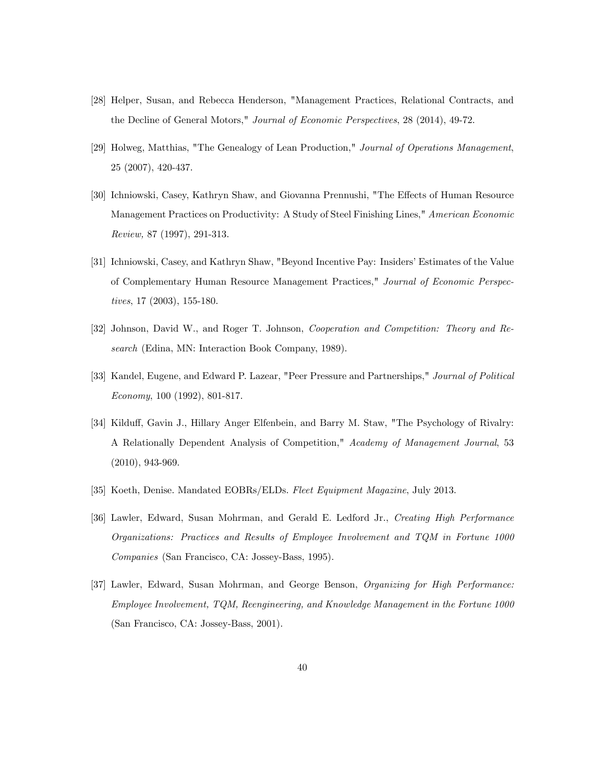- [28] Helper, Susan, and Rebecca Henderson, "Management Practices, Relational Contracts, and the Decline of General Motors," Journal of Economic Perspectives, 28 (2014), 49-72.
- [29] Holweg, Matthias, "The Genealogy of Lean Production," Journal of Operations Management, 25 (2007), 420-437.
- [30] Ichniowski, Casey, Kathryn Shaw, and Giovanna Prennushi, "The Effects of Human Resource Management Practices on Productivity: A Study of Steel Finishing Lines," American Economic Review, 87 (1997), 291-313.
- [31] Ichniowski, Casey, and Kathryn Shaw, "Beyond Incentive Pay: Insiders' Estimates of the Value of Complementary Human Resource Management Practices," Journal of Economic Perspectives, 17 (2003), 155-180.
- [32] Johnson, David W., and Roger T. Johnson, Cooperation and Competition: Theory and Research (Edina, MN: Interaction Book Company, 1989).
- [33] Kandel, Eugene, and Edward P. Lazear, "Peer Pressure and Partnerships," Journal of Political Economy, 100 (1992), 801-817.
- [34] Kilduff, Gavin J., Hillary Anger Elfenbein, and Barry M. Staw, "The Psychology of Rivalry: A Relationally Dependent Analysis of Competition," Academy of Management Journal, 53 (2010), 943-969.
- [35] Koeth, Denise. Mandated EOBRs/ELDs. Fleet Equipment Magazine, July 2013.
- [36] Lawler, Edward, Susan Mohrman, and Gerald E. Ledford Jr., Creating High Performance Organizations: Practices and Results of Employee Involvement and TQM in Fortune 1000 Companies (San Francisco, CA: Jossey-Bass, 1995).
- [37] Lawler, Edward, Susan Mohrman, and George Benson, Organizing for High Performance: Employee Involvement, TQM, Reengineering, and Knowledge Management in the Fortune 1000 (San Francisco, CA: Jossey-Bass, 2001).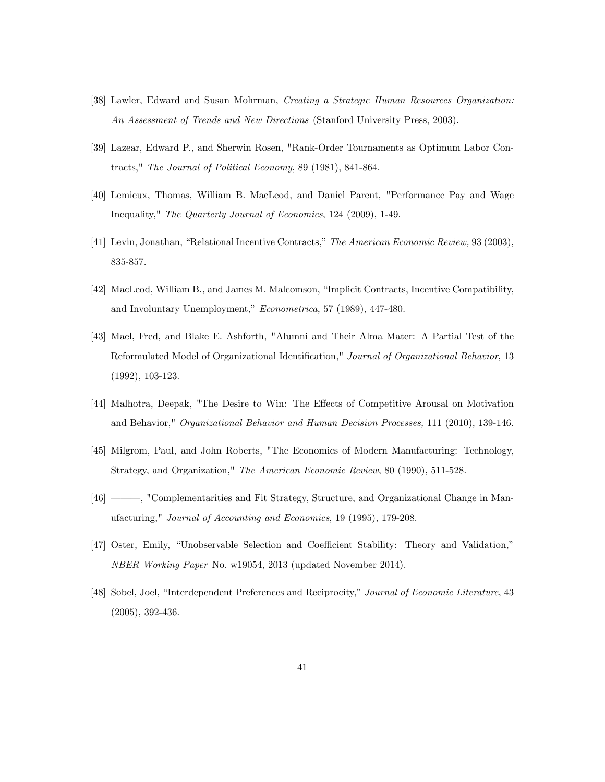- [38] Lawler, Edward and Susan Mohrman, Creating a Strategic Human Resources Organization: An Assessment of Trends and New Directions (Stanford University Press, 2003).
- [39] Lazear, Edward P., and Sherwin Rosen, "Rank-Order Tournaments as Optimum Labor Contracts," The Journal of Political Economy, 89 (1981), 841-864.
- [40] Lemieux, Thomas, William B. MacLeod, and Daniel Parent, "Performance Pay and Wage Inequality," The Quarterly Journal of Economics, 124 (2009), 1-49.
- [41] Levin, Jonathan, "Relational Incentive Contracts," The American Economic Review, 93 (2003), 835-857.
- [42] MacLeod, William B., and James M. Malcomson, "Implicit Contracts, Incentive Compatibility, and Involuntary Unemployment," Econometrica, 57 (1989), 447-480.
- [43] Mael, Fred, and Blake E. Ashforth, "Alumni and Their Alma Mater: A Partial Test of the Reformulated Model of Organizational Identification," Journal of Organizational Behavior, 13 (1992), 103-123.
- [44] Malhotra, Deepak, "The Desire to Win: The Effects of Competitive Arousal on Motivation and Behavior," Organizational Behavior and Human Decision Processes, 111 (2010), 139-146.
- [45] Milgrom, Paul, and John Roberts, "The Economics of Modern Manufacturing: Technology, Strategy, and Organization," The American Economic Review, 80 (1990), 511-528.
- [46] Complementarities and Fit Strategy, Structure, and Organizational Change in Manufacturing," Journal of Accounting and Economics, 19 (1995), 179-208.
- [47] Oster, Emily, "Unobservable Selection and Coefficient Stability: Theory and Validation," NBER Working Paper No. w19054, 2013 (updated November 2014).
- [48] Sobel, Joel, "Interdependent Preferences and Reciprocity," Journal of Economic Literature, 43 (2005), 392-436.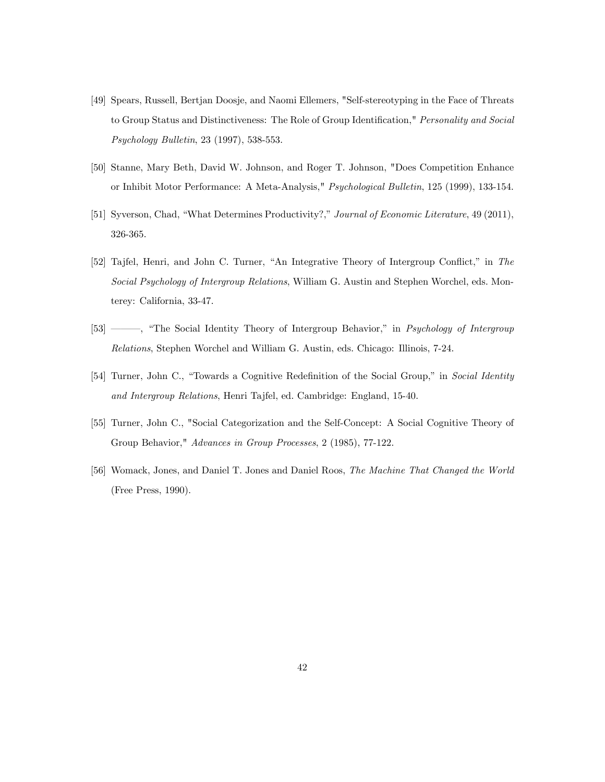- [49] Spears, Russell, Bertjan Doosje, and Naomi Ellemers, "Self-stereotyping in the Face of Threats to Group Status and Distinctiveness: The Role of Group Identification," Personality and Social Psychology Bulletin, 23 (1997), 538-553.
- [50] Stanne, Mary Beth, David W. Johnson, and Roger T. Johnson, "Does Competition Enhance or Inhibit Motor Performance: A Meta-Analysis," Psychological Bulletin, 125 (1999), 133-154.
- [51] Syverson, Chad, "What Determines Productivity?," Journal of Economic Literature, 49 (2011), 326-365.
- [52] Tajfel, Henri, and John C. Turner, "An Integrative Theory of Intergroup Conflict," in The Social Psychology of Intergroup Relations, William G. Austin and Stephen Worchel, eds. Monterey: California, 33-47.
- [53] <sup>6</sup> <sup>6</sup> The Social Identity Theory of Intergroup Behavior," in *Psychology of Intergroup* Relations, Stephen Worchel and William G. Austin, eds. Chicago: Illinois, 7-24.
- [54] Turner, John C., "Towards a Cognitive Redefinition of the Social Group," in Social Identity and Intergroup Relations, Henri Tajfel, ed. Cambridge: England, 15-40.
- [55] Turner, John C., "Social Categorization and the Self-Concept: A Social Cognitive Theory of Group Behavior," Advances in Group Processes, 2 (1985), 77-122.
- [56] Womack, Jones, and Daniel T. Jones and Daniel Roos, The Machine That Changed the World (Free Press, 1990).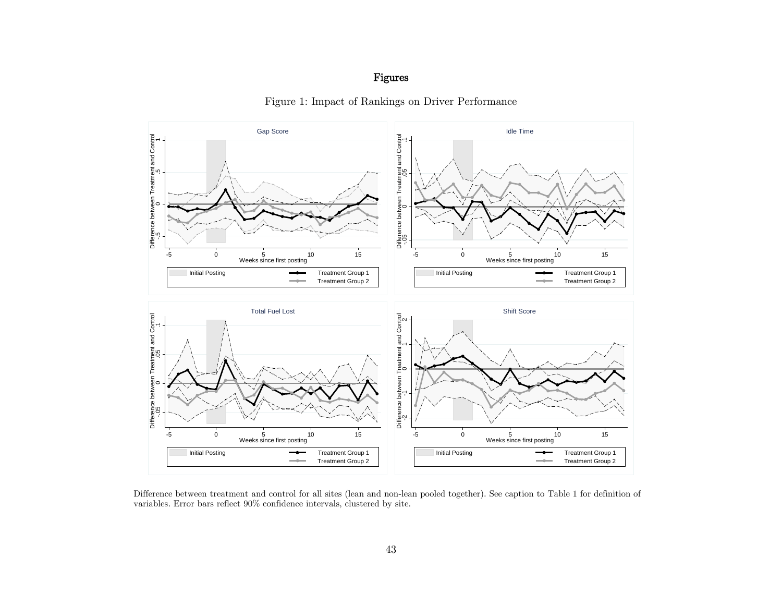## Figures



Figure 1: Impact of Rankings on Driver Performance

Difference between treatment and control for all sites (lean and non-lean pooled together). See caption to Table 1 for definition of variables. Error bars reflect 90% confidence intervals, clustered by site.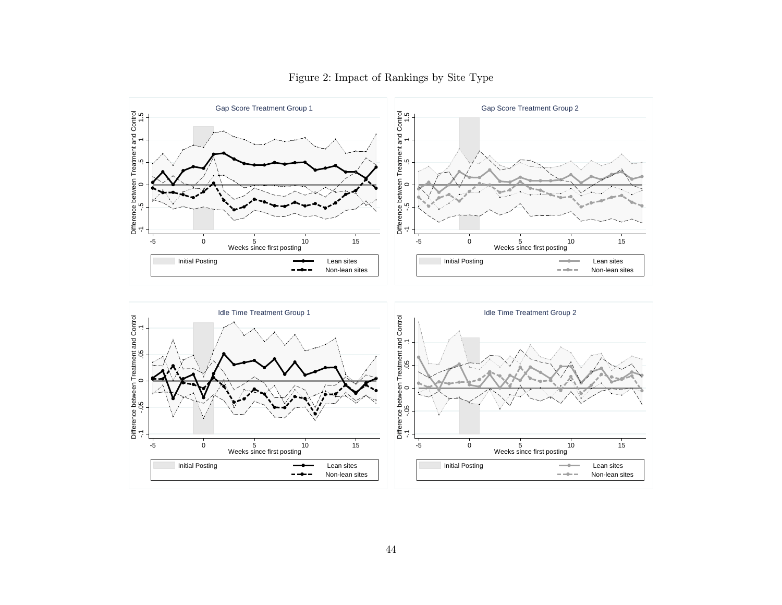

## Figure 2: Impact of Rankings by Site Type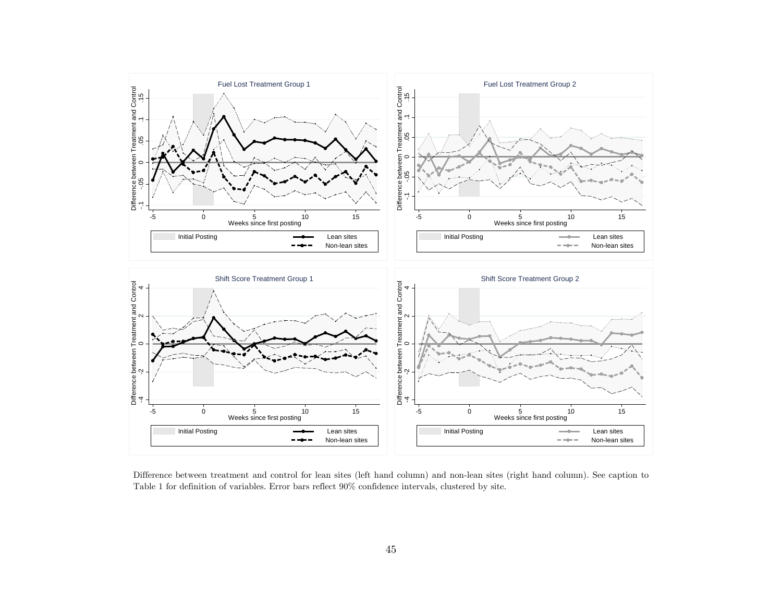

Difference between treatment and control for lean sites (left hand column) and non-lean sites (right hand column). See caption to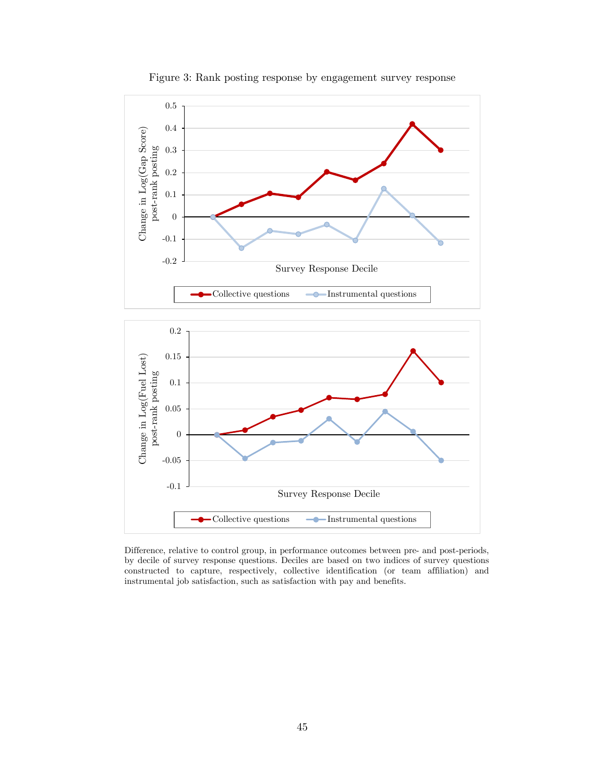

Figure 3: Rank posting response by engagement survey response



Difference, relative to control group, in performance outcomes between pre- and post-periods, by decile of survey response questions. Deciles are based on two indices of survey questions constructed to capture, respectively, collective identification (or team affiliation) and instrumental job satisfaction, such as satisfaction with pay and benefits.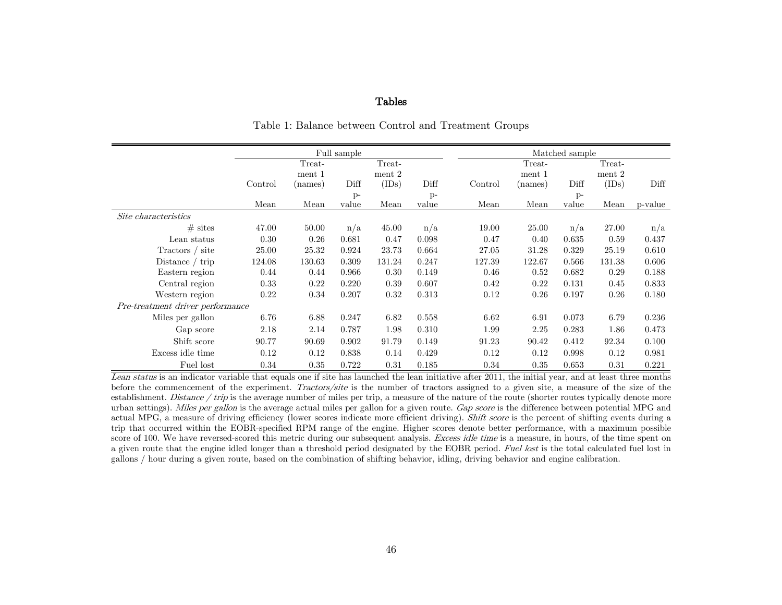#### Tables

|                                  |         | Full sample |       |        |       |  |         |         | Matched sample |        |         |
|----------------------------------|---------|-------------|-------|--------|-------|--|---------|---------|----------------|--------|---------|
|                                  |         | Treat-      |       | Treat- |       |  |         | Treat-  |                | Treat- |         |
|                                  |         | ment 1      |       | ment 2 |       |  |         | ment 1  |                | ment 2 |         |
|                                  | Control | (names)     | Diff  | (IDs)  | Diff  |  | Control | (names) | Diff           | (IDs)  | Diff    |
|                                  |         |             | $p-$  |        | $p-$  |  |         |         | $P$ -          |        |         |
|                                  | Mean    | Mean        | value | Mean   | value |  | Mean    | Mean    | value          | Mean   | p-value |
| Site characteristics             |         |             |       |        |       |  |         |         |                |        |         |
| $#$ sites                        | 47.00   | 50.00       | n/a   | 45.00  | n/a   |  | 19.00   | 25.00   | n/a            | 27.00  | n/a     |
| Lean status                      | 0.30    | 0.26        | 0.681 | 0.47   | 0.098 |  | 0.47    | 0.40    | 0.635          | 0.59   | 0.437   |
| Tractors / site                  | 25.00   | 25.32       | 0.924 | 23.73  | 0.664 |  | 27.05   | 31.28   | 0.329          | 25.19  | 0.610   |
| Distance $/$ trip                | 124.08  | 130.63      | 0.309 | 131.24 | 0.247 |  | 127.39  | 122.67  | 0.566          | 131.38 | 0.606   |
| Eastern region                   | 0.44    | 0.44        | 0.966 | 0.30   | 0.149 |  | 0.46    | 0.52    | 0.682          | 0.29   | 0.188   |
| Central region                   | 0.33    | 0.22        | 0.220 | 0.39   | 0.607 |  | 0.42    | 0.22    | 0.131          | 0.45   | 0.833   |
| Western region                   | 0.22    | 0.34        | 0.207 | 0.32   | 0.313 |  | 0.12    | 0.26    | 0.197          | 0.26   | 0.180   |
| Pre-treatment driver performance |         |             |       |        |       |  |         |         |                |        |         |
| Miles per gallon                 | 6.76    | 6.88        | 0.247 | 6.82   | 0.558 |  | 6.62    | 6.91    | 0.073          | 6.79   | 0.236   |
| Gap score                        | 2.18    | 2.14        | 0.787 | 1.98   | 0.310 |  | 1.99    | 2.25    | 0.283          | 1.86   | 0.473   |
| Shift score                      | 90.77   | 90.69       | 0.902 | 91.79  | 0.149 |  | 91.23   | 90.42   | 0.412          | 92.34  | 0.100   |
| Excess idle time                 | 0.12    | 0.12        | 0.838 | 0.14   | 0.429 |  | 0.12    | 0.12    | 0.998          | 0.12   | 0.981   |
| Fuel lost                        | 0.34    | 0.35        | 0.722 | 0.31   | 0.185 |  | 0.34    | 0.35    | 0.653          | 0.31   | 0.221   |

Table 1: Balance between Control and Treatment Groups

Lean status is an indicator variable that equals one if site has launched the lean initiative after 2011, the initial year, and at least three months before the commencement of the experiment. Tractors/site is the number of tractors assigned to a given site, a measure of the size of the establishment. Distance / trip is the average number of miles per trip, a measure of the nature of the route (shorter routes typically denote more urban settings). Miles per gallon is the average actual miles per gallon for a given route. Gap score is the difference between potential MPG and actual MPG, a measure of driving efficiency (lower scores indicate more efficient driving). Shift score is the percent of shifting events during a trip that occurred within the EOBR-specified RPM range of the engine. Higher scores denote better performance, with a maximum possible score of 100. We have reversed-scored this metric during our subsequent analysis. Excess idle time is a measure, in hours, of the time spent on a given route that the engine idled longer than a threshold period designated by the EOBR period. Fuel lost is the total calculated fuel lost in gallons / hour during a given route, based on the combination of shifting behavior, idling, driving behavior and engine calibration.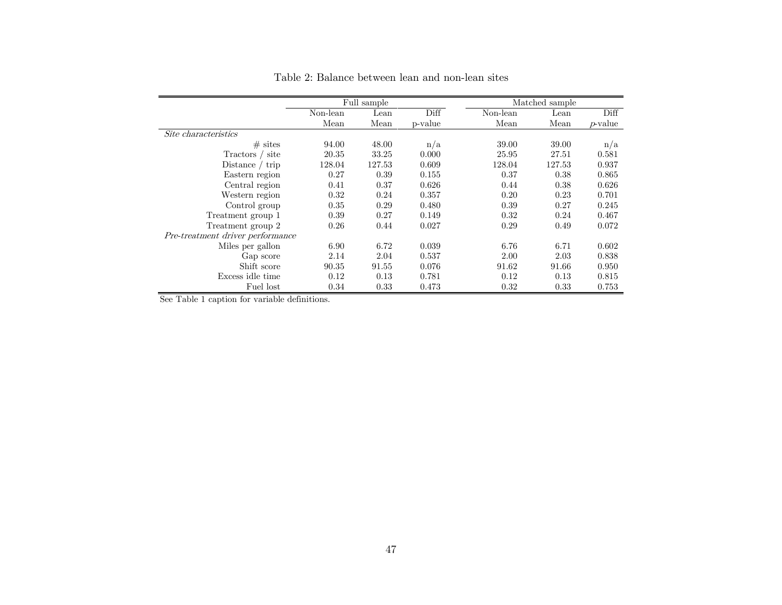|                                  |          | Full sample |         |          | Matched sample |            |
|----------------------------------|----------|-------------|---------|----------|----------------|------------|
|                                  | Non-lean | Lean        | Diff    | Non-lean | Lean           | Diff       |
|                                  | Mean     | Mean        | p-value | Mean     | Mean           | $p$ -value |
| Site characteristics             |          |             |         |          |                |            |
| $#$ sites                        | 94.00    | 48.00       | n/a     | 39.00    | 39.00          | n/a        |
| site<br>Tractors /               | 20.35    | 33.25       | 0.000   | 25.95    | 27.51          | 0.581      |
| Distance $/$ trip                | 128.04   | 127.53      | 0.609   | 128.04   | 127.53         | 0.937      |
| Eastern region                   | 0.27     | 0.39        | 0.155   | 0.37     | 0.38           | 0.865      |
| Central region                   | 0.41     | 0.37        | 0.626   | 0.44     | 0.38           | 0.626      |
| Western region                   | 0.32     | 0.24        | 0.357   | 0.20     | 0.23           | 0.701      |
| Control group                    | 0.35     | 0.29        | 0.480   | 0.39     | 0.27           | 0.245      |
| Treatment group 1                | 0.39     | 0.27        | 0.149   | 0.32     | 0.24           | 0.467      |
| Treatment group 2                | 0.26     | 0.44        | 0.027   | 0.29     | 0.49           | 0.072      |
| Pre-treatment driver performance |          |             |         |          |                |            |
| Miles per gallon                 | 6.90     | 6.72        | 0.039   | 6.76     | 6.71           | 0.602      |
| Gap score                        | 2.14     | 2.04        | 0.537   | 2.00     | 2.03           | 0.838      |
| Shift score                      | 90.35    | 91.55       | 0.076   | 91.62    | 91.66          | 0.950      |
| Excess idle time                 | 0.12     | 0.13        | 0.781   | 0.12     | 0.13           | 0.815      |
| Fuel lost                        | 0.34     | 0.33        | 0.473   | 0.32     | 0.33           | 0.753      |

Table 2: Balance between lean and non-lean sites

See Table 1 caption for variable definitions.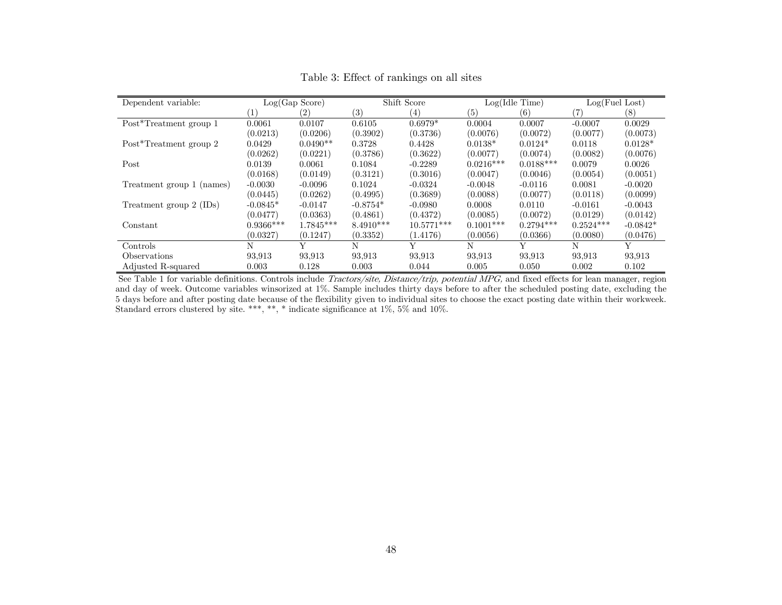| Dependent variable:       |             | Log(Gap Score) |                   | Shift Score  |             | Log(Idle Time) | Log(Fuel Lost) |            |
|---------------------------|-------------|----------------|-------------------|--------------|-------------|----------------|----------------|------------|
|                           | $\perp$     | (2)            | $\left( 3\right)$ | (4)          | (5)         | (6)            | 17             | (8)        |
| Post*Treatment group 1    | 0.0061      | 0.0107         | 0.6105            | $0.6979*$    | 0.0004      | 0.0007         | $-0.0007$      | 0.0029     |
|                           | (0.0213)    | (0.0206)       | (0.3902)          | (0.3736)     | (0.0076)    | (0.0072)       | (0.0077)       | (0.0073)   |
| Post*Treatment group 2    | 0.0429      | $0.0490**$     | 0.3728            | 0.4428       | $0.0138*$   | $0.0124*$      | 0.0118         | $0.0128*$  |
|                           | (0.0262)    | (0.0221)       | (0.3786)          | (0.3622)     | (0.0077)    | (0.0074)       | (0.0082)       | (0.0076)   |
| Post                      | 0.0139      | 0.0061         | 0.1084            | $-0.2289$    | $0.0216***$ | $0.0188***$    | 0.0079         | 0.0026     |
|                           | (0.0168)    | (0.0149)       | (0.3121)          | (0.3016)     | (0.0047)    | (0.0046)       | (0.0054)       | (0.0051)   |
| Treatment group 1 (names) | $-0.0030$   | $-0.0096$      | 0.1024            | $-0.0324$    | $-0.0048$   | $-0.0116$      | 0.0081         | $-0.0020$  |
|                           | (0.0445)    | (0.0262)       | (0.4995)          | (0.3689)     | (0.0088)    | (0.0077)       | (0.0118)       | (0.0099)   |
| Treatment group 2 (IDs)   | $-0.0845*$  | $-0.0147$      | $-0.8754*$        | $-0.0980$    | 0.0008      | 0.0110         | $-0.0161$      | $-0.0043$  |
|                           | (0.0477)    | (0.0363)       | (0.4861)          | (0.4372)     | (0.0085)    | (0.0072)       | (0.0129)       | (0.0142)   |
| Constant                  | $0.9366***$ | 1.7845***      | $8.4910***$       | $10.5771***$ | $0.1001***$ | $0.2794***$    | $0.2524***$    | $-0.0842*$ |
|                           | (0.0327)    | (0.1247)       | (0.3352)          | (1.4176)     | (0.0056)    | (0.0366)       | (0.0080)       | (0.0476)   |
| Controls                  | N           | v              | N                 | v            | N           | Y              | N              | Y          |
| <i>Observations</i>       | 93.913      | 93.913         | 93.913            | 93.913       | 93.913      | 93,913         | 93,913         | 93.913     |
| Adjusted R-squared        | 0.003       | 0.128          | 0.003             | 0.044        | 0.005       | 0.050          | 0.002          | 0.102      |

Table 3: Effect of rankings on all sites

See Table 1 for variable definitions. Controls include Tractors/site, Distance/trip, potential MPG, and fixed effects for lean manager, region and day of week. Outcome variables winsorized at 1%. Sample includes thirty days before to after the scheduled posting date, excluding the 5 days before and after posting date because of the flexibility given to individual sites to choose the exact posting date within their workweek. Standard errors clustered by site. \*\*\*, \*\*, \* indicate significance at 1%, 5% and 10%.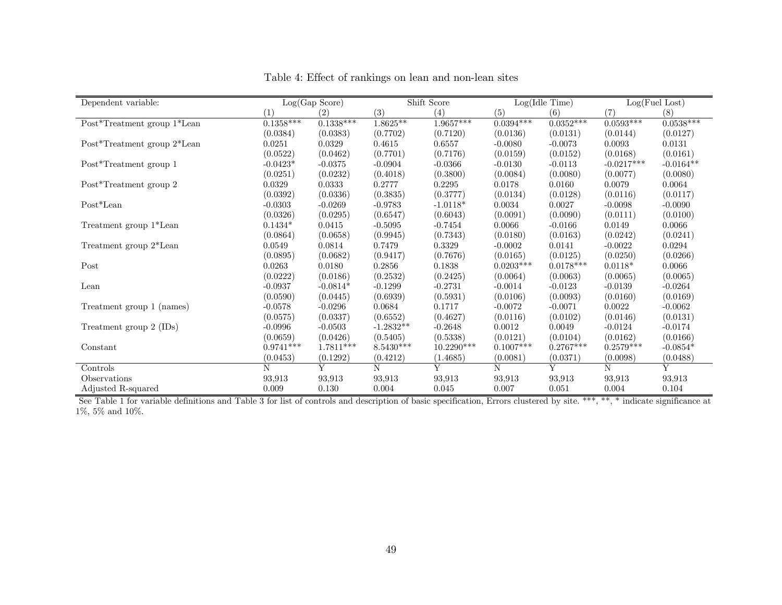| Dependent variable:         |             | Log(Gap Score) |             | Shift Score |             | Log(Idle Time) | Log(Fuel Lost) |             |
|-----------------------------|-------------|----------------|-------------|-------------|-------------|----------------|----------------|-------------|
|                             | (1)         | (2)            | (3)         | (4)         | (5)         | (6)            | (7)            | (8)         |
| Post*Treatment group 1*Lean | $0.1358***$ | $0.1338***$    | $1.8625**$  | $1.9657***$ | $0.0394***$ | $0.0352***$    | $0.0593***$    | $0.0538***$ |
|                             | (0.0384)    | (0.0383)       | (0.7702)    | (0.7120)    | (0.0136)    | (0.0131)       | (0.0144)       | (0.0127)    |
| Post*Treatment group 2*Lean | 0.0251      | 0.0329         | 0.4615      | 0.6557      | $-0.0080$   | $-0.0073$      | 0.0093         | 0.0131      |
|                             | (0.0522)    | (0.0462)       | (0.7701)    | (0.7176)    | (0.0159)    | (0.0152)       | (0.0168)       | (0.0161)    |
| Post*Treatment group 1      | $-0.0423*$  | $-0.0375$      | $-0.0904$   | $-0.0366$   | $-0.0130$   | $-0.0113$      | $-0.0217***$   | $-0.0164**$ |
|                             | (0.0251)    | (0.0232)       | (0.4018)    | (0.3800)    | (0.0084)    | (0.0080)       | (0.0077)       | (0.0080)    |
| Post*Treatment group 2      | 0.0329      | 0.0333         | 0.2777      | 0.2295      | 0.0178      | 0.0160         | 0.0079         | 0.0064      |
|                             | (0.0392)    | (0.0336)       | (0.3835)    | (0.3777)    | (0.0134)    | (0.0128)       | (0.0116)       | (0.0117)    |
| $Post*Lean$                 | $-0.0303$   | $-0.0269$      | $-0.9783$   | $-1.0118*$  | 0.0034      | 0.0027         | $-0.0098$      | $-0.0090$   |
|                             | (0.0326)    | (0.0295)       | (0.6547)    | (0.6043)    | (0.0091)    | (0.0090)       | (0.0111)       | (0.0100)    |
| Treatment group 1*Lean      | $0.1434*$   | 0.0415         | $-0.5095$   | $-0.7454$   | 0.0066      | $-0.0166$      | 0.0149         | 0.0066      |
|                             | (0.0864)    | (0.0658)       | (0.9945)    | (0.7343)    | (0.0180)    | (0.0163)       | (0.0242)       | (0.0241)    |
| Treatment group 2*Lean      | 0.0549      | 0.0814         | 0.7479      | 0.3329      | $-0.0002$   | 0.0141         | $-0.0022$      | 0.0294      |
|                             | (0.0895)    | (0.0682)       | (0.9417)    | (0.7676)    | (0.0165)    | (0.0125)       | (0.0250)       | (0.0266)    |
| Post                        | 0.0263      | 0.0180         | 0.2856      | 0.1838      | $0.0203***$ | $0.0178***$    | $0.0118*$      | 0.0066      |
|                             | (0.0222)    | (0.0186)       | (0.2532)    | (0.2425)    | (0.0064)    | (0.0063)       | (0.0065)       | (0.0065)    |
| Lean                        | $-0.0937$   | $-0.0814*$     | $-0.1299$   | $-0.2731$   | $-0.0014$   | $-0.0123$      | $-0.0139$      | $-0.0264$   |
|                             | (0.0590)    | (0.0445)       | (0.6939)    | (0.5931)    | (0.0106)    | (0.0093)       | (0.0160)       | (0.0169)    |
| Treatment group 1 (names)   | $-0.0578$   | $-0.0296$      | 0.0684      | 0.1717      | $-0.0072$   | $-0.0071$      | 0.0022         | $-0.0062$   |
|                             | (0.0575)    | (0.0337)       | (0.6552)    | (0.4627)    | (0.0116)    | (0.0102)       | (0.0146)       | (0.0131)    |
| Treatment group 2 (IDs)     | $-0.0996$   | $-0.0503$      | $-1.2832**$ | $-0.2648$   | 0.0012      | 0.0049         | $-0.0124$      | $-0.0174$   |
|                             | (0.0659)    | (0.0426)       | (0.5405)    | (0.5338)    | (0.0121)    | (0.0104)       | (0.0162)       | (0.0166)    |
| Constant                    | $0.9741***$ | 1.7811***      | $8.5430***$ | 10.2290***  | $0.1007***$ | $0.2767***$    | $0.2579***$    | $-0.0854*$  |
|                             | (0.0453)    | (0.1292)       | (0.4212)    | (1.4685)    | (0.0081)    | (0.0371)       | (0.0098)       | (0.0488)    |
| Controls                    | N           | Y              | N           | Y           | N           | Y              | N              | Y           |
| Observations                | 93,913      | 93,913         | 93,913      | 93,913      | 93,913      | 93,913         | 93,913         | 93,913      |
| Adjusted R-squared          | 0.009       | 0.130          | 0.004       | 0.045       | 0.007       | 0.051          | 0.004          | 0.104       |

Table 4: Effect of rankings on lean and non-lean sites

See Table 1 for variable definitions and Table 3 for list of controls and description of basic specification, Errors clustered by site. \*\*\*, \*\*, \* indicate significance at 1%, 5% and 10%.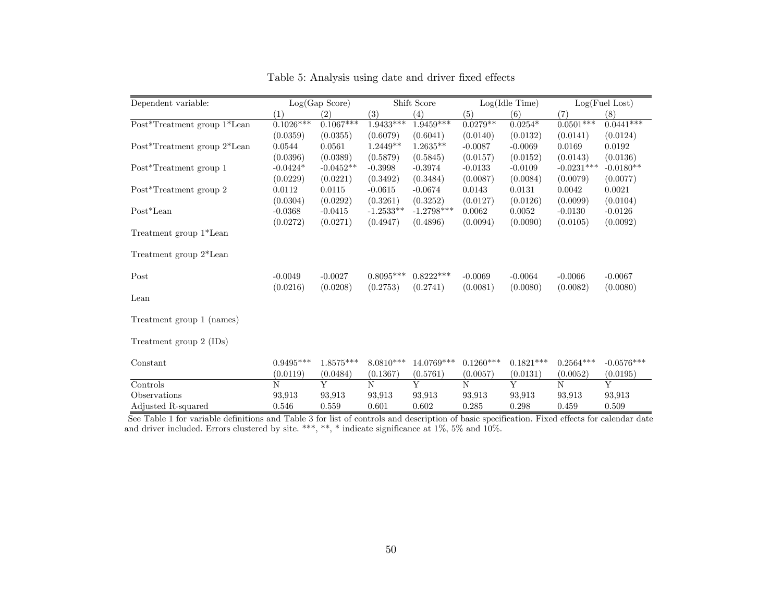| Dependent variable:         |             | Log(Gap Score)    |             | Shift Score  |             | Log(Idle Time) |              | Log(Fuel Lost) |
|-----------------------------|-------------|-------------------|-------------|--------------|-------------|----------------|--------------|----------------|
|                             | (1)         | $\left( 2\right)$ | (3)         | (4)          | (5)         | (6)            | (7)          | (8)            |
| Post*Treatment group 1*Lean | $0.1026***$ | $0.1067***$       | $1.9433***$ | $1.9459***$  | $0.0279$ ** | $0.0254*$      | $0.0501***$  | $0.0441***$    |
|                             | (0.0359)    | (0.0355)          | (0.6079)    | (0.6041)     | (0.0140)    | (0.0132)       | (0.0141)     | (0.0124)       |
| Post*Treatment group 2*Lean | 0.0544      | 0.0561            | $1.2449**$  | $1.2635**$   | $-0.0087$   | $-0.0069$      | 0.0169       | 0.0192         |
|                             | (0.0396)    | (0.0389)          | (0.5879)    | (0.5845)     | (0.0157)    | (0.0152)       | (0.0143)     | (0.0136)       |
| Post*Treatment group 1      | $-0.0424*$  | $-0.0452**$       | $-0.3998$   | $-0.3974$    | $-0.0133$   | $-0.0109$      | $-0.0231***$ | $-0.0180**$    |
|                             | (0.0229)    | (0.0221)          | (0.3492)    | (0.3484)     | (0.0087)    | (0.0084)       | (0.0079)     | (0.0077)       |
| Post*Treatment group 2      | 0.0112      | 0.0115            | $-0.0615$   | $-0.0674$    | 0.0143      | 0.0131         | 0.0042       | 0.0021         |
|                             | (0.0304)    | (0.0292)          | (0.3261)    | (0.3252)     | (0.0127)    | (0.0126)       | (0.0099)     | (0.0104)       |
| $Post*Lean$                 | $-0.0368$   | $-0.0415$         | $-1.2533**$ | $-1.2798***$ | 0.0062      | 0.0052         | $-0.0130$    | $-0.0126$      |
|                             | (0.0272)    | (0.0271)          | (0.4947)    | (0.4896)     | (0.0094)    | (0.0090)       | (0.0105)     | (0.0092)       |
| Treatment group 1*Lean      |             |                   |             |              |             |                |              |                |
| Treatment group 2*Lean      |             |                   |             |              |             |                |              |                |
| Post                        | $-0.0049$   | $-0.0027$         | $0.8095***$ | $0.8222***$  | $-0.0069$   | $-0.0064$      | $-0.0066$    | $-0.0067$      |
|                             | (0.0216)    | (0.0208)          | (0.2753)    | (0.2741)     | (0.0081)    | (0.0080)       | (0.0082)     | (0.0080)       |
| Lean                        |             |                   |             |              |             |                |              |                |
| Treatment group 1 (names)   |             |                   |             |              |             |                |              |                |
| Treatment group 2 (IDs)     |             |                   |             |              |             |                |              |                |
| Constant                    | $0.9495***$ | $1.8575***$       | $8.0810***$ | 14.0769***   | $0.1260***$ | $0.1821***$    | $0.2564***$  | $-0.0576***$   |
|                             | (0.0119)    | (0.0484)          | (0.1367)    | (0.5761)     | (0.0057)    | (0.0131)       | (0.0052)     | (0.0195)       |
| Controls                    | N           | Y                 | N           | Y            | N           | Y              | N            | Y              |
| Observations                | 93.913      | 93.913            | 93.913      | 93.913       | 93.913      | 93.913         | 93.913       | 93,913         |
| Adjusted R-squared          | 0.546       | 0.559             | 0.601       | 0.602        | 0.285       | 0.298          | 0.459        | 0.509          |

Table 5: Analysis using date and driver fixed effects

See Table 1 for variable definitions and Table 3 for list of controls and description of basic specification. Fixed effects for calendar date and driver included. Errors clustered by site. \*\*\*, \*\*, \* indicate significance at 1%, 5% and 10%.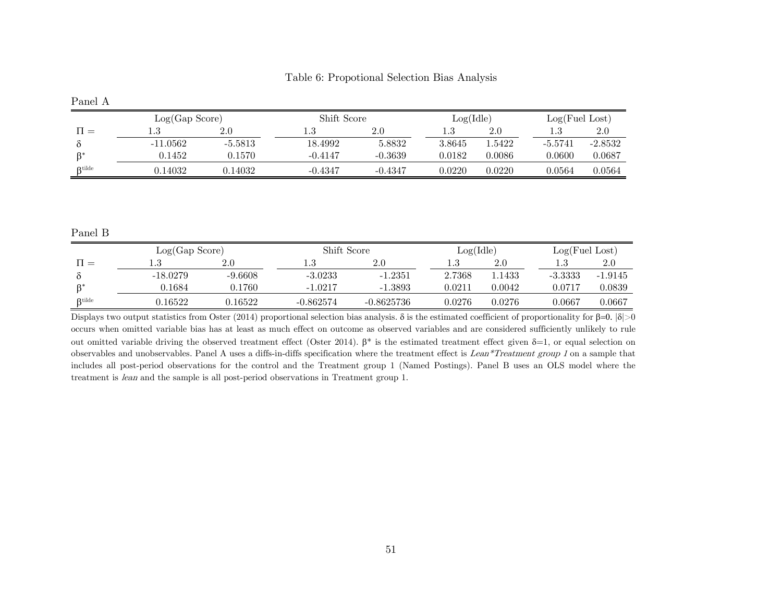| Table 6: Propotional Selection Bias Analysis |  |  |  |
|----------------------------------------------|--|--|--|
|----------------------------------------------|--|--|--|

| Panel A   |                |           |             |           |           |         |                |           |
|-----------|----------------|-----------|-------------|-----------|-----------|---------|----------------|-----------|
|           | Log(Gap Score) |           | Shift Score |           | Log(Idle) |         | Log(Fuel Lost) |           |
| $H =$     | $1.3\,$        | 2.0       | 1.3         | 2.0       | $1.3\,$   | $2.0\,$ | 1.3            | $2.0\,$   |
|           | $-11.0562$     | $-5.5813$ | 18.4992     | 5.8832    | 3.8645    | 1.5422  | $-5.5741$      | $-2.8532$ |
| R*        | 0.1452         | 0.1570    | $-0.4147$   | $-0.3639$ | 0.0182    | 0.0086  | 0.0600         | 0.0687    |
| $R$ tilde | 0.14032        | 0.14032   | $-0.4347$   | $-0.4347$ | 0.0220    | 0.0220  | 0.0564         | 0.0564    |

Panel B

|               | Log(Gap Score) |           | Shift Score |              | Log(Idle) |        |            | Log(Fuel Lost) |  |
|---------------|----------------|-----------|-------------|--------------|-----------|--------|------------|----------------|--|
| $H =$         | 1.J            | $2.0\,$   |             | 2.0          | 1.J       | 2.0    | 1.3        | 2.0            |  |
|               | $-18.0279$     | $-9.6608$ | $-3.0233$   | $-1.2351$    | 2.7368    | 1.1433 | $-3.3333$  | $-1.9145$      |  |
| $B^*$         | 0.1684         | ).1760    | $-1.0217$   | $-1.3893$    | 0.0211    | 0.0042 | $0.0717\,$ | 0.0839         |  |
| $\beta$ tilde | 1.16522        | 0.16522   | $-0.862574$ | $-0.8625736$ | 0.0276    | 0.0276 | 0.0667     | $\,0.0667\,$   |  |

Displays two output statistics from Oster (2014) proportional selection bias analysis. δ is the estimated coefficient of proportionality for  $β=0$ .  $|δ|>0$ occurs when omitted variable bias has at least as much effect on outcome as observed variables and are considered sufficiently unlikely to rule out omitted variable driving the observed treatment effect (Oster 2014).  $β^*$  is the estimated treatment effect given  $δ=1$ , or equal selection on observables and unobservables. Panel A uses a diffs-in-diffs specification where the treatment effect is Lean\*Treatment group <sup>1</sup> on a sample that includes all post-period observations for the control and the Treatment group 1 (Named Postings). Panel B uses an OLS model where the treatment is lean and the sample is all post-period observations in Treatment group 1.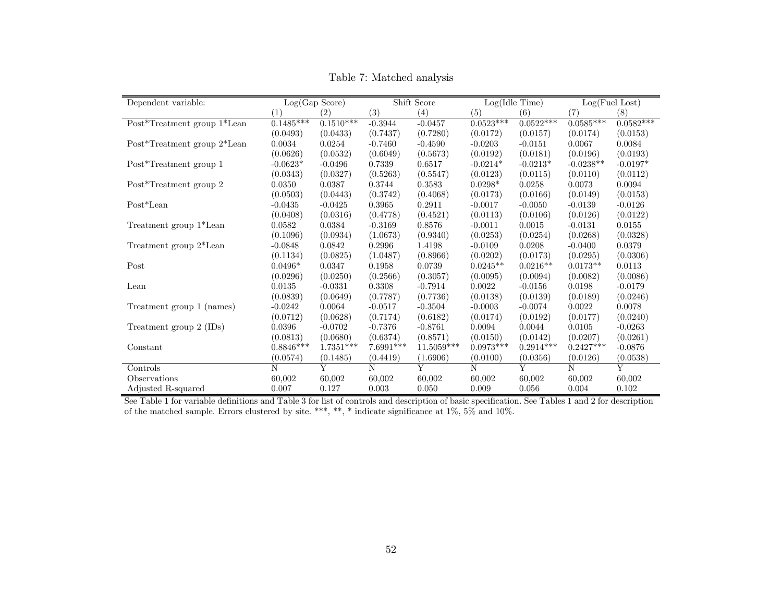| Dependent variable:            |             | Log(Gap Score) |           | Shift Score    |             | Log(Idle Time) |             | Log(Fuel Lost) |
|--------------------------------|-------------|----------------|-----------|----------------|-------------|----------------|-------------|----------------|
|                                | (1)         | (2)            | (3)       | (4)            | (5)         | (6)            | (7)         | (8)            |
| Post*Treatment group $1*$ Lean | $0.1485***$ | $0.1510***$    | $-0.3944$ | $-0.0457$      | $0.0523***$ | $0.0522***$    | $0.0585***$ | $0.0582***$    |
|                                | (0.0493)    | (0.0433)       | (0.7437)  | (0.7280)       | (0.0172)    | (0.0157)       | (0.0174)    | (0.0153)       |
| Post*Treatment group 2*Lean    | 0.0034      | 0.0254         | $-0.7460$ | $-0.4590$      | $-0.0203$   | $-0.0151$      | 0.0067      | 0.0084         |
|                                | (0.0626)    | (0.0532)       | (0.6049)  | (0.5673)       | (0.0192)    | (0.0181)       | (0.0196)    | (0.0193)       |
| Post*Treatment group 1         | $-0.0623*$  | $-0.0496$      | 0.7339    | 0.6517         | $-0.0214*$  | $-0.0213*$     | $-0.0238**$ | $-0.0197*$     |
|                                | (0.0343)    | (0.0327)       | (0.5263)  | (0.5547)       | (0.0123)    | (0.0115)       | (0.0110)    | (0.0112)       |
| Post*Treatment group 2         | 0.0350      | 0.0387         | 0.3744    | 0.3583         | $0.0298*$   | 0.0258         | 0.0073      | 0.0094         |
|                                | (0.0503)    | (0.0443)       | (0.3742)  | (0.4068)       | (0.0173)    | (0.0166)       | (0.0149)    | (0.0153)       |
| $Post*Lean$                    | $-0.0435$   | $-0.0425$      | 0.3965    | 0.2911         | $-0.0017$   | $-0.0050$      | $-0.0139$   | $-0.0126$      |
|                                | (0.0408)    | (0.0316)       | (0.4778)  | (0.4521)       | (0.0113)    | (0.0106)       | (0.0126)    | (0.0122)       |
| Treatment group 1*Lean         | 0.0582      | 0.0384         | $-0.3169$ | 0.8576         | $-0.0011$   | 0.0015         | $-0.0131$   | 0.0155         |
|                                | (0.1096)    | (0.0934)       | (1.0673)  | (0.9340)       | (0.0253)    | (0.0254)       | (0.0268)    | (0.0328)       |
| Treatment group 2*Lean         | $-0.0848$   | 0.0842         | 0.2996    | 1.4198         | $-0.0109$   | 0.0208         | $-0.0400$   | 0.0379         |
|                                | (0.1134)    | (0.0825)       | (1.0487)  | (0.8966)       | (0.0202)    | (0.0173)       | (0.0295)    | (0.0306)       |
| Post                           | $0.0496*$   | 0.0347         | 0.1958    | 0.0739         | $0.0245**$  | $0.0216**$     | $0.0173**$  | 0.0113         |
|                                | (0.0296)    | (0.0250)       | (0.2566)  | (0.3057)       | (0.0095)    | (0.0094)       | (0.0082)    | (0.0086)       |
| Lean                           | 0.0135      | $-0.0331$      | 0.3308    | $-0.7914$      | 0.0022      | $-0.0156$      | 0.0198      | $-0.0179$      |
|                                | (0.0839)    | (0.0649)       | (0.7787)  | (0.7736)       | (0.0138)    | (0.0139)       | (0.0189)    | (0.0246)       |
| Treatment group 1 (names)      | $-0.0242$   | 0.0064         | $-0.0517$ | $-0.3504$      | $-0.0003$   | $-0.0074$      | 0.0022      | 0.0078         |
|                                | (0.0712)    | (0.0628)       | (0.7174)  | (0.6182)       | (0.0174)    | (0.0192)       | (0.0177)    | (0.0240)       |
| Treatment group $2$ (IDs)      | 0.0396      | $-0.0702$      | $-0.7376$ | $-0.8761$      | 0.0094      | 0.0044         | 0.0105      | $-0.0263$      |
|                                | (0.0813)    | (0.0680)       | (0.6374)  | (0.8571)       | (0.0150)    | (0.0142)       | (0.0207)    | (0.0261)       |
| Constant                       | $0.8846***$ | $1.7351***$    | 7.6991*** | $11.5059***$   | $0.0973***$ | $0.2914***$    | $0.2427***$ | $-0.0876$      |
|                                | (0.0574)    | (0.1485)       | (0.4419)  | (1.6906)       | (0.0100)    | (0.0356)       | (0.0126)    | (0.0538)       |
| Controls                       | N           | Y              | N         | $\overline{Y}$ | N           | $\overline{Y}$ | N           | $\overline{Y}$ |
| Observations                   | 60,002      | 60,002         | 60,002    | 60,002         | 60,002      | 60,002         | 60,002      | 60,002         |
| Adjusted R-squared             | 0.007       | 0.127          | 0.003     | 0.050          | 0.009       | 0.056          | 0.004       | 0.102          |

Table 7: Matched analysis

See Table 1 for variable definitions and Table 3 for list of controls and description of basic specification. See Tables 1 and 2 for description of the matched sample. Errors clustered by site. \*\*\*, \*\*, \* indicate significance at 1%, 5% and 10%.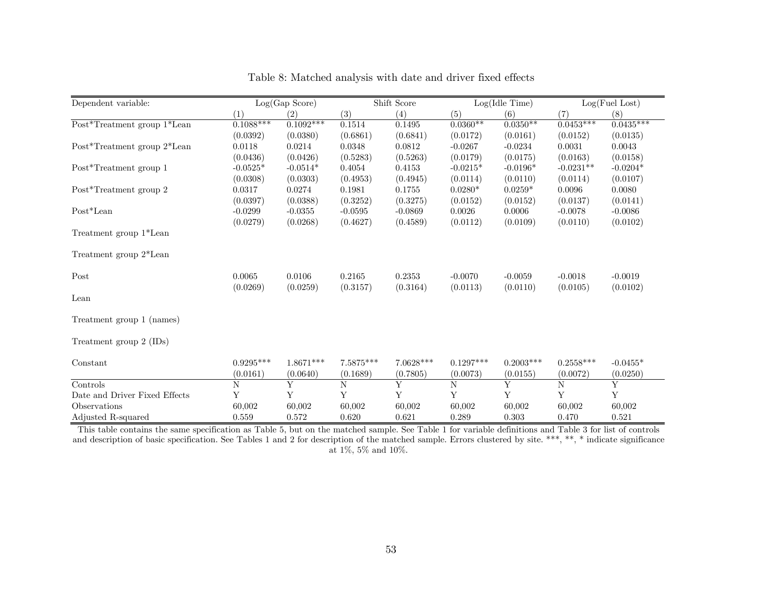| Dependent variable:           |             | Log(Gap Score) |             | Shift Score |             | Log(Idle Time) |             | Log(Fuel Lost) |
|-------------------------------|-------------|----------------|-------------|-------------|-------------|----------------|-------------|----------------|
|                               | (1)         | (2)            | (3)         | (4)         | (5)         | (6)            | (7)         | (8)            |
| Post*Treatment group 1*Lean   | $0.1088***$ | $0.1092***$    | 0.1514      | 0.1495      | $0.0360**$  | $0.0350**$     | $0.0453***$ | $0.0435***$    |
|                               | (0.0392)    | (0.0380)       | (0.6861)    | (0.6841)    | (0.0172)    | (0.0161)       | (0.0152)    | (0.0135)       |
| Post*Treatment group 2*Lean   | 0.0118      | 0.0214         | 0.0348      | 0.0812      | $-0.0267$   | $-0.0234$      | 0.0031      | 0.0043         |
|                               | (0.0436)    | (0.0426)       | (0.5283)    | (0.5263)    | (0.0179)    | (0.0175)       | (0.0163)    | (0.0158)       |
| Post*Treatment group 1        | $-0.0525*$  | $-0.0514*$     | 0.4054      | 0.4153      | $-0.0215*$  | $-0.0196*$     | $-0.0231**$ | $-0.0204*$     |
|                               | (0.0308)    | (0.0303)       | (0.4953)    | (0.4945)    | (0.0114)    | (0.0110)       | (0.0114)    | (0.0107)       |
| Post*Treatment group 2        | 0.0317      | 0.0274         | 0.1981      | 0.1755      | $0.0280*$   | $0.0259*$      | 0.0096      | 0.0080         |
|                               | (0.0397)    | (0.0388)       | (0.3252)    | (0.3275)    | (0.0152)    | (0.0152)       | (0.0137)    | (0.0141)       |
| Post*Lean                     | $-0.0299$   | $-0.0355$      | $-0.0595$   | $-0.0869$   | 0.0026      | 0.0006         | $-0.0078$   | $-0.0086$      |
|                               | (0.0279)    | (0.0268)       | (0.4627)    | (0.4589)    | (0.0112)    | (0.0109)       | (0.0110)    | (0.0102)       |
| Treatment group 1*Lean        |             |                |             |             |             |                |             |                |
| Treatment group 2*Lean        |             |                |             |             |             |                |             |                |
| Post                          | 0.0065      | 0.0106         | 0.2165      | 0.2353      | $-0.0070$   | $-0.0059$      | $-0.0018$   | $-0.0019$      |
|                               | (0.0269)    | (0.0259)       | (0.3157)    | (0.3164)    | (0.0113)    | (0.0110)       | (0.0105)    | (0.0102)       |
| Lean                          |             |                |             |             |             |                |             |                |
| Treatment group 1 (names)     |             |                |             |             |             |                |             |                |
| Treatment group 2 (IDs)       |             |                |             |             |             |                |             |                |
| Constant                      | $0.9295***$ | $1.8671***$    | 7.5875***   | $7.0628***$ | $0.1297***$ | $0.2003***$    | $0.2558***$ | $-0.0455*$     |
|                               | (0.0161)    | (0.0640)       | (0.1689)    | (0.7805)    | (0.0073)    | (0.0155)       | (0.0072)    | (0.0250)       |
| Controls                      | N           | Y              | $\mathbf N$ | Y           | $\mathbf N$ | Y              | N           | Y              |
| Date and Driver Fixed Effects | Y           | Y              | Y           | Y           | Y           | Y              | Y           | $\mathbf Y$    |
| Observations                  | 60,002      | 60,002         | 60,002      | 60,002      | 60,002      | 60,002         | 60,002      | 60,002         |
| Adjusted R-squared            | 0.559       | 0.572          | 0.620       | 0.621       | 0.289       | 0.303          | 0.470       | 0.521          |

Table 8: Matched analysis with date and driver fixed effects

This table contains the same specification as Table 5, but on the matched sample. See Table 1 for variable definitions and Table 3 for list of controls and description of basic specification. See Tables 1 and 2 for description of the matched sample. Errors clustered by site. \*\*\*, \*\*, \* indicate significance at 1%, 5% and 10%.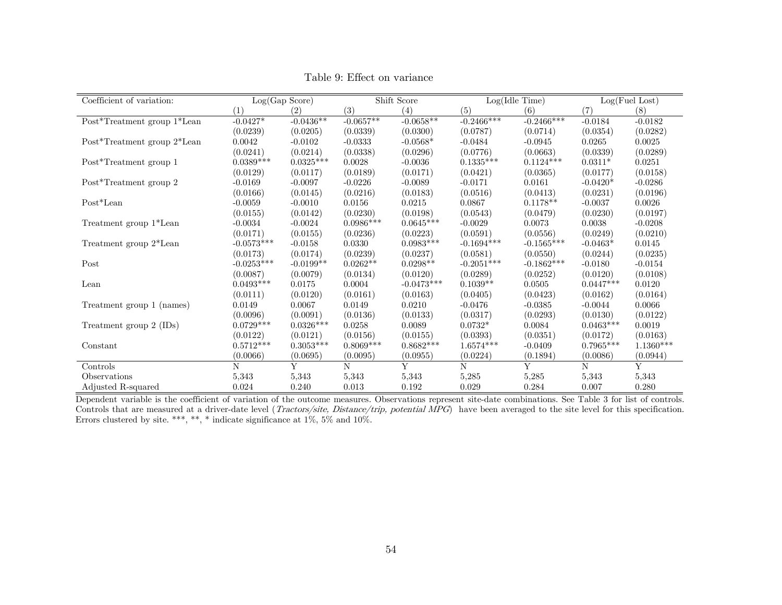| Coefficient of variation:   | Log(Gap Score) |             |             | Shift Score  | Log(Idle Time) |              |             | Log(Fuel Lost) |
|-----------------------------|----------------|-------------|-------------|--------------|----------------|--------------|-------------|----------------|
|                             | (1)            | (2)         | (3)         | (4)          | (5)            | (6)          | (7)         | (8)            |
| Post*Treatment group 1*Lean | $-0.0427*$     | $-0.0436**$ | $-0.0657**$ | $-0.0658**$  | $-0.2466***$   | $-0.2466***$ | $-0.0184$   | $-0.0182$      |
|                             | (0.0239)       | (0.0205)    | (0.0339)    | (0.0300)     | (0.0787)       | (0.0714)     | (0.0354)    | (0.0282)       |
| Post*Treatment group 2*Lean | 0.0042         | $-0.0102$   | $-0.0333$   | $-0.0568*$   | $-0.0484$      | $-0.0945$    | 0.0265      | 0.0025         |
|                             | (0.0241)       | (0.0214)    | (0.0338)    | (0.0296)     | (0.0776)       | (0.0663)     | (0.0339)    | (0.0289)       |
| Post*Treatment group 1      | $0.0389***$    | $0.0325***$ | 0.0028      | $-0.0036$    | $0.1335***$    | $0.1124***$  | $0.0311*$   | 0.0251         |
|                             | (0.0129)       | (0.0117)    | (0.0189)    | (0.0171)     | (0.0421)       | (0.0365)     | (0.0177)    | (0.0158)       |
| Post*Treatment group 2      | $-0.0169$      | $-0.0097$   | $-0.0226$   | $-0.0089$    | $-0.0171$      | 0.0161       | $-0.0420*$  | $-0.0286$      |
|                             | (0.0166)       | (0.0145)    | (0.0216)    | (0.0183)     | (0.0516)       | (0.0413)     | (0.0231)    | (0.0196)       |
| Post*Lean                   | $-0.0059$      | $-0.0010$   | 0.0156      | 0.0215       | 0.0867         | $0.1178**$   | $-0.0037$   | 0.0026         |
|                             | (0.0155)       | (0.0142)    | (0.0230)    | (0.0198)     | (0.0543)       | (0.0479)     | (0.0230)    | (0.0197)       |
| Treatment group 1*Lean      | $-0.0034$      | $-0.0024$   | $0.0986***$ | $0.0645***$  | $-0.0029$      | 0.0073       | 0.0038      | $-0.0208$      |
|                             | (0.0171)       | (0.0155)    | (0.0236)    | (0.0223)     | (0.0591)       | (0.0556)     | (0.0249)    | (0.0210)       |
| Treatment group 2*Lean      | $-0.0573***$   | $-0.0158$   | 0.0330      | $0.0983***$  | $-0.1694***$   | $-0.1565***$ | $-0.0463*$  | 0.0145         |
|                             | (0.0173)       | (0.0174)    | (0.0239)    | (0.0237)     | (0.0581)       | (0.0550)     | (0.0244)    | (0.0235)       |
| Post                        | $-0.0253***$   | $-0.0199**$ | $0.0262**$  | $0.0298**$   | $-0.2051***$   | $-0.1862***$ | $-0.0180$   | $-0.0154$      |
|                             | (0.0087)       | (0.0079)    | (0.0134)    | (0.0120)     | (0.0289)       | (0.0252)     | (0.0120)    | (0.0108)       |
| Lean                        | $0.0493***$    | 0.0175      | 0.0004      | $-0.0473***$ | $0.1039**$     | 0.0505       | $0.0447***$ | 0.0120         |
|                             | (0.0111)       | (0.0120)    | (0.0161)    | (0.0163)     | (0.0405)       | (0.0423)     | (0.0162)    | (0.0164)       |
| Treatment group 1 (names)   | 0.0149         | 0.0067      | 0.0149      | 0.0210       | $-0.0476$      | $-0.0385$    | $-0.0044$   | 0.0066         |
|                             | (0.0096)       | (0.0091)    | (0.0136)    | (0.0133)     | (0.0317)       | (0.0293)     | (0.0130)    | (0.0122)       |
| Treatment group 2 (IDs)     | $0.0729***$    | $0.0326***$ | 0.0258      | 0.0089       | $0.0732*$      | 0.0084       | $0.0463***$ | 0.0019         |
|                             | (0.0122)       | (0.0121)    | (0.0156)    | (0.0155)     | (0.0393)       | (0.0351)     | (0.0172)    | (0.0163)       |
| Constant                    | $0.5712***$    | $0.3053***$ | $0.8069***$ | $0.8682***$  | $1.6574***$    | $-0.0409$    | $0.7965***$ | $1.1360***$    |
|                             | (0.0066)       | (0.0695)    | (0.0095)    | (0.0955)     | (0.0224)       | (0.1894)     | (0.0086)    | (0.0944)       |
| Controls                    | N              | Y           | N           | Y            | N              | Y            | N           | Y              |
| Observations                | 5,343          | 5,343       | 5,343       | 5,343        | 5,285          | 5,285        | 5,343       | 5,343          |
| Adjusted R-squared          | 0.024          | 0.240       | 0.013       | 0.192        | 0.029          | 0.284        | 0.007       | 0.280          |

Table 9: Effect on variance

Dependent variable is the coefficient of variation of the outcome measures. Observations represent site-date combinations. See Table 3 for list of controls. Controls that are measured at a driver-date level (*Tractors/site, Distance/trip, potential MPG*) have been averaged to the site level for this specification. Errors clustered by site. \*\*\*, \*\*, \* indicate significance at 1%, 5% and 10%.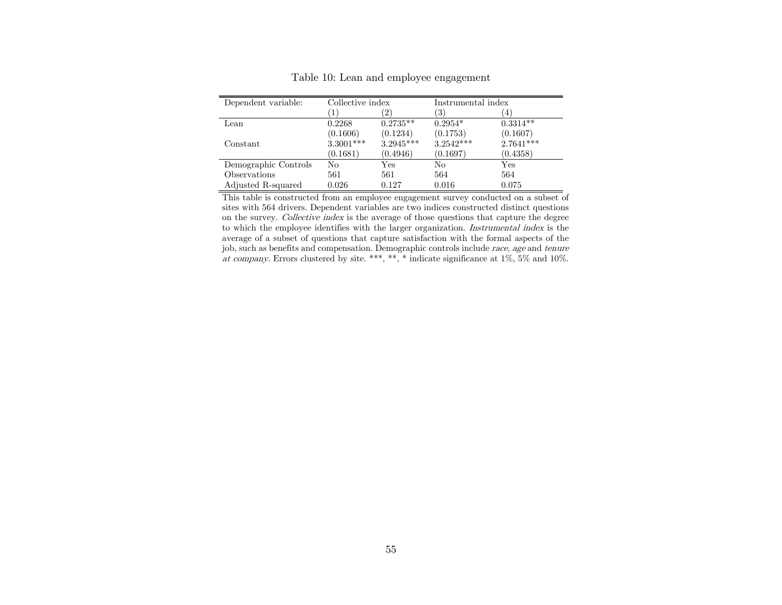| Dependent variable:  | Collective index |             | Instrumental index |             |
|----------------------|------------------|-------------|--------------------|-------------|
|                      |                  | $2^{\circ}$ | '3'                | 4           |
| Lean                 | 0.2268           | $0.2735**$  | $0.2954*$          | $0.3314**$  |
|                      | (0.1606)         | (0.1234)    | (0.1753)           | (0.1607)    |
| Constant             | 3.3001***        | $3.2945***$ | $3.2542***$        | $2.7641***$ |
|                      | (0.1681)         | (0.4946)    | (0.1697)           | (0.4358)    |
| Demographic Controls | No               | Yes         | No                 | Yes         |
| Observations         | 561              | 561         | 564                | 564         |
| Adjusted R-squared   | 0.026            | 0.127       | 0.016              | 0.075       |

Table 10: Lean and employee engagement

This table is constructed from an employee engagement survey conducted on a subset of sites with 564 drivers. Dependent variables are two indices constructed distinct questions on the survey. Collective index is the average of those questions that capture the degree to which the employee identifies with the larger organization. Instrumental index is the average of a subset of questions that capture satisfaction with the formal aspects of the job, such as benefits and compensation. Demographic controls include race, age and tenure at company. Errors clustered by site. \*\*\*, \*\*, \* indicate significance at  $1\%$ ,  $5\%$  and  $10\%$ .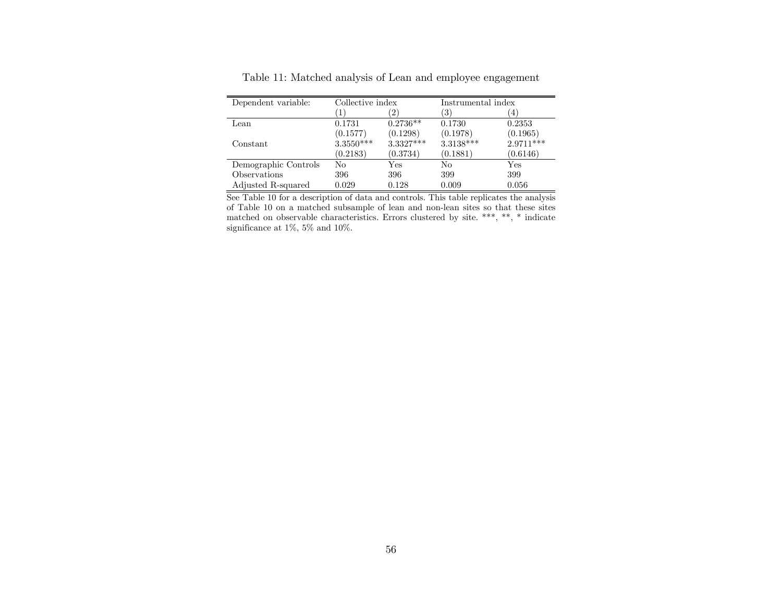| Dependent variable:  | Collective index |            | Instrumental index |           |  |
|----------------------|------------------|------------|--------------------|-----------|--|
|                      | $\overline{2}$   |            | $\left(3\right)$   | 4         |  |
| Lean                 | 0.1731           | $0.2736**$ | 0.1730             | 0.2353    |  |
|                      | (0.1577)         | (0.1298)   | (0.1978)           | (0.1965)  |  |
| Constant             | 3.3550***        | 3.3327***  | 3.3138***          | 2.9711*** |  |
|                      | (0.2183)         | (0.3734)   | (0.1881)           | (0.6146)  |  |
| Demographic Controls | No               | Yes        | No                 | Yes       |  |
| Observations         | 396              | 396        | 399                | 399       |  |
| Adjusted R-squared   | 0.029            | 0.128      | 0.009              | 0.056     |  |

Table 11: Matched analysis of Lean and employee engagement

See Table 10 for a description of data and controls. This table replicates the analysis of Table 10 on a matched subsample of lean and non-lean sites so that these sites matched on observable characteristics. Errors clustered by site. \*\*\*, \*\*, \* indicate significance at 1%, 5% and 10%.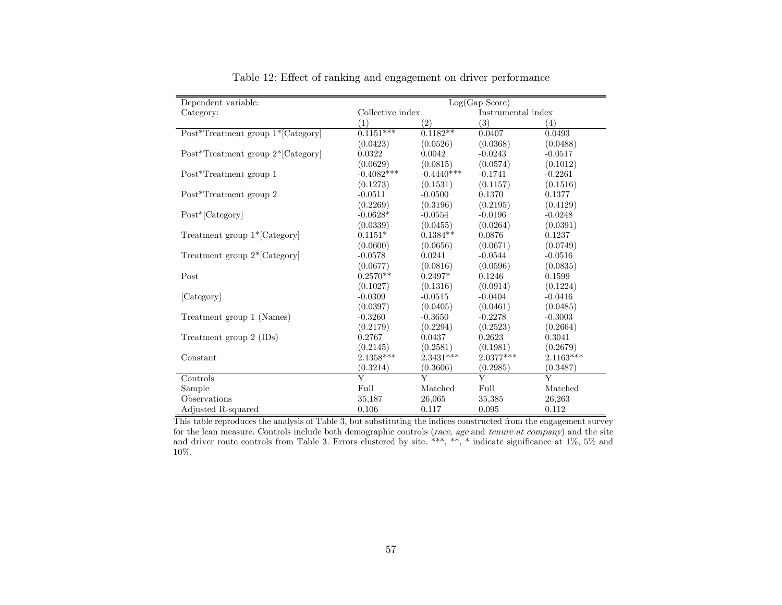| Dependent variable:               | Log(Gap Score)          |              |                     |           |  |  |  |  |
|-----------------------------------|-------------------------|--------------|---------------------|-----------|--|--|--|--|
| Category:                         | Collective index        |              | Instrumental index  |           |  |  |  |  |
|                                   | (1)                     | (2)          | (3)                 | (4)       |  |  |  |  |
| Post*Treatment group 1*[Category] | $0.1151***$             | $0.1182**$   | $0.\overline{0407}$ | 0.0493    |  |  |  |  |
|                                   | (0.0423)                | (0.0526)     | (0.0368)            | (0.0488)  |  |  |  |  |
| Post*Treatment group 2*[Category] | 0.0322                  | 0.0042       | $-0.0243$           | $-0.0517$ |  |  |  |  |
|                                   | (0.0629)                | (0.0815)     | (0.0574)            | (0.1012)  |  |  |  |  |
| Post*Treatment group 1            | $-0.4082***$            | $-0.4440***$ | $-0.1741$           | $-0.2261$ |  |  |  |  |
|                                   | (0.1273)                | (0.1531)     | (0.1157)            | (0.1516)  |  |  |  |  |
| Post*Treatment group 2            | $-0.0511$               | $-0.0500$    | 0.1370              | 0.1377    |  |  |  |  |
|                                   | (0.2269)                | (0.3196)     | (0.2195)            | (0.4129)  |  |  |  |  |
| Post*[Category]                   | $-0.0628*$              | $-0.0554$    | $-0.0196$           | $-0.0248$ |  |  |  |  |
|                                   | (0.0339)                | (0.0455)     | (0.0264)            | (0.0391)  |  |  |  |  |
| Treatment group 1*[Category]      | $0.1151*$               | $0.1384**$   | 0.0876              | 0.1237    |  |  |  |  |
|                                   | (0.0600)                | (0.0656)     | (0.0671)            | (0.0749)  |  |  |  |  |
| Treatment group 2*[Category]      | $-0.0578$               | 0.0241       | $-0.0544$           | $-0.0516$ |  |  |  |  |
|                                   | (0.0677)                | (0.0816)     | (0.0596)            | (0.0835)  |  |  |  |  |
| Post                              | $0.2570**$              | $0.2497*$    | 0.1246              | 0.1599    |  |  |  |  |
|                                   | (0.1027)                | (0.1316)     | (0.0914)            | (0.1224)  |  |  |  |  |
| [Category]                        | $-0.0309$               | $-0.0515$    | $-0.0404$           | $-0.0416$ |  |  |  |  |
|                                   | (0.0397)                | (0.0405)     | (0.0461)            | (0.0485)  |  |  |  |  |
| Treatment group 1 (Names)         | $-0.3260$               | $-0.3650$    | $-0.2278$           | $-0.3003$ |  |  |  |  |
|                                   | (0.2179)                | (0.2294)     | (0.2523)            | (0.2664)  |  |  |  |  |
| Treatment group 2 (IDs)           | 0.2767                  | 0.0437       | 0.2623              | 0.3041    |  |  |  |  |
|                                   | (0.2145)                | (0.2581)     | (0.1981)            | (0.2679)  |  |  |  |  |
| Constant                          | 2.1358***               | $2.3431***$  | $2.0377***$         | 2.1163*** |  |  |  |  |
|                                   | (0.3214)                | (0.3606)     | (0.2985)            | (0.3487)  |  |  |  |  |
| Controls                          | $\overline{\mathrm{Y}}$ | Y            | $\overline{Y}$      | Y         |  |  |  |  |
| Sample                            | Full                    | Matched      | Full                | Matched   |  |  |  |  |
| Observations                      | 35,187                  | 26,065       | 35,385              | 26,263    |  |  |  |  |
| Adjusted R-squared                | 0.106                   | 0.117        | 0.095               | 0.112     |  |  |  |  |

Table 12: Effect of ranking and engagement on driver performance

This table reproduces the analysis of Table 3, but substituting the indices constructed from the engagement survey for the lean measure. Controls include both demographic controls (race, age and tenure at company) and the site and driver route controls from Table 3. Errors clustered by site. \*\*\*, \*\*, \* indicate significance at 1%, 5% and 10%.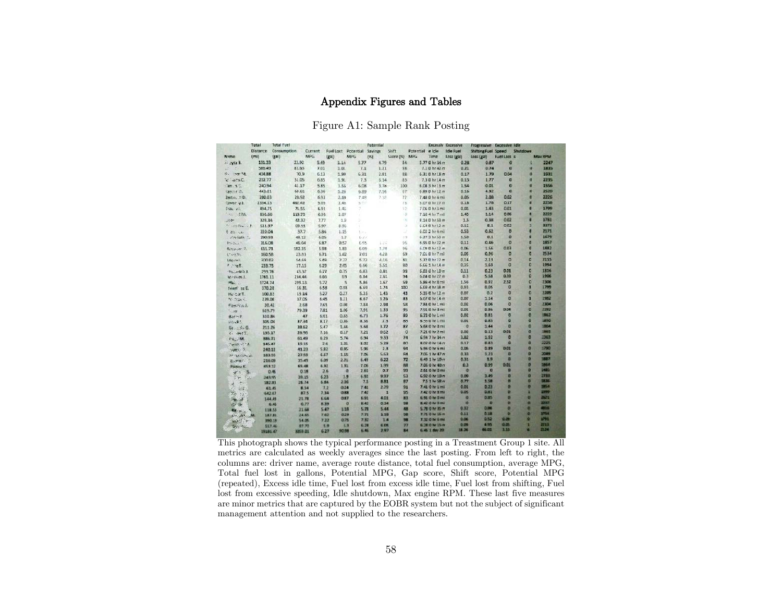## Appendix Figures and Tables

Figure A1: Sample Rank Posting

|                                                | Total           | Total Fyel        |                |                     |                              | Potential  |                |                  |                                 | <b>ENCESSIV ENCESSIVE</b> | Progressive Racessive Idle |                   |                      |                     |
|------------------------------------------------|-----------------|-------------------|----------------|---------------------|------------------------------|------------|----------------|------------------|---------------------------------|---------------------------|----------------------------|-------------------|----------------------|---------------------|
|                                                | <b>Distance</b> | Consumption       | Current        |                     | Fuel Lost Potential          | Savings    | Shift          | <b>Fotential</b> | e idle                          | <b>Idle Fuel</b>          | Shifting Fuel Speed        |                   | Shutdown             |                     |
| Norme:                                         | (ma)            | (gal)             | <b>MPG</b>     | (gal)               | <b>MPG</b>                   | DO.        | Score (%) MPG  |                  | Time                            | Loss (gal)                | Loss (gal)                 | FuelLoss s        |                      | <b>May RPM</b>      |
| A Mall.                                        | 131.33          | 23.92             | 5.45           | 1.14                | 5.77                         | 4.79       | 84             |                  | 5.770hr34m                      | 0.28                      | 0.87                       | ø                 | я                    | 2247                |
| $\frac{1}{2}$                                  | 585.49          | 83.63             | 7.01           | 1.01                | 7.1                          | 1.21       | 38             |                  | $7.10h$ r 42 $n$                | 0.21                      | 0.74                       | ø                 | O                    | 1835                |
| 8. See 31                                      | 436.88          | 70.9              | 6.13           | 1.99                | 6.31                         | 2.81       | 88             |                  | 6.310hr18m                      | 10.17                     | 1.79                       | 0.04              | iD.                  | 1931                |
| W Acad.                                        | 212.77          | 31.05             | 6.85           | 1.91                | 7.3                          | 6.14       | 83             |                  | 7.30hr14m                       | 0.13                      | 1.77                       | n                 | ø                    | 2235                |
| 28.35                                          | 240.94          | 41.17             | 5.85           | 1.55                | 6.08                         | B.78       | 100            |                  | 6.08 3 hr 13 m                  | 1.54                      | 0.01                       | $\mathbf{r}$      | 適                    | 1556                |
| Samor St.                                      | 443.01          | 69.61             | 6.36           | 5.26                | 6.89                         | 7.56       | 67             |                  | $6.890h/12 =$                   | 0.16                      | 4.92                       | $\bf{0}$          | ю                    | 2520                |
| Zerbit, .70.                                   | 200.03          | 28.92             | 6.92           | 2.19                | 7.48                         | 2.58       | 77.            |                  | 7:48 0 hr 4 mi                  | 0.05                      | 2.06                       | 0.62              | ø                    | 2226                |
| Covez-vil                                      | 2334.15         | 462.42            | 5.05           | 2.45                | 5.CC                         |            | 73             |                  | $5.070h/27$ m                   | 0.18                      | 1.78                       | 0.17              | o                    | 2258                |
| Frank ed.                                      | 894.75          | 71.55             | 6.91           | 1.45                | X                            |            | 025            |                  | 7.06 0 hr 3 mil                 | 0.01                      | 1.43                       | 0.01              | ø                    | 1799                |
| 46. 透視                                         | 836.66          | 119.79            | 6.98           | 2.87                | ×                            |            | 16             |                  | 7.16 4 hr 7 mil                 | 1.45                      | 1.14                       | 0.06              | O                    | 3229                |
| 1859-                                          | 329.34          | 43.37             | 7.77           | 1.9                 | ö.                           |            | œ              |                  | $8.140hfS3 =$                   | 1.5                       | 0.38                       | 0.02              | D                    | 3781                |
| $a_{1}$ $a_{1}$ $a_{2}$                        | 531.97          | 99.11             | 5.97           | 8.96                | ĩ.                           |            | U.             |                  | 6.64Bhr12m                      | 0.15                      | 8.1                        | 0.02              | п                    | 運動する                |
| E. Stevenski                                   | 220.04          | 37.7              | 5.84           | 1.15                | tors.                        |            | а              |                  | 6.02 2 hr 4 mi                  | 0.53                      | 0.62                       | ø                 | ø                    | 21.71               |
| Propik L.                                      | 290.93          | 48.12             | 6.05           | 1.7                 | 0.25                         |            | 59             |                  | 6.27.3 hr 53 m                  | 1.59                      | 0.1                        | ö                 | ø                    | 1629                |
| 25.362                                         | 315.08          | 46.04             | 6.87           | 0.57                | 6.95                         | 1.15       | 96             |                  | $6.95$ 0 hr 22 m                | 0.11                      | 0.46                       | ö                 | ø                    | 1857                |
| Archive 2                                      | 611.71          | 102.35            | 5.98           | 1.83                | 6.09                         | 1.78       | 96             |                  | $6.090h/12 =$                   | 6.06                      | 1.56                       | 0.03              | ø                    | 1882                |
| $1 - 334$                                      | 160.58          | 23.93             | 6.71           | 1.02                | 7.01                         | $-1.28$    | 69             |                  | 7.01 0 hr 7 mi                  | 0.05                      | 0.56                       | õ                 | ۵                    | 25.34               |
| Tec-sell                                       | 300.02          | 54.69             | 5.89           | 2.27                | 5.72                         | 4.16       | BU.            |                  | $5.720h/22 =$                   | 0.14                      | 2.13                       | O                 | o                    | 2155                |
| $r - \pi T$ .                                  | 233.75          | 37.15             | 6.25           | 2.05                | 6.66                         | 5.51       | 83             |                  | $6.661h/14 =$                   | 0.35                      | 1.69                       | $\sigma$          | a                    | 1994                |
| <b>Statement J.</b>                            | 293.76          | 43.37             | 6.77           | 0.35                | 0.83                         | 0.81       | 99             |                  | 6.83 0 hr 10 m                  | 0.11                      | 0.23                       | 0.01              | 8                    | 1816                |
| leto stops.1.                                  | 1761.11         | 264.64            | 6.56           | 6.9                 | 6.84                         | 3.61       | 94             |                  | 6.84 0 hr 27 m                  | Q <sub>3</sub>            | 5.58                       | 0.19              | ŏ                    | 1996                |
| <b>Mail</b> 1.                                 | 1724.74         | 299.13            | 5.33           |                     | $\mathbf{S}$<br>5.86         | 1.57       | 59             |                  | $5.864$ hr $8$ mi               | 1.56                      | 0.97                       | 2.52              | O                    | 2306                |
| feiget. zu E.                                  | 370.28          | 56.31             | 6.58           | 0.98                | 6.69                         | 1.74       | 100            |                  | 6.69 4 hr 38 m                  | 0.93                      | 0.05                       | $\alpha$          | л                    | 1799                |
| He card.                                       | 100.83          | 19.34             | 5.27           | 0.27                | 5.35                         | 1.43       | 43             |                  | 5.350hr12m                      | 0.07                      | 0.2                        | ø                 | a                    | 2299                |
| North                                          | 239.08          | 37.05             | 6.45           | 1.21                | 6.67                         | 3.26       | 83             |                  | $6.670$ hr $14m$                | 10.07                     | 1.14                       | $\circ$           | п                    | 1982                |
| Fanzica L                                      | 20.42           | 2.68              | 7.61           | 0.08                | 7.84                         | 2.98       | 58             |                  | 7.84 0 hr 1 mi                  | 0.00                      | 0.06                       | $\circ$           | Ð                    | 2304                |
| 3.16                                           | 619.79          | 79.39             | 7.81           | 1.06                | 7.91                         | 1.33       | 95             |                  | 7.91 0 kr 0 mi                  | 0.01                      | 0.86                       | 0.04              | ø                    | 2192                |
| 通過リード                                          | 310.84          |                   | 4X<br>6.61     | 0.83                | 6.73                         | 1.76       | 89             |                  | 6.73 0 hr 1 mi                  | 0.02                      | 0.81                       | $\circ$           | ö                    | 1962                |
| Block?                                         | <b>306.04</b>   | 37.34             | 8.17           | 0.86                | 8.36                         | 23         | 88             |                  | 8.36 0 hr 1 mil                 | 0.01                      | 0.85                       | ø                 | ö                    | 12792               |
| $80 - 165$                                     | 211.26          | 38.52             | 5.47           | 1.64                | 5.68                         | 3.72       | 87             |                  | 5.58 0 hr 0 mi                  | 50                        | 1.44                       | $\circ$           | ö                    | 1864                |
| 2.4957                                         | 193.17          | 36.56             | 7.16           | 0.17                | 7.21                         | 0.62       | $\overline{0}$ |                  | 7.21 0 hr 2 mil                 | 0.02                      | 0.13                       | 0.01              | ø                    | 1965                |
| <b>MELSON</b>                                  | 386.71          | 61.49             | 6.29           | 5.74                | 6.94                         | 9.33       | 74             |                  | 6.94 7 hr 34 m                  | 3.82                      | 192                        | $\sigma$          | $\alpha$             | 2343                |
| $M$ which $M \geq 1$                           | 145.47          | 19.15             |                | 7.6<br>1.01         | 8.02                         | 5.29       | 80             |                  | 8.02 0 hr 14 m                  | 0.17                      | 0.83                       | g.                | a                    | 2225                |
| Y(0,1)                                         | 240.12          | 41.23             | 5.82           | 0.95                | 5.96                         | 2.3        | 94             |                  | 5.96 0 hr 6 mi                  | 0.05                      | 0.89                       | 0.01              | a                    | 1790                |
| N Window                                       | 18193           | 27.59             | 6.67           | 1.55                | 7.06                         | 563        | 84             |                  | 7.06 1 N/ 47 n                  | 0.33                      | 1.21                       | $\alpha$          | $\alpha$             | 3049                |
| E-PLAN                                         | 216.09          | 35.45             | 6.09           | 2.31                | 6.49                         | 6.22       | 72             |                  | 6.49 1 hr 10 m                  | 0.31                      | 1.9                        | $\overline{a}$    | $\alpha$             | 1887                |
| Pages L                                        | 458.12          | 65.48             | 6.92           | 1.31                | 7.06                         | 1.99       | 88             |                  | 7.06 0 hr 40 m                  | 0.3                       | 0.99                       | <b>GIDE</b>       | a                    | 1864                |
| $-17.7$<br>瀑                                   |                 | 0.46              | 0.18           | 2.6                 | o<br>2.61                    | $\alpha x$ | 99             |                  | 2.61 0 hr 0 mi                  | 10                        | ø                          | ø                 | $\alpha$<br>$\alpha$ | 1481                |
| $\mathcal{L}(\mathfrak{g})$<br>$+250$          |                 | 38.15<br>245.95   | 6.23           |                     | 3.9<br>6.92                  | 9.97       | 53             |                  | 6.92 0 hr 10 m                  | 0.09                      | 3.49                       | $\mathbf{r}$      | a                    | 2733<br><b>SK36</b> |
| $\sim 20$                                      |                 | 26.74<br>182.83   | 6.84           | 2.36                | 7.5                          | 8.81       | 87             |                  | 75 1 hr SRm                     | 0.77                      | 1.58<br>0.23               | $\mathbf{u}$<br>a | $\bullet$            | <b>IBLE</b>         |
| 安定                                             |                 | 61.45             | 8.54           | 0.24<br>7.2         | 7.41                         | 2.79       | 91             |                  | 7.41 0 hr 1 mi                  | 0.01<br>10.05             | O.KL                       | ۰                 | ٠                    | <b>Liver</b>        |
| $\overline{S}D$<br>$\mathcal{V}^{\mathcal{L}}$ |                 | 642.63            | 7.34<br>87.5   | 0.88                | 7.47                         | 4.01       | ı<br>95        |                  | 7.42 0 hr 8 mi<br>6910 hr 0 mil | 30                        | 0.85                       | ٠                 | o                    | 2023                |
| <b>Desired</b>                                 |                 | 144.45            | 21.78          | 0.87<br>6.64        | 6.91<br>8,82                 | 0.34       | 83<br>98       |                  | 8.42 0 hr 0 mi                  | $\bullet$                 | Đ                          | $\alpha$          | iO.                  | 2237                |
| dir Ste                                        |                 | 6.46              | R. 39<br>15.77 |                     | Ð<br><b>L58</b><br>5.78      | 5.44       | 48             |                  | 5.78 0 hr 35 m                  | 0.32                      | <b>Q.IN</b>                | $\alpha$          | 101                  | 4916                |
| <b>RECEIL</b>                                  |                 | 118.53            | 21.68          | 5.47                |                              |            | 98             |                  | 7.71 0 for 16 m                 | 0.11                      | 0.18                       | o.                | и                    | 3754                |
| in strand                                      |                 | 187.81            | 24.65          | 7.67                | 0.29<br>7.73<br>7.32<br>0.75 | 1,18<br>14 | 98             |                  | 3.32 0 hr 6 mi                  | 0.06                      | 052                        | 10.09             | и                    | 1791                |
| FAXEZ. P                                       |                 | 390.15            | <b>SAIM</b>    | 7.22                | 53<br>6.28                   | 6.08       | 77             |                  | 6.38 0 hr 15 m                  | 0.09                      | 4.95                       | 0.05              | п                    | 2213                |
| <b>BASE ALL</b>                                |                 | 517.46            | 87.77          | 5.9<br>627<br>50.68 | 6.46                         | 2.97       | 脚              |                  | 6.45 1 day 20                   | 18.26                     | 66.85                      | 1.53              | п                    | 21.74               |
|                                                | 19181.47        | <b>BOYS 9 011</b> |                |                     |                              |            |                |                  |                                 |                           |                            |                   |                      |                     |

This photograph shows the typical performance posting in a Treastment Group 1 site. All metrics are calculated as weekly averages since the last posting. From left to right, the columns are: driver name, average route distance, total fuel consumption, average MPG, Total fuel lost in gallons, Potential MPG, Gap score, Shift score, Potential MPG (repeated), Excess idle time, Fuel lost from excess idle time, Fuel lost from shifting, Fuel lost from excessive speeding, Idle shutdown, Max engine RPM. These last five measures are minor metrics that are captured by the EOBR system but not the subject of significant management attention and not supplied to the researchers.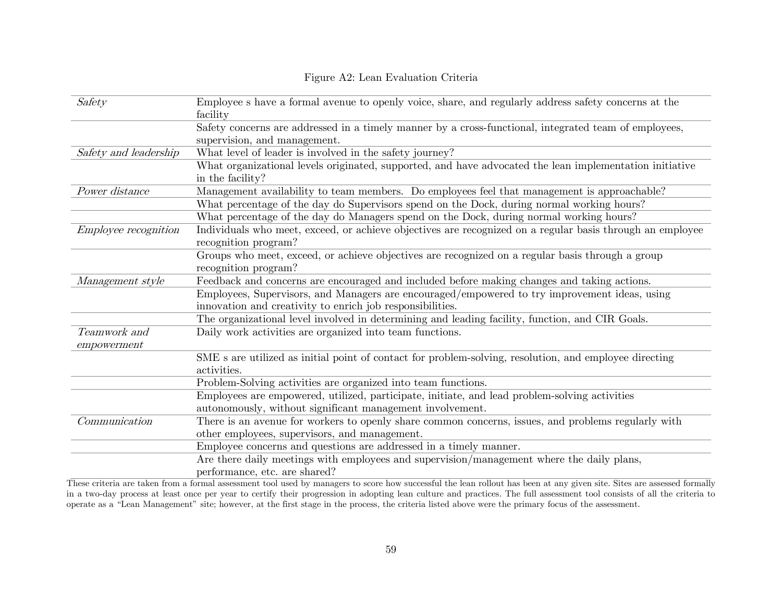## Figure A2: Lean Evaluation Criteria

| Safety                      | Employee s have a formal avenue to openly voice, share, and regularly address safety concerns at the<br>facility                  |
|-----------------------------|-----------------------------------------------------------------------------------------------------------------------------------|
|                             | Safety concerns are addressed in a timely manner by a cross-functional, integrated team of employees,                             |
|                             | supervision, and management.                                                                                                      |
| Safety and leadership       | What level of leader is involved in the safety journey?                                                                           |
|                             | What organizational levels originated, supported, and have advocated the lean implementation initiative<br>in the facility?       |
| Power distance              | Management availability to team members. Do employees feel that management is approachable?                                       |
|                             | What percentage of the day do Supervisors spend on the Dock, during normal working hours?                                         |
|                             | What percentage of the day do Managers spend on the Dock, during normal working hours?                                            |
| <i>Employee recognition</i> | Individuals who meet, exceed, or achieve objectives are recognized on a regular basis through an employee<br>recognition program? |
|                             | Groups who meet, exceed, or achieve objectives are recognized on a regular basis through a group<br>recognition program?          |
| Management style            | Feedback and concerns are encouraged and included before making changes and taking actions.                                       |
|                             | Employees, Supervisors, and Managers are encouraged/empowered to try improvement ideas, using                                     |
|                             | innovation and creativity to enrich job responsibilities.                                                                         |
|                             | The organizational level involved in determining and leading facility, function, and CIR Goals.                                   |
| Teamwork and                | Daily work activities are organized into team functions.                                                                          |
| empowerment                 |                                                                                                                                   |
|                             | SME s are utilized as initial point of contact for problem-solving, resolution, and employee directing<br>activities.             |
|                             | Problem-Solving activities are organized into team functions.                                                                     |
|                             | Employees are empowered, utilized, participate, initiate, and lead problem-solving activities                                     |
|                             | autonomously, without significant management involvement.                                                                         |
| Communication               | There is an avenue for workers to openly share common concerns, issues, and problems regularly with                               |
|                             | other employees, supervisors, and management.                                                                                     |
|                             | Employee concerns and questions are addressed in a timely manner.                                                                 |
|                             | Are there daily meetings with employees and supervision/management where the daily plans,                                         |
|                             | performance, etc. are shared?                                                                                                     |

These criteria are taken from a formal assessment tool used by managers to score how successful the lean rollout has been at any given site. Sites are assessed formally in a two-day process at least once per year to certify their progression in adopting lean culture and practices. The full assessment tool consists of all the criteria to operate as a "Lean Management" site; however, at the first stage in the process, the criteria listed above were the primary focus of the assessment.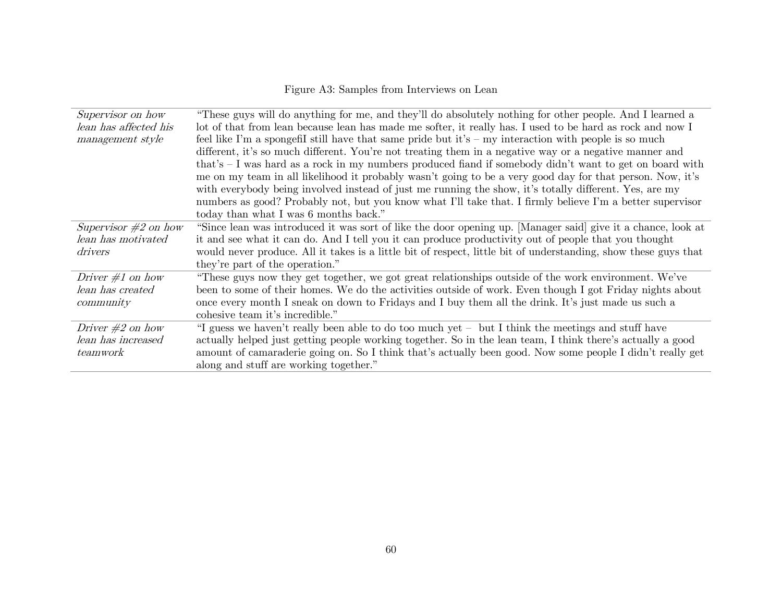# Figure A3: Samples from Interviews on Lean

| Supervisor on how      | "These guys will do anything for me, and they'll do absolutely nothing for other people. And I learned a        |
|------------------------|-----------------------------------------------------------------------------------------------------------------|
| lean has affected his  | lot of that from lean because lean has made me softer, it really has. I used to be hard as rock and now I       |
| management style       | feel like I'm a spongefil still have that same pride but it's $-$ my interaction with people is so much         |
|                        | different, it's so much different. You're not treating them in a negative way or a negative manner and          |
|                        | that's - I was hard as a rock in my numbers produced fiand if somebody didn't want to get on board with         |
|                        | me on my team in all likelihood it probably wasn't going to be a very good day for that person. Now, it's       |
|                        | with everybody being involved instead of just me running the show, it's totally different. Yes, are my          |
|                        | numbers as good? Probably not, but you know what I'll take that. I firmly believe I'm a better supervisor       |
|                        | today than what I was 6 months back."                                                                           |
| Supervisor $#2$ on how | "Since lean was introduced it was sort of like the door opening up. [Manager said] give it a chance, look at    |
| lean has motivated     | it and see what it can do. And I tell you it can produce productivity out of people that you thought            |
| drivers                | would never produce. All it takes is a little bit of respect, little bit of understanding, show these guys that |
|                        | they're part of the operation."                                                                                 |
| Driver $\#1$ on how    | "These guys now they get together, we got great relationships outside of the work environment. We've            |
| lean has created       | been to some of their homes. We do the activities outside of work. Even though I got Friday nights about        |
| community              | once every month I sneak on down to Fridays and I buy them all the drink. It's just made us such a              |
|                        | cohesive team it's incredible."                                                                                 |
| Driver $\#2$ on how    | "I guess we haven't really been able to do too much yet – but I think the meetings and stuff have               |
| lean has increased     | actually helped just getting people working together. So in the lean team, I think there's actually a good      |
| teamwork               | amount of camaraderie going on. So I think that's actually been good. Now some people I didn't really get       |
|                        | along and stuff are working together."                                                                          |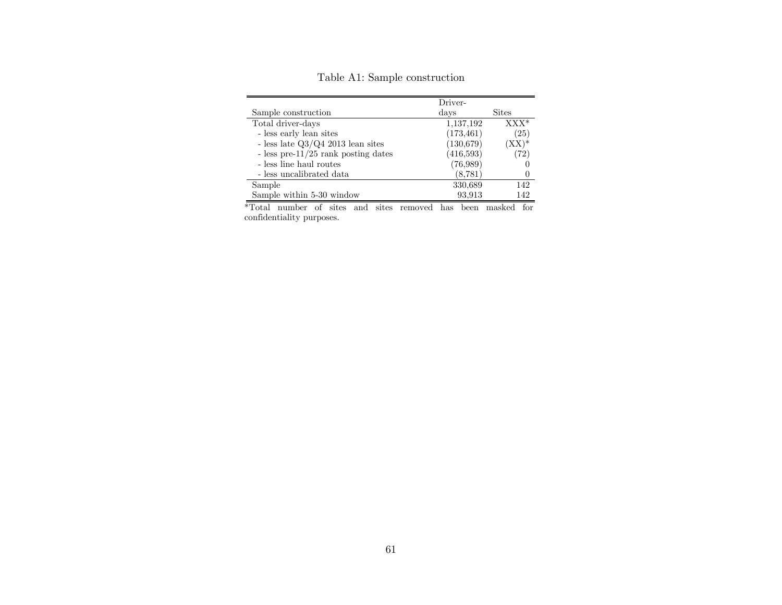|                                        | Driver-    |              |
|----------------------------------------|------------|--------------|
| Sample construction                    | days       | <b>Sites</b> |
| Total driver-days                      | 1,137,192  | $XXX*$       |
| - less early lean sites                | (173, 461) | (25)         |
| - less late $Q3/Q4$ 2013 lean sites    | (130, 679) | $(XX)^*$     |
| - less pre- $11/25$ rank posting dates | (416,593)  | (72)         |
| - less line haul routes                | (76,989)   |              |
| - less uncalibrated data               | (8, 781)   |              |
| Sample                                 | 330,689    | 142          |
| Sample within 5-30 window              | 93,913     | 142          |

Table A1: Sample construction

\*Total number of sites and sites removed has been masked for confidentiality purposes.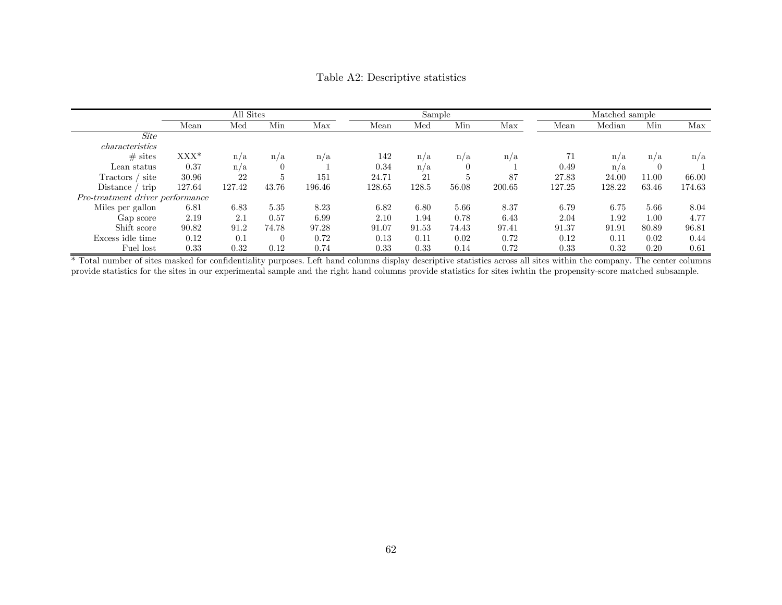|                                  | All Sites |        |          |        |        | Sample |                |        |        | Matched sample |          |        |  |
|----------------------------------|-----------|--------|----------|--------|--------|--------|----------------|--------|--------|----------------|----------|--------|--|
|                                  | Mean      | Med    | Min      | Max    | Mean   | Med    | Min            | Max    | Mean   | Median         | Min      | Max    |  |
| Site                             |           |        |          |        |        |        |                |        |        |                |          |        |  |
| characteristics                  |           |        |          |        |        |        |                |        |        |                |          |        |  |
| $#$ sites                        | $XXX^*$   | n/a    | n/a      | n/a    | 142    | n/a    | n/a            | n/a    | 71     | n/a            | n/a      | n/a    |  |
| Lean status                      | 0.37      | n/a    | $\theta$ |        | 0.34   | n/a    | $\overline{0}$ |        | 0.49   | n/a            | $\left($ |        |  |
| Tractors / site                  | 30.96     | 22     | 5        | 151    | 24.71  | 21     | 5              | 87     | 27.83  | 24.00          | 11.00    | 66.00  |  |
| trip<br>Distance /               | 127.64    | 127.42 | 43.76    | 196.46 | 128.65 | 128.5  | 56.08          | 200.65 | 127.25 | 128.22         | 63.46    | 174.63 |  |
| Pre-treatment driver performance |           |        |          |        |        |        |                |        |        |                |          |        |  |
| Miles per gallon                 | 6.81      | 6.83   | 5.35     | 8.23   | 6.82   | 6.80   | 5.66           | 8.37   | 6.79   | 6.75           | 5.66     | 8.04   |  |
| Gap score                        | 2.19      | 2.1    | 0.57     | 6.99   | 2.10   | 1.94   | 0.78           | 6.43   | 2.04   | 1.92           | 1.00     | 4.77   |  |
| Shift score                      | 90.82     | 91.2   | 74.78    | 97.28  | 91.07  | 91.53  | 74.43          | 97.41  | 91.37  | 91.91          | 80.89    | 96.81  |  |
| Excess idle time                 | 0.12      | 0.1    | $\theta$ | 0.72   | 0.13   | 0.11   | 0.02           | 0.72   | 0.12   | 0.11           | 0.02     | 0.44   |  |
| Fuel lost                        | 0.33      | 0.32   | 0.12     | 0.74   | 0.33   | 0.33   | 0.14           | 0.72   | 0.33   | 0.32           | 0.20     | 0.61   |  |

Table A2: Descriptive statistics

\* Total number of sites masked for confidentiality purposes. Left hand columns display descriptive statistics across all sites within the company. The center columns provide statistics for the sites in our experimental sample and the right hand columns provide statistics for sites iwhtin the propensity-score matched subsample.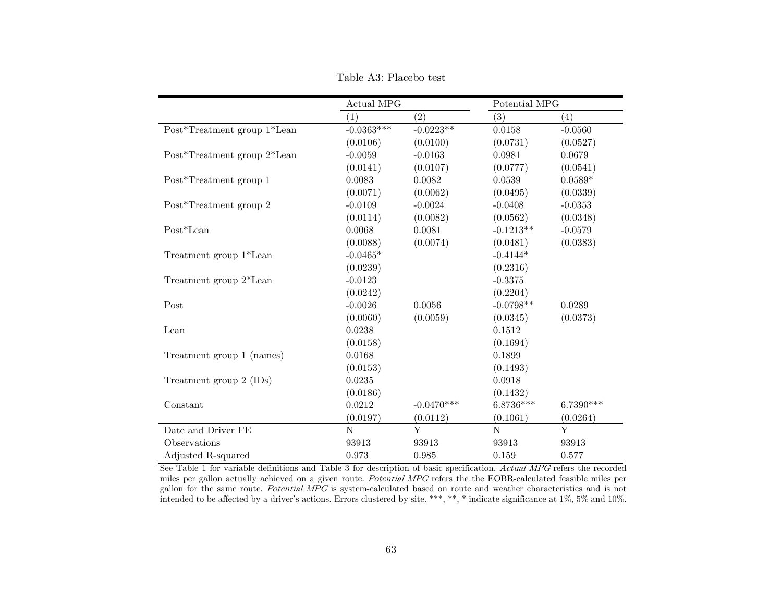|                             | Actual MPG   |              | Potential MPG  |             |  |
|-----------------------------|--------------|--------------|----------------|-------------|--|
|                             | (1)          | (2)          | (3)            | (4)         |  |
| Post*Treatment group 1*Lean | $-0.0363***$ | $-0.0223**$  | 0.0158         | $-0.0560$   |  |
|                             | (0.0106)     | (0.0100)     | (0.0731)       | (0.0527)    |  |
| Post*Treatment group 2*Lean | $-0.0059$    | $-0.0163$    | 0.0981         | 0.0679      |  |
|                             | (0.0141)     | (0.0107)     | (0.0777)       | (0.0541)    |  |
| Post*Treatment group 1      | 0.0083       | 0.0082       | 0.0539         | $0.0589*$   |  |
|                             | (0.0071)     | (0.0062)     | (0.0495)       | (0.0339)    |  |
| Post*Treatment group 2      | $-0.0109$    | $-0.0024$    | $-0.0408$      | $-0.0353$   |  |
|                             | (0.0114)     | (0.0082)     | (0.0562)       | (0.0348)    |  |
| $Post*Lean$                 | 0.0068       | 0.0081       | $-0.1213**$    | $-0.0579$   |  |
|                             | (0.0088)     | (0.0074)     | (0.0481)       | (0.0383)    |  |
| Treatment group 1*Lean      | $-0.0465*$   |              | $-0.4144*$     |             |  |
|                             | (0.0239)     |              | (0.2316)       |             |  |
| Treatment group 2*Lean      | $-0.0123$    |              | $-0.3375$      |             |  |
|                             | (0.0242)     |              | (0.2204)       |             |  |
| Post                        | $-0.0026$    | 0.0056       | $-0.0798**$    | 0.0289      |  |
|                             | (0.0060)     | (0.0059)     | (0.0345)       | (0.0373)    |  |
| Lean                        | 0.0238       |              | 0.1512         |             |  |
|                             | (0.0158)     |              | (0.1694)       |             |  |
| Treatment group 1 (names)   | 0.0168       |              | 0.1899         |             |  |
|                             | (0.0153)     |              | (0.1493)       |             |  |
| Treatment group 2 (IDs)     | 0.0235       |              | 0.0918         |             |  |
|                             | (0.0186)     |              | (0.1432)       |             |  |
| Constant                    | 0.0212       | $-0.0470***$ | $6.8736***$    | $6.7390***$ |  |
|                             | (0.0197)     | (0.0112)     | (0.1061)       | (0.0264)    |  |
| Date and Driver FE          | $\mathbf N$  | Y            | $\overline{N}$ | Y           |  |
| Observations                | 93913        | 93913        | 93913          | 93913       |  |
| Adjusted R-squared          | 0.973        | 0.985        | 0.159          | 0.577       |  |

Table A3: Placebo test

See Table 1 for variable definitions and Table 3 for description of basic specification. Actual MPG refers the recorded miles per gallon actually achieved on a given route. Potential MPG refers the the EOBR-calculated feasible miles per gallon for the same route. Potential MPG is system-calculated based on route and weather characteristics and is not intended to be affected by a driver's actions. Errors clustered by site. \*\*\*, \*\*, \* indicate significance at 1%, 5% and 10%.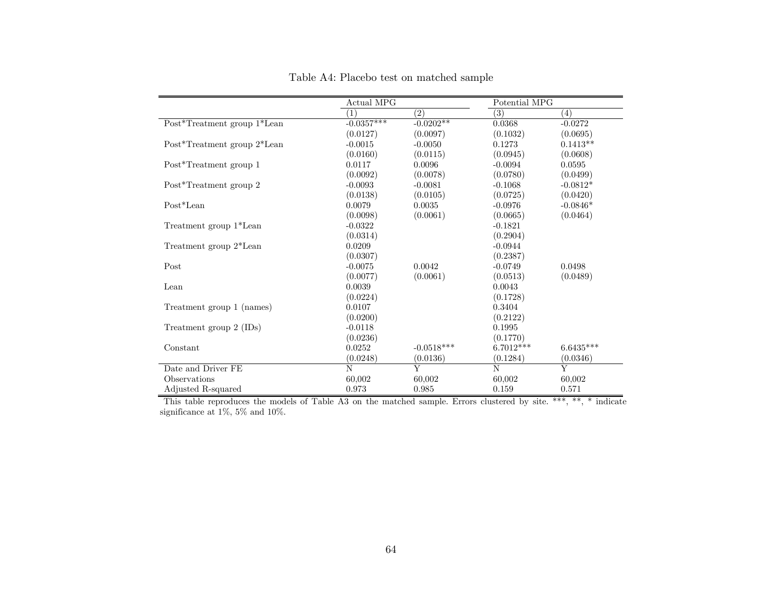|                             | Actual MPG       |              | Potential MPG |             |
|-----------------------------|------------------|--------------|---------------|-------------|
|                             | $\left(1\right)$ | (2)          | (3)           | (4)         |
| Post*Treatment group 1*Lean | $-0.0357***$     | $-0.0202**$  | 0.0368        | $-0.0272$   |
|                             | (0.0127)         | (0.0097)     | (0.1032)      | (0.0695)    |
| Post*Treatment group 2*Lean | $-0.0015$        | $-0.0050$    | 0.1273        | $0.1413**$  |
|                             | (0.0160)         | (0.0115)     | (0.0945)      | (0.0608)    |
| Post*Treatment group 1      | 0.0117           | 0.0096       | $-0.0094$     | 0.0595      |
|                             | (0.0092)         | (0.0078)     | (0.0780)      | (0.0499)    |
| Post*Treatment group 2      | $-0.0093$        | $-0.0081$    | $-0.1068$     | $-0.0812*$  |
|                             | (0.0138)         | (0.0105)     | (0.0725)      | (0.0420)    |
| Post*Lean                   | 0.0079           | 0.0035       | $-0.0976$     | $-0.0846*$  |
|                             | (0.0098)         | (0.0061)     | (0.0665)      | (0.0464)    |
| Treatment group 1*Lean      | $-0.0322$        |              | $-0.1821$     |             |
|                             | (0.0314)         |              | (0.2904)      |             |
| Treatment group 2*Lean      | 0.0209           |              | $-0.0944$     |             |
|                             | (0.0307)         |              | (0.2387)      |             |
| Post                        | $-0.0075$        | 0.0042       | $-0.0749$     | 0.0498      |
|                             | (0.0077)         | (0.0061)     | (0.0513)      | (0.0489)    |
| Lean                        | 0.0039           |              | 0.0043        |             |
|                             | (0.0224)         |              | (0.1728)      |             |
| Treatment group 1 (names)   | 0.0107           |              | 0.3404        |             |
|                             | (0.0200)         |              | (0.2122)      |             |
| Treatment group 2 (IDs)     | $-0.0118$        |              | 0.1995        |             |
|                             | (0.0236)         |              | (0.1770)      |             |
| Constant                    | 0.0252           | $-0.0518***$ | $6.7012***$   | $6.6435***$ |
|                             | (0.0248)         | (0.0136)     | (0.1284)      | (0.0346)    |
| Date and Driver FE          | N                | Y            | N             | Y           |
| Observations                | 60,002           | 60,002       | 60,002        | 60,002      |
| Adjusted R-squared          | 0.973            | 0.985        | 0.159         | 0.571       |

Table A4: Placebo test on matched sample

This table reproduces the models of Table A3 on the matched sample. Errors clustered by site. \*\*\*, \*\*, \* indicate significance at 1%, 5% and 10%.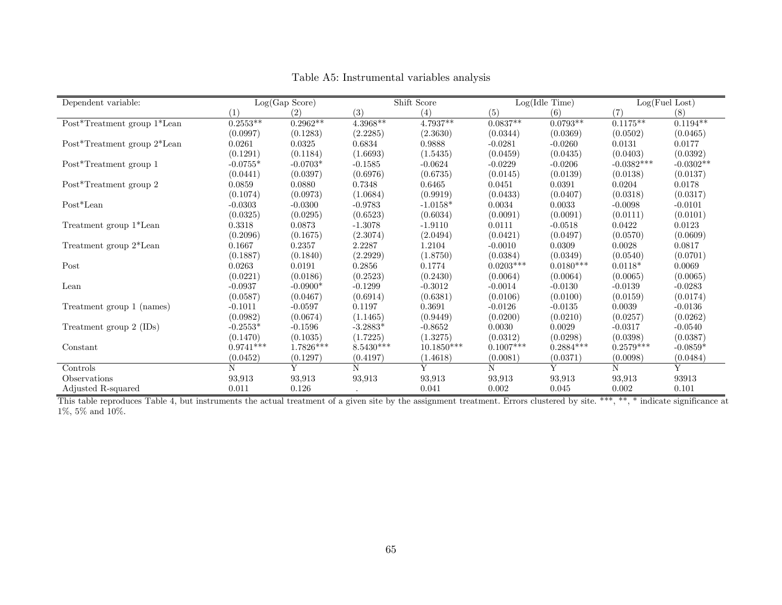| Dependent variable:            |             | Log(Gap Score) |             | Shift Score  |             | Log(Idle Time) |              | Log(Fuel Lost) |
|--------------------------------|-------------|----------------|-------------|--------------|-------------|----------------|--------------|----------------|
|                                | (1)         | (2)            | (3)         | (4)          | (5)         | (6)            | (7)          | (8)            |
| Post*Treatment group $1*$ Lean | $0.2553**$  | $0.2962**$     | $4.3968**$  | $4.7937**$   | $0.0837**$  | $0.0793**$     | $0.1175**$   | $0.1194**$     |
|                                | (0.0997)    | (0.1283)       | (2.2285)    | (2.3630)     | (0.0344)    | (0.0369)       | (0.0502)     | (0.0465)       |
| Post*Treatment group 2*Lean    | 0.0261      | 0.0325         | 0.6834      | 0.9888       | $-0.0281$   | $-0.0260$      | 0.0131       | 0.0177         |
|                                | (0.1291)    | (0.1184)       | (1.6693)    | (1.5435)     | (0.0459)    | (0.0435)       | (0.0403)     | (0.0392)       |
| Post*Treatment group 1         | $-0.0755*$  | $-0.0703*$     | $-0.1585$   | $-0.0624$    | $-0.0229$   | $-0.0206$      | $-0.0382***$ | $-0.0302**$    |
|                                | (0.0441)    | (0.0397)       | (0.6976)    | (0.6735)     | (0.0145)    | (0.0139)       | (0.0138)     | (0.0137)       |
| Post*Treatment group 2         | 0.0859      | 0.0880         | 0.7348      | 0.6465       | 0.0451      | 0.0391         | 0.0204       | 0.0178         |
|                                | (0.1074)    | (0.0973)       | (1.0684)    | (0.9919)     | (0.0433)    | (0.0407)       | (0.0318)     | (0.0317)       |
| Post*Lean                      | $-0.0303$   | $-0.0300$      | $-0.9783$   | $-1.0158*$   | 0.0034      | 0.0033         | $-0.0098$    | $-0.0101$      |
|                                | (0.0325)    | (0.0295)       | (0.6523)    | (0.6034)     | (0.0091)    | (0.0091)       | (0.0111)     | (0.0101)       |
| Treatment group 1*Lean         | 0.3318      | 0.0873         | $-1.3078$   | $-1.9110$    | 0.0111      | $-0.0518$      | 0.0422       | 0.0123         |
|                                | (0.2096)    | (0.1675)       | (2.3074)    | (2.0494)     | (0.0421)    | (0.0497)       | (0.0570)     | (0.0609)       |
| Treatment group 2*Lean         | 0.1667      | 0.2357         | 2.2287      | 1.2104       | $-0.0010$   | 0.0309         | 0.0028       | 0.0817         |
|                                | (0.1887)    | (0.1840)       | (2.2929)    | (1.8750)     | (0.0384)    | (0.0349)       | (0.0540)     | (0.0701)       |
| Post                           | 0.0263      | 0.0191         | 0.2856      | 0.1774       | $0.0203***$ | $0.0180***$    | $0.0118*$    | 0.0069         |
|                                | (0.0221)    | (0.0186)       | (0.2523)    | (0.2430)     | (0.0064)    | (0.0064)       | (0.0065)     | (0.0065)       |
| Lean                           | $-0.0937$   | $-0.0900*$     | $-0.1299$   | $-0.3012$    | $-0.0014$   | $-0.0130$      | $-0.0139$    | $-0.0283$      |
|                                | (0.0587)    | (0.0467)       | (0.6914)    | (0.6381)     | (0.0106)    | (0.0100)       | (0.0159)     | (0.0174)       |
| Treatment group 1 (names)      | $-0.1011$   | $-0.0597$      | 0.1197      | 0.3691       | $-0.0126$   | $-0.0135$      | 0.0039       | $-0.0136$      |
|                                | (0.0982)    | (0.0674)       | (1.1465)    | (0.9449)     | (0.0200)    | (0.0210)       | (0.0257)     | (0.0262)       |
| Treatment group 2 (IDs)        | $-0.2553*$  | $-0.1596$      | $-3.2883*$  | $-0.8652$    | 0.0030      | 0.0029         | $-0.0317$    | $-0.0540$      |
|                                | (0.1470)    | (0.1035)       | (1.7225)    | (1.3275)     | (0.0312)    | (0.0298)       | (0.0398)     | (0.0387)       |
| Constant                       | $0.9741***$ | 1.7826***      | $8.5430***$ | $10.1850***$ | $0.1007***$ | $0.2884***$    | $0.2579***$  | $-0.0859*$     |
|                                | (0.0452)    | (0.1297)       | (0.4197)    | (1.4618)     | (0.0081)    | (0.0371)       | (0.0098)     | (0.0484)       |
| Controls                       | N           | Y              | N           |              | N           | Y              | N            | Y              |
| Observations                   | 93,913      | 93,913         | 93,913      | 93,913       | 93,913      | 93,913         | 93,913       | 93913          |
| Adjusted R-squared             | 0.011       | 0.126          |             | 0.041        | 0.002       | 0.045          | 0.002        | 0.101          |

Table A5: Instrumental variables analysis

This table reproduces Table 4, but instruments the actual treatment of a given site by the assignment treatment. Errors clustered by site. \*\*\*, \*\*, \* indicate significance at  $1\% ,$  5% and  $10\%.$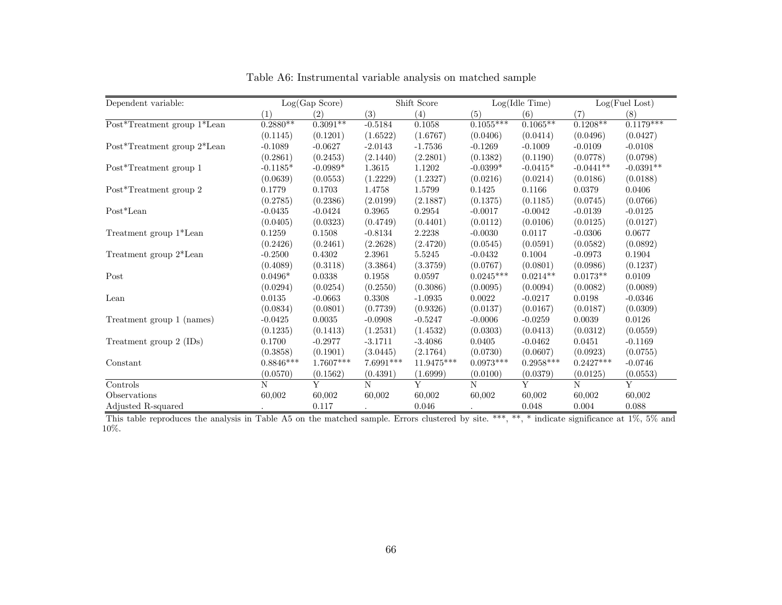| Dependent variable:                                         |             | Log(Gap Score) |           | Shift Score |             | Log(Idle Time) |             | Log(Fuel Lost) |
|-------------------------------------------------------------|-------------|----------------|-----------|-------------|-------------|----------------|-------------|----------------|
|                                                             | (1)         | (2)            | (3)       | (4)         | (5)         | (6)            | (7)         | (8)            |
| $\mathrm{Post}^*\mathrm{Tredment}$ group $1^*\mathrm{Lean}$ | $0.2880**$  | $0.3091**$     | $-0.5184$ | $0.1058\,$  | $0.1055***$ | $0.1065**$     | $0.1208**$  | $0.1179***$    |
|                                                             | (0.1145)    | (0.1201)       | (1.6522)  | (1.6767)    | (0.0406)    | (0.0414)       | (0.0496)    | (0.0427)       |
| Post*Treatment group 2*Lean                                 | $-0.1089$   | $-0.0627$      | $-2.0143$ | $-1.7536$   | $-0.1269$   | $-0.1009$      | $-0.0109$   | $-0.0108$      |
|                                                             | (0.2861)    | (0.2453)       | (2.1440)  | (2.2801)    | (0.1382)    | (0.1190)       | (0.0778)    | (0.0798)       |
| Post*Treatment group 1                                      | $-0.1185*$  | $-0.0989*$     | 1.3615    | 1.1202      | $-0.0399*$  | $-0.0415*$     | $-0.0441**$ | $-0.0391**$    |
|                                                             | (0.0639)    | (0.0553)       | (1.2229)  | (1.2327)    | (0.0216)    | (0.0214)       | (0.0186)    | (0.0188)       |
| Post*Treatment group 2                                      | 0.1779      | 0.1703         | 1.4758    | 1.5799      | 0.1425      | 0.1166         | 0.0379      | 0.0406         |
|                                                             | (0.2785)    | (0.2386)       | (2.0199)  | (2.1887)    | (0.1375)    | (0.1185)       | (0.0745)    | (0.0766)       |
| $Post*Lean$                                                 | $-0.0435$   | $-0.0424$      | 0.3965    | 0.2954      | $-0.0017$   | $-0.0042$      | $-0.0139$   | $-0.0125$      |
|                                                             | (0.0405)    | (0.0323)       | (0.4749)  | (0.4401)    | (0.0112)    | (0.0106)       | (0.0125)    | (0.0127)       |
| Treatment group 1*Lean                                      | 0.1259      | 0.1508         | $-0.8134$ | 2.2238      | $-0.0030$   | 0.0117         | $-0.0306$   | 0.0677         |
|                                                             | (0.2426)    | (0.2461)       | (2.2628)  | (2.4720)    | (0.0545)    | (0.0591)       | (0.0582)    | (0.0892)       |
| Treatment group 2*Lean                                      | $-0.2500$   | 0.4302         | 2.3961    | $5.5245\,$  | $-0.0432$   | 0.1004         | $-0.0973$   | 0.1904         |
|                                                             | (0.4089)    | (0.3118)       | (3.3864)  | (3.3759)    | (0.0767)    | (0.0801)       | (0.0986)    | (0.1237)       |
| Post                                                        | $0.0496*$   | 0.0338         | 0.1958    | 0.0597      | $0.0245***$ | $0.0214**$     | $0.0173**$  | 0.0109         |
|                                                             | (0.0294)    | (0.0254)       | (0.2550)  | (0.3086)    | (0.0095)    | (0.0094)       | (0.0082)    | (0.0089)       |
| Lean                                                        | 0.0135      | $-0.0663$      | 0.3308    | $-1.0935$   | 0.0022      | $-0.0217$      | 0.0198      | $-0.0346$      |
|                                                             | (0.0834)    | (0.0801)       | (0.7739)  | (0.9326)    | (0.0137)    | (0.0167)       | (0.0187)    | (0.0309)       |
| Treatment group 1 (names)                                   | $-0.0425$   | 0.0035         | $-0.0908$ | $-0.5247$   | $-0.0006$   | $-0.0259$      | 0.0039      | 0.0126         |
|                                                             | (0.1235)    | (0.1413)       | (1.2531)  | (1.4532)    | (0.0303)    | (0.0413)       | (0.0312)    | (0.0559)       |
| Treatment group 2 (IDs)                                     | 0.1700      | $-0.2977$      | $-3.1711$ | $-3.4086$   | 0.0405      | $-0.0462$      | 0.0451      | $-0.1169$      |
|                                                             | (0.3858)    | (0.1901)       | (3.0445)  | (2.1764)    | (0.0730)    | (0.0607)       | (0.0923)    | (0.0755)       |
| Constant                                                    | $0.8846***$ | 1.7607***      | 7.6991*** | 11.9475***  | $0.0973***$ | $0.2958***$    | $0.2427***$ | $-0.0746$      |
|                                                             | (0.0570)    | (0.1562)       | (0.4391)  | (1.6999)    | (0.0100)    | (0.0379)       | (0.0125)    | (0.0553)       |
| Controls                                                    | N           | Y              | N         | Y           | N           | Y              | N           | Y              |
| Observations                                                | 60,002      | 60,002         | 60,002    | 60,002      | 60,002      | 60,002         | 60,002      | 60,002         |
| Adjusted R-squared                                          |             | 0.117          |           | 0.046       |             | 0.048          | 0.004       | 0.088          |

Table A6: Instrumental variable analysis on matched sample

This table reproduces the analysis in Table A5 on the matched sample. Errors clustered by site. \*\*\*, \*\*, \* indicate significance at 1%, 5% and 10%.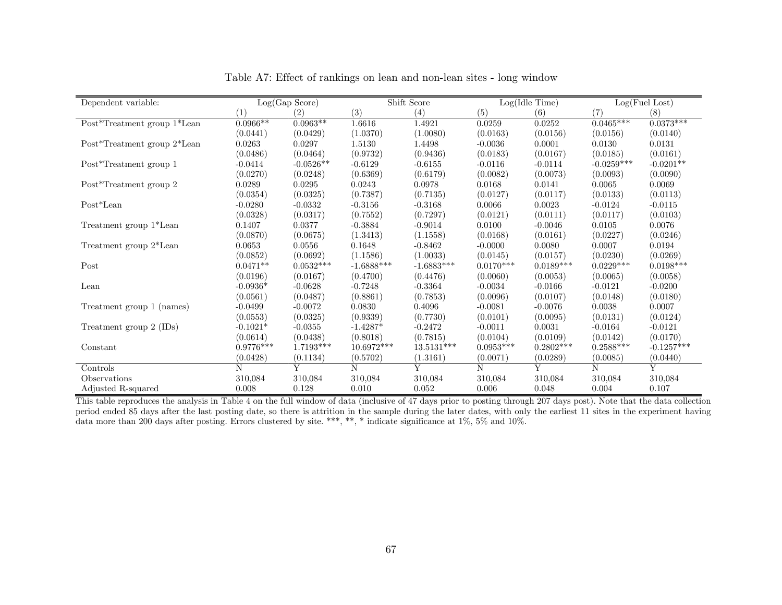| Dependent variable:         |             | Log(Gap Score) |              | Shift Score  | Log(Idle Time) |             |              | Log(Fuel Lost) |
|-----------------------------|-------------|----------------|--------------|--------------|----------------|-------------|--------------|----------------|
|                             | (1)         | (2)            | (3)          | (4)          | (5)            | (6)         | (7)          | (8)            |
| Post*Treatment group 1*Lean | $0.0966**$  | $0.0963**$     | 1.6616       | 1.4921       | 0.0259         | 0.0252      | $0.0465***$  | $0.0373***$    |
|                             | (0.0441)    | (0.0429)       | (1.0370)     | (1.0080)     | (0.0163)       | (0.0156)    | (0.0156)     | (0.0140)       |
| Post*Treatment group 2*Lean | 0.0263      | 0.0297         | 1.5130       | 1.4498       | $-0.0036$      | 0.0001      | 0.0130       | 0.0131         |
|                             | (0.0486)    | (0.0464)       | (0.9732)     | (0.9436)     | (0.0183)       | (0.0167)    | (0.0185)     | (0.0161)       |
| Post*Treatment group 1      | $-0.0414$   | $-0.0526**$    | $-0.6129$    | $-0.6155$    | $-0.0116$      | $-0.0114$   | $-0.0259***$ | $-0.0201**$    |
|                             | (0.0270)    | (0.0248)       | (0.6369)     | (0.6179)     | (0.0082)       | (0.0073)    | (0.0093)     | (0.0090)       |
| Post*Treatment group 2      | 0.0289      | 0.0295         | 0.0243       | 0.0978       | 0.0168         | 0.0141      | 0.0065       | 0.0069         |
|                             | (0.0354)    | (0.0325)       | (0.7387)     | (0.7135)     | (0.0127)       | (0.0117)    | (0.0133)     | (0.0113)       |
| $Post*Lean$                 | $-0.0280$   | $-0.0332$      | $-0.3156$    | $-0.3168$    | 0.0066         | 0.0023      | $-0.0124$    | $-0.0115$      |
|                             | (0.0328)    | (0.0317)       | (0.7552)     | (0.7297)     | (0.0121)       | (0.0111)    | (0.0117)     | (0.0103)       |
| Treatment group 1*Lean      | 0.1407      | 0.0377         | $-0.3884$    | $-0.9014$    | 0.0100         | $-0.0046$   | 0.0105       | 0.0076         |
|                             | (0.0870)    | (0.0675)       | (1.3413)     | (1.1558)     | (0.0168)       | (0.0161)    | (0.0227)     | (0.0246)       |
| Treatment group 2*Lean      | 0.0653      | 0.0556         | 0.1648       | $-0.8462$    | $-0.0000$      | 0.0080      | 0.0007       | 0.0194         |
|                             | (0.0852)    | (0.0692)       | (1.1586)     | (1.0033)     | (0.0145)       | (0.0157)    | (0.0230)     | (0.0269)       |
| Post                        | $0.0471**$  | $0.0532***$    | $-1.6888***$ | $-1.6883***$ | $0.0170***$    | $0.0189***$ | $0.0229***$  | $0.0198***$    |
|                             | (0.0196)    | (0.0167)       | (0.4700)     | (0.4476)     | (0.0060)       | (0.0053)    | (0.0065)     | (0.0058)       |
| Lean                        | $-0.0936*$  | $-0.0628$      | $-0.7248$    | $-0.3364$    | $-0.0034$      | $-0.0166$   | $-0.0121$    | $-0.0200$      |
|                             | (0.0561)    | (0.0487)       | (0.8861)     | (0.7853)     | (0.0096)       | (0.0107)    | (0.0148)     | (0.0180)       |
| Treatment group 1 (names)   | $-0.0499$   | $-0.0072$      | 0.0830       | 0.4096       | $-0.0081$      | $-0.0076$   | 0.0038       | 0.0007         |
|                             | (0.0553)    | (0.0325)       | (0.9339)     | (0.7730)     | (0.0101)       | (0.0095)    | (0.0131)     | (0.0124)       |
| Treatment group 2 (IDs)     | $-0.1021*$  | $-0.0355$      | $-1.4287*$   | $-0.2472$    | $-0.0011$      | 0.0031      | $-0.0164$    | $-0.0121$      |
|                             | (0.0614)    | (0.0438)       | (0.8018)     | (0.7815)     | (0.0104)       | (0.0109)    | (0.0142)     | (0.0170)       |
| Constant                    | $0.9776***$ | 1.7193***      | $10.6972***$ | $13.5131***$ | $0.0953***$    | $0.2802***$ | $0.2588***$  | $-0.1257***$   |
|                             | (0.0428)    | (0.1134)       | (0.5702)     | (1.3161)     | (0.0071)       | (0.0289)    | (0.0085)     | (0.0440)       |
| Controls                    | N           | Y              | N            | Y            | N              | Y           | N            | Y              |
| Observations                | 310,084     | 310,084        | 310,084      | 310,084      | 310,084        | 310,084     | 310,084      | 310,084        |
| Adjusted R-squared          | 0.008       | 0.128          | 0.010        | 0.052        | 0.006          | 0.048       | 0.004        | 0.107          |

Table A7: Effect of rankings on lean and non-lean sites - long window

This table reproduces the analysis in Table 4 on the full window of data (inclusive of 47 days prior to posting through 207 days post). Note that the data collection period ended 85 days after the last posting date, so there is attrition in the sample during the later dates, with only the earliest 11 sites in the experiment having data more than 200 days after posting. Errors clustered by site. \*\*\*, \*\*, \* indicate significance at 1%, 5% and 10%.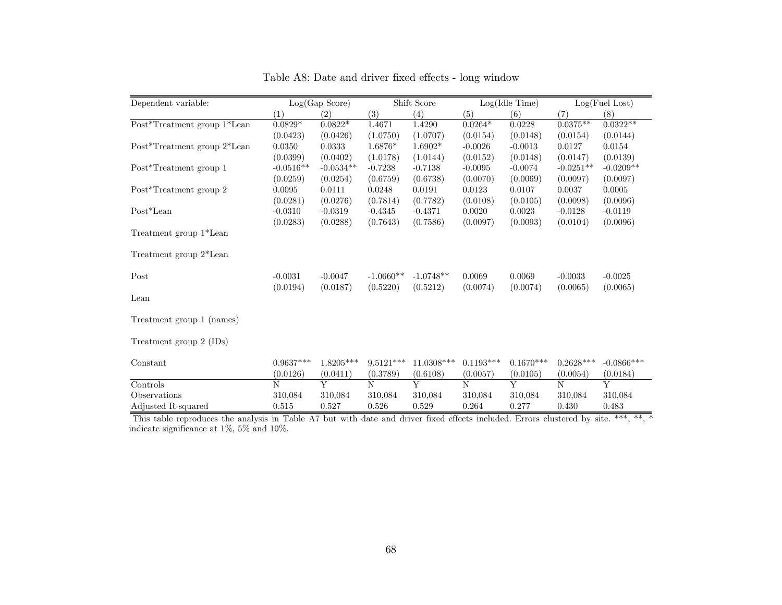| Dependent variable:         | Log(Gap Score) |             | Shift Score |              | Log(Idle Time) |             | Log(Fuel Lost) |              |
|-----------------------------|----------------|-------------|-------------|--------------|----------------|-------------|----------------|--------------|
|                             | (1)            | (2)         | (3)         | (4)          | (5)            | (6)         | (7)            | (8)          |
| Post*Treatment group 1*Lean | $0.0829*$      | $0.0822*$   | 1.4671      | 1.4290       | $0.0264*$      | 0.0228      | $0.0375**$     | $0.0322**$   |
|                             | (0.0423)       | (0.0426)    | (1.0750)    | (1.0707)     | (0.0154)       | (0.0148)    | (0.0154)       | (0.0144)     |
| Post*Treatment group 2*Lean | 0.0350         | 0.0333      | 1.6876*     | $1.6902*$    | $-0.0026$      | $-0.0013$   | 0.0127         | 0.0154       |
|                             | (0.0399)       | (0.0402)    | (1.0178)    | (1.0144)     | (0.0152)       | (0.0148)    | (0.0147)       | (0.0139)     |
| Post*Treatment group 1      | $-0.0516**$    | $-0.0534**$ | $-0.7238$   | $-0.7138$    | $-0.0095$      | $-0.0074$   | $-0.0251**$    | $-0.0209**$  |
|                             | (0.0259)       | (0.0254)    | (0.6759)    | (0.6738)     | (0.0070)       | (0.0069)    | (0.0097)       | (0.0097)     |
| Post*Treatment group 2      | 0.0095         | 0.0111      | 0.0248      | 0.0191       | 0.0123         | 0.0107      | 0.0037         | 0.0005       |
|                             | (0.0281)       | (0.0276)    | (0.7814)    | (0.7782)     | (0.0108)       | (0.0105)    | (0.0098)       | (0.0096)     |
| $Post*Lean$                 | $-0.0310$      | $-0.0319$   | $-0.4345$   | $-0.4371$    | 0.0020         | 0.0023      | $-0.0128$      | $-0.0119$    |
|                             | (0.0283)       | (0.0288)    | (0.7643)    | (0.7586)     | (0.0097)       | (0.0093)    | (0.0104)       | (0.0096)     |
| Treatment group 1*Lean      |                |             |             |              |                |             |                |              |
| Treatment group 2*Lean      |                |             |             |              |                |             |                |              |
| Post                        | $-0.0031$      | $-0.0047$   | $-1.0660**$ | $-1.0748**$  | 0.0069         | 0.0069      | $-0.0033$      | $-0.0025$    |
|                             | (0.0194)       | (0.0187)    | (0.5220)    | (0.5212)     | (0.0074)       | (0.0074)    | (0.0065)       | (0.0065)     |
| Lean                        |                |             |             |              |                |             |                |              |
| Treatment group 1 (names)   |                |             |             |              |                |             |                |              |
| Treatment group 2 (IDs)     |                |             |             |              |                |             |                |              |
| Constant                    | $0.9637***$    | $1.8205***$ | $9.5121***$ | $11.0308***$ | $0.1193***$    | $0.1670***$ | $0.2628***$    | $-0.0866***$ |
|                             | (0.0126)       | (0.0411)    | (0.3789)    | (0.6108)     | (0.0057)       | (0.0105)    | (0.0054)       | (0.0184)     |
| Controls                    | N              | Y           | N           | Y            | N              | Y           | N              | Y            |
| Observations                | 310,084        | 310,084     | 310,084     | 310,084      | 310,084        | 310,084     | 310,084        | 310,084      |
| Adjusted R-squared          | 0.515          | 0.527       | 0.526       | 0.529        | 0.264          | 0.277       | 0.430          | 0.483        |

Table A8: Date and driver fixed effects - long window

This table reproduces the analysis in Table A7 but with date and driver fixed effects included. Errors clustered by site. \*\*\*, \*\*, \* indicate significance at 1%, 5% and 10%.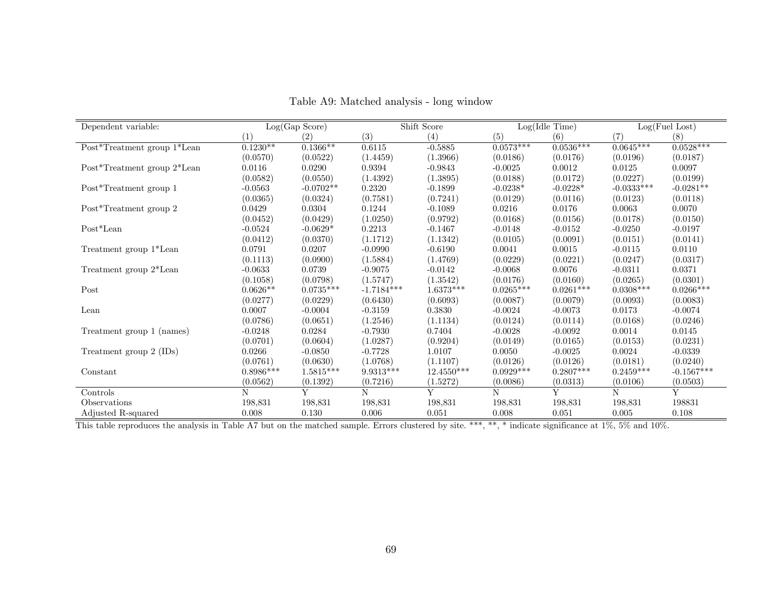| Dependent variable:         | Log(Gap Score) |             | Shift Score  |              | Log(Idle Time) |             | Log(Fuel Lost) |              |
|-----------------------------|----------------|-------------|--------------|--------------|----------------|-------------|----------------|--------------|
|                             | (1)            | (2)         | (3)          | (4)          | (5)            | (6)         | (7)            | (8)          |
| Post*Treatment group 1*Lean | $0.1230**$     | $0.1366**$  | 0.6115       | $-0.5885$    | $0.0573***$    | $0.0536***$ | $0.0645***$    | $0.0528***$  |
|                             | (0.0570)       | (0.0522)    | (1.4459)     | (1.3966)     | (0.0186)       | (0.0176)    | (0.0196)       | (0.0187)     |
| Post*Treatment group 2*Lean | 0.0116         | 0.0290      | 0.9394       | $-0.9843$    | $-0.0025$      | 0.0012      | 0.0125         | 0.0097       |
|                             | (0.0582)       | (0.0550)    | (1.4392)     | (1.3895)     | (0.0188)       | (0.0172)    | (0.0227)       | (0.0199)     |
| Post*Treatment group 1      | $-0.0563$      | $-0.0702**$ | 0.2320       | $-0.1899$    | $-0.0238*$     | $-0.0228*$  | $-0.0333***$   | $-0.0281**$  |
|                             | (0.0365)       | (0.0324)    | (0.7581)     | (0.7241)     | (0.0129)       | (0.0116)    | (0.0123)       | (0.0118)     |
| Post*Treatment group 2      | 0.0429         | 0.0304      | 0.1244       | $-0.1089$    | 0.0216         | 0.0176      | 0.0063         | 0.0070       |
|                             | (0.0452)       | (0.0429)    | (1.0250)     | (0.9792)     | (0.0168)       | (0.0156)    | (0.0178)       | (0.0150)     |
| Post*Lean                   | $-0.0524$      | $-0.0629*$  | 0.2213       | $-0.1467$    | $-0.0148$      | $-0.0152$   | $-0.0250$      | $-0.0197$    |
|                             | (0.0412)       | (0.0370)    | (1.1712)     | (1.1342)     | (0.0105)       | (0.0091)    | (0.0151)       | (0.0141)     |
| Treatment group 1*Lean      | 0.0791         | 0.0207      | $-0.0990$    | $-0.6190$    | 0.0041         | 0.0015      | $-0.0115$      | 0.0110       |
|                             | (0.1113)       | (0.0900)    | (1.5884)     | (1.4769)     | (0.0229)       | (0.0221)    | (0.0247)       | (0.0317)     |
| Treatment group 2*Lean      | $-0.0633$      | 0.0739      | $-0.9075$    | $-0.0142$    | $-0.0068$      | 0.0076      | $-0.0311$      | 0.0371       |
|                             | (0.1058)       | (0.0798)    | (1.5747)     | (1.3542)     | (0.0176)       | (0.0160)    | (0.0265)       | (0.0301)     |
| Post                        | $0.0626**$     | $0.0735***$ | $-1.7184***$ | $1.6373***$  | $0.0265***$    | $0.0261***$ | $0.0308***$    | $0.0266***$  |
|                             | (0.0277)       | (0.0229)    | (0.6430)     | (0.6093)     | (0.0087)       | (0.0079)    | (0.0093)       | (0.0083)     |
| Lean                        | 0.0007         | $-0.0004$   | $-0.3159$    | 0.3830       | $-0.0024$      | $-0.0073$   | 0.0173         | $-0.0074$    |
|                             | (0.0786)       | (0.0651)    | (1.2546)     | (1.1134)     | (0.0124)       | (0.0114)    | (0.0168)       | (0.0246)     |
| Treatment group 1 (names)   | $-0.0248$      | 0.0284      | $-0.7930$    | 0.7404       | $-0.0028$      | $-0.0092$   | 0.0014         | 0.0145       |
|                             | (0.0701)       | (0.0604)    | (1.0287)     | (0.9204)     | (0.0149)       | (0.0165)    | (0.0153)       | (0.0231)     |
| Treatment group 2 (IDs)     | 0.0266         | $-0.0850$   | $-0.7728$    | 1.0107       | 0.0050         | $-0.0025$   | 0.0024         | $-0.0339$    |
|                             | (0.0761)       | (0.0630)    | (1.0768)     | (1.1107)     | (0.0126)       | (0.0126)    | (0.0181)       | (0.0240)     |
| Constant                    | $0.8986***$    | $1.5815***$ | $9.9313***$  | $12.4550***$ | $0.0929***$    | $0.2807***$ | $0.2459***$    | $-0.1567***$ |
|                             | (0.0562)       | (0.1392)    | (0.7216)     | (1.5272)     | (0.0086)       | (0.0313)    | (0.0106)       | (0.0503)     |
| Controls                    | N              | Y           | N            | Y            | N              | Y           | N              | Y            |
| Observations                | 198,831        | 198,831     | 198,831      | 198,831      | 198,831        | 198,831     | 198,831        | 198831       |
| Adjusted R-squared          | 0.008          | 0.130       | 0.006        | 0.051        | 0.008          | 0.051       | 0.005          | 0.108        |

Table A9: Matched analysis - long window

This table reproduces the analysis in Table A7 but on the matched sample. Errors clustered by site. \*\*\*, \*\*, \* indicate significance at 1%, 5% and 10%.